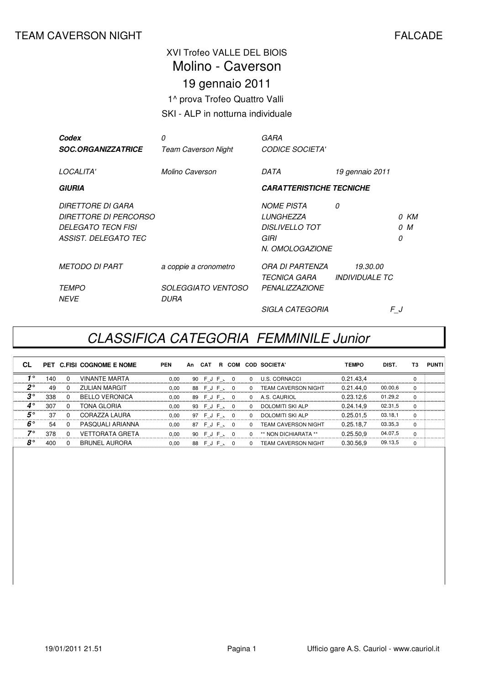#### TEAM CAVERSON NIGHT **FALCADE**

#### XVI Trofeo VALLE DEL BIOIS 19 gennaio 2011 1^ prova Trofeo Quattro Valli SKI - ALP in notturna individuale Molino - Caverson

| Codex<br><b>SOC.ORGANIZZATRICE</b>                                                              | 0<br><b>Team Caverson Night</b>   | GARA<br><b>CODICE SOCIETA'</b>                                                     |                                          |          |             |
|-------------------------------------------------------------------------------------------------|-----------------------------------|------------------------------------------------------------------------------------|------------------------------------------|----------|-------------|
| LOCALITA'                                                                                       | Molino Caverson                   | DATA                                                                               | 19 gennaio 2011                          |          |             |
| GIURIA                                                                                          |                                   | <b>CARATTERISTICHE TECNICHE</b>                                                    |                                          |          |             |
| DIRETTORE DI GARA<br>DIRETTORE DI PERCORSO<br><b>DELEGATO TECN FISI</b><br>ASSIST. DELEGATO TEC |                                   | <b>NOME PISTA</b><br>LUNGHEZZA<br><b>DISLIVELLO TOT</b><br>GIRI<br>N. OMOLOGAZIONE | 0                                        | $\Omega$ | 0 KM<br>0 M |
| <b>METODO DI PART</b>                                                                           | a coppie a cronometro             | ORA DI PARTENZA<br><i><b>TECNICA GARA</b></i>                                      | 19.30.00<br><i><b>INDIVIDUALE TC</b></i> |          |             |
| <b>TEMPO</b><br><b>NEVE</b>                                                                     | <b>SOLEGGIATO VENTOSO</b><br>DURA | <b>PENALIZZAZIONE</b>                                                              |                                          |          |             |
|                                                                                                 |                                   | <b>SIGLA CATEGORIA</b>                                                             |                                          | FJ       |             |

### CLASSIFICA CATEGORIA FEMMINILE Junior

| СL          |     |              | PET C.FISI COGNOME E NOME | <b>PEN</b> | An | CAT          | R COM    |              | <b>COD SOCIETA'</b>        | <b>TEMPO</b> | DIST.   | T3       | <b>PUNTI</b> |
|-------------|-----|--------------|---------------------------|------------|----|--------------|----------|--------------|----------------------------|--------------|---------|----------|--------------|
| 1∘          | 140 | $\Omega$     | <b>VINANTE MARTA</b>      | 0,00       |    | 90 F J F 、   | 0        | $\Omega$     | <b>U.S. CORNACCI</b>       | 0.21.43,4    |         | 0        |              |
| $2^{\circ}$ | 49  | <sup>0</sup> | <b>ZULIAN MARGIT</b>      | 0,00       |    | 88 F J F 、 0 |          | <sup>0</sup> | <b>TEAM CAVERSON NIGHT</b> | 0.21.44.0    | 00.00.6 | $\Omega$ |              |
| $3^{\circ}$ | 338 | $\Omega$     | <b>BELLO VERONICA</b>     | 0,00       |    | 89 F J F 、 0 |          | 0            | A.S. CAURIOL               | 0.23.12,6    | 01.29,2 | $\Omega$ |              |
| $4^{\circ}$ | 307 | $\Omega$     | TONA GLORIA               | 0.00       |    | 93 F J F 、 0 |          | $\Omega$     | <b>DOLOMITI SKI ALP</b>    | 0.24.14.9    | 02.31,5 | $\Omega$ |              |
| $5^{\circ}$ | 37  | $\Omega$     | CORAZZA LAURA             | 0.00       |    | 97 F J F 、   | $\Omega$ | $\Omega$     | <b>DOLOMITI SKI ALP</b>    | 0.25.01.5    | 03.18.1 | $\Omega$ |              |
| $6^{\circ}$ | 54  | $\Omega$     | PASQUALI ARIANNA          | 0.00       |    | 87 F J F 、   | $\Omega$ | $\Omega$     | <b>TEAM CAVERSON NIGHT</b> | 0.25.18.7    | 03.35,3 | $\Omega$ |              |
| 70          | 378 | $\Omega$     | VETTORATA GRETA           | 0.00       |    | 90 F J F 、   | $\Omega$ | 0            | ** NON DICHIARATA **       | 0.25.50.9    | 04.07,5 | 0        |              |
| $8^{\circ}$ | 400 |              | <b>BRUNEL AURORA</b>      | 0.00       |    | 88 F J F 、   | $\Omega$ | $\Omega$     | <b>TEAM CAVERSON NIGHT</b> | 0.30.56.9    | 09.13,5 | $\Omega$ |              |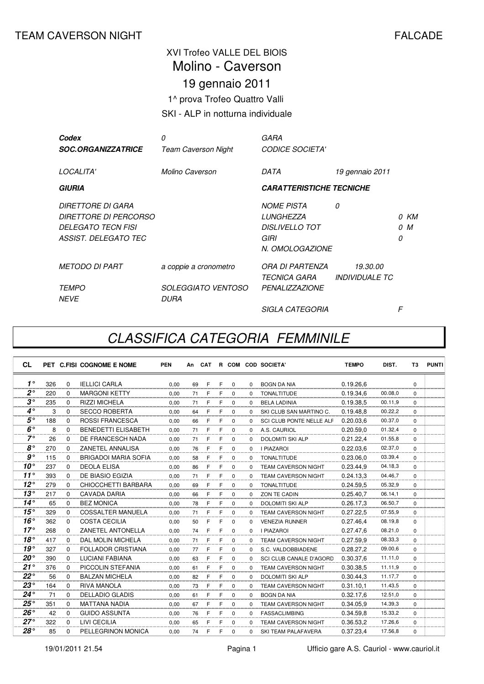## XVI Trofeo VALLE DEL BIOIS 19 gennaio 2011 1^ prova Trofeo Quattro Valli Molino - Caverson

#### SKI - ALP in notturna individuale

| Codex                                                                                           | 0                                        | GARA                                                                                      |                                          |   |             |
|-------------------------------------------------------------------------------------------------|------------------------------------------|-------------------------------------------------------------------------------------------|------------------------------------------|---|-------------|
| <b>SOC.ORGANIZZATRICE</b>                                                                       | Team Caverson Night                      | <b>CODICE SOCIETA'</b>                                                                    |                                          |   |             |
| LOCALITA'                                                                                       | Molino Caverson                          | DATA                                                                                      | 19 gennaio 2011                          |   |             |
| <b>GIURIA</b>                                                                                   |                                          | <b>CARATTERISTICHE TECNICHE</b>                                                           |                                          |   |             |
| DIRETTORE DI GARA<br><i>DIRETTORE DI PERCORSO</i><br>DELEGATO TECN FISI<br>ASSIST. DELEGATO TEC |                                          | <b>NOME PISTA</b><br><b>LUNGHEZZA</b><br><b>DISLIVELLO TOT</b><br>GIRI<br>N. OMOLOGAZIONE | 0                                        | 0 | 0 KM<br>0 M |
| <b>METODO DI PART</b>                                                                           | a coppie a cronometro                    | ORA DI PARTENZA<br><i><b>TECNICA GARA</b></i>                                             | 19.30.00<br><i><b>INDIVIDUALE TC</b></i> |   |             |
| <i>TEMPO</i><br><b>NEVE</b>                                                                     | <i>SOLEGGIATO VENTOSO</i><br><i>DURA</i> | <b>PENALIZZAZIONE</b>                                                                     |                                          |   |             |
|                                                                                                 |                                          | <i>SIGLA CATEGORIA</i>                                                                    |                                          | F |             |

### CLASSIFICA CATEGORIA FEMMINILE

| <b>CL</b>      |     |          | PET C.FISI COGNOME E NOME   | <b>PEN</b> | An | CAT |   |             |          | R COM COD SOCIETA'             | <b>TEMPO</b> | DIST.   | T3       | <b>PUNTI</b> |
|----------------|-----|----------|-----------------------------|------------|----|-----|---|-------------|----------|--------------------------------|--------------|---------|----------|--------------|
| $1^{\circ}$    | 326 | $\Omega$ | <b>IELLICI CARLA</b>        | 0.00       | 69 | F   | F | $\Omega$    | $\Omega$ | <b>BOGN DA NIA</b>             | 0.19.26,6    |         | $\Omega$ |              |
| $2^{\circ}$    | 220 | $\Omega$ | <b>MARGONI KETTY</b>        | 0,00       | 71 | F   | F | 0           | $\Omega$ | <b>TONALTITUDE</b>             | 0.19.34,6    | 00.08.0 | $\Omega$ |              |
| $3^{\circ}$    | 235 | $\Omega$ | <b>RIZZI MICHELA</b>        | 0,00       | 71 | F   | F | 0           | $\Omega$ | <b>BELA LADINIA</b>            | 0.19.38.5    | 00.11.9 | $\Omega$ |              |
| $4^\circ$      | 3   | $\Omega$ | <b>SECCO ROBERTA</b>        | 0.00       | 64 | F   | F | $\Omega$    | $\Omega$ | SKI CLUB SAN MARTINO C.        | 0.19.48.8    | 00.22,2 | $\Omega$ |              |
| $5^{\circ}$    | 188 | $\Omega$ | <b>ROSSI FRANCESCA</b>      | 0.00       | 66 | F   | F | 0           | $\Omega$ | SCI CLUB PONTE NELLE ALF       | 0.20.03.6    | 00.37,0 | $\Omega$ |              |
| $6^{\circ}$    | 8   | $\Omega$ | <b>BENEDETTI ELISABETH</b>  | 0.00       | 71 | F   | F | $\Omega$    | $\Omega$ | A.S. CAURIOL                   | 0.20.59.0    | 01.32,4 | $\Omega$ |              |
| $7^\circ$      | 26  | $\Omega$ | DE FRANCESCH NADA           | 0.00       | 71 | F   | F | $\Omega$    | $\Omega$ | <b>DOLOMITI SKI ALP</b>        | 0.21.22,4    | 01.55,8 | $\Omega$ |              |
| $8^{\circ}$    | 270 | $\Omega$ | ZANETEL ANNALISA            | 0,00       | 76 | F   | F | $\Omega$    | $\Omega$ | <b>I PIAZAROI</b>              | 0.22.03,6    | 02.37.0 | $\Omega$ |              |
| g <sub>o</sub> | 115 | 0        | <b>BRIGADOI MARIA SOFIA</b> | 0.00       | 58 | F   | F | 0           | $\Omega$ | <b>TONALTITUDE</b>             | 0.23.06.0    | 03.39,4 | $\Omega$ |              |
| $10^{\circ}$   | 237 | $\Omega$ | <b>DEOLA ELISA</b>          | 0.00       | 86 | F   | F | $\Omega$    | $\Omega$ | <b>TEAM CAVERSON NIGHT</b>     | 0.23.44,9    | 04.18,3 | $\Omega$ |              |
| $11^{\circ}$   | 393 | $\Omega$ | DE BIASIO EGIZIA            | 0.00       | 71 | F   | F | $\Omega$    | $\Omega$ | <b>TEAM CAVERSON NIGHT</b>     | 0.24.13.3    | 04.46,7 | $\Omega$ |              |
| $12^{\circ}$   | 279 | $\Omega$ | CHIOCCHETTI BARBARA         | 0.00       | 69 | F   | F | $\Omega$    | $\Omega$ | <b>TONALTITUDE</b>             | 0.24.59,5    | 05.32.9 | $\Omega$ |              |
| $13^\circ$     | 217 | $\Omega$ | CAVADA DARIA                | 0,00       | 66 | F   | F | $\Omega$    | $\Omega$ | <b>ZON TE CADIN</b>            | 0.25.40,7    | 06.14.1 | $\Omega$ |              |
| $14^\circ$     | 65  | $\Omega$ | <b>BEZ MONICA</b>           | 0.00       | 78 | F   | F | 0           | $\Omega$ | <b>DOLOMITI SKI ALP</b>        | 0.26.17.3    | 06.50,7 | $\Omega$ |              |
| $15^{\circ}$   | 329 | $\Omega$ | <b>COSSALTER MANUELA</b>    | 0.00       | 71 | F   | F | 0           | $\Omega$ | <b>TEAM CAVERSON NIGHT</b>     | 0.27.22.5    | 07.55,9 | $\Omega$ |              |
| $16^\circ$     | 362 | $\Omega$ | COSTA CECILIA               | 0.00       | 50 | F   | F | $\Omega$    | $\Omega$ | <b>VENEZIA RUNNER</b>          | 0.27.46.4    | 08.19,8 | $\Omega$ |              |
| $17^\circ$     | 268 | $\Omega$ | ZANETEL ANTONELLA           | 0.00       | 74 | F   | F | $\Omega$    | $\Omega$ | <b>I PIAZAROI</b>              | 0.27.47.6    | 08.21,0 | $\Omega$ |              |
| 18°            | 417 | $\Omega$ | <b>DAL MOLIN MICHELA</b>    | 0,00       | 71 | F   | F | 0           | $\Omega$ | <b>TEAM CAVERSON NIGHT</b>     | 0.27.59.9    | 08.33.3 | $\Omega$ |              |
| 19°            | 327 | $\Omega$ | <b>FOLLADOR CRISTIANA</b>   | 0,00       | 77 | F   | F | 0           | $\Omega$ | S.C. VALDOBBIADENE             | 0.28.27,2    | 09.00.6 | $\Omega$ |              |
| $20^{\circ}$   | 390 | $\Omega$ | <b>LUCIANI FABIANA</b>      | 0.00       | 63 | F   | F | $\Omega$    | $\Omega$ | <b>SCI CLUB CANALE D'AGORD</b> | 0.30.37.6    | 11.11,0 | $\Omega$ |              |
| 21°            | 376 | $\Omega$ | PICCOLIN STEFANIA           | 0.00       | 61 | F   | F | $\Omega$    | $\Omega$ | <b>TEAM CAVERSON NIGHT</b>     | 0.30.38,5    | 11.11,9 | $\Omega$ |              |
| $22^{\circ}$   | 56  | $\Omega$ | <b>BALZAN MICHELA</b>       | 0,00       | 82 | E   | F | 0           | $\Omega$ | <b>DOLOMITI SKI ALP</b>        | 0.30.44,3    | 11.17.7 | $\Omega$ |              |
| $23^{\circ}$   | 164 | $\Omega$ | <b>RIVA MANOLA</b>          | 0,00       | 73 | F   | F | $\Omega$    | $\Omega$ | <b>TEAM CAVERSON NIGHT</b>     | 0.31.10,1    | 11.43,5 | $\Omega$ |              |
| $24^{\circ}$   | 71  | $\Omega$ | <b>DELLADIO GLADIS</b>      | 0.00       | 61 | F   | F | $\mathbf 0$ | $\Omega$ | <b>BOGN DA NIA</b>             | 0.32.17.6    | 12.51,0 | $\Omega$ |              |
| $25^{\circ}$   | 351 | $\Omega$ | <b>MATTANA NADIA</b>        | 0.00       | 67 | F   | F | 0           | $\Omega$ | <b>TEAM CAVERSON NIGHT</b>     | 0.34.05.9    | 14.39,3 | $\Omega$ |              |
| $26^{\circ}$   | 42  | $\Omega$ | <b>GUIDO ASSUNTA</b>        | 0,00       | 76 | F   | F | $\Omega$    | $\Omega$ | <b>FASSACLIMBING</b>           | 0.34.59.8    | 15.33,2 | $\Omega$ |              |
| $27^\circ$     | 322 | $\Omega$ | LIVI CECILIA                | 0.00       | 65 | F   | F | $\Omega$    | $\Omega$ | TEAM CAVERSON NIGHT            | 0.36.53,2    | 17.26,6 | $\Omega$ |              |
| 28°            | 85  | $\Omega$ | PELLEGRINON MONICA          | 0.00       | 74 | F   | F | $\Omega$    | $\Omega$ | SKI TEAM PALAFAVERA            | 0.37.23.4    | 17.56.8 | $\Omega$ |              |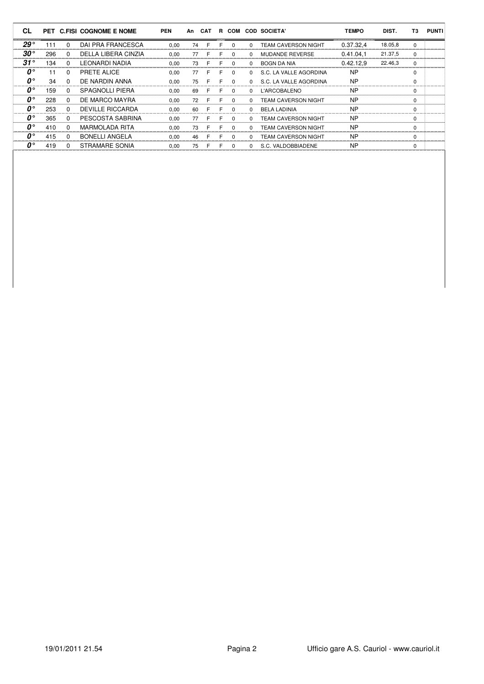| <b>CL</b>                     |     |              | PET C.FISI COGNOME E NOME | <b>PEN</b> | An | CAT | B. | COM      |              | <b>COD SOCIETA'</b>        | <b>TEMPO</b> | DIST.   | T3       | <b>PUNTI</b> |
|-------------------------------|-----|--------------|---------------------------|------------|----|-----|----|----------|--------------|----------------------------|--------------|---------|----------|--------------|
| $29^{\circ}$                  | 111 | $\Omega$     | DAI PRA FRANCESCA         | 0.00       | 74 | F   | F  | $\Omega$ | $\Omega$     | <b>TEAM CAVERSON NIGHT</b> | 0.37.32.4    | 18.05,8 | $\Omega$ |              |
| $30^{\circ}$                  | 296 | $\Omega$     | DELLA LIBERA CINZIA       | 0.00       | 77 | F   | F  | $\Omega$ | $\Omega$     | <b>MUDANDE REVERSE</b>     | 0.41.04.1    | 21.37,5 | $\Omega$ |              |
| $31^\circ$                    | 134 | $\Omega$     | <b>LEONARDI NADIA</b>     | 0.00       | 73 | F   | F  | $\Omega$ | $\Omega$     | BOGN DA NIA                | 0.42.12.9    | 22.46,3 | $\Omega$ |              |
| $\bm{o}^{\circ}$              | 11  | $\Omega$     | PRETE ALICE               | 0.00       | 77 |     | F  | $\Omega$ | $\Omega$     | S.C. LA VALLE AGORDINA     | <b>NP</b>    |         | 0        |              |
| $\mathbf{0}^{\circ}$          | 34  | $\Omega$     | DE NARDIN ANNA            | 0.00       | 75 | F   | F  | $\Omega$ | $\Omega$     | S.C. LA VALLE AGORDINA     | <b>NP</b>    |         | $\Omega$ |              |
| $\mathbf{0}^{\circ}$          | 159 | $\Omega$     | <b>SPAGNOLLI PIERA</b>    | 0.00       | 69 | F   | F  | $\Omega$ | $\Omega$     | L'ARCOBALENO               | <b>NP</b>    |         | $\Omega$ |              |
| $\boldsymbol{\theta}^{\circ}$ | 228 | $\Omega$     | DE MARCO MAYRA            | 0.00       | 72 |     | F  | $\Omega$ | $\Omega$     | <b>TEAM CAVERSON NIGHT</b> | <b>NP</b>    |         | 0        |              |
| $\mathbf{0}^{\circ}$          | 253 | $\Omega$     | <b>DEVILLE RICCARDA</b>   | 0.00       | 60 | F   | F  | $\Omega$ | $\Omega$     | <b>BELA LADINIA</b>        | <b>NP</b>    |         | $\Omega$ |              |
| $\boldsymbol{\theta}^{\circ}$ | 365 | <sup>0</sup> | PESCOSTA SABRINA          | 0.00       | 77 | F   | F  | $\Omega$ | $\Omega$     | <b>TEAM CAVERSON NIGHT</b> | <b>NP</b>    |         | $\Omega$ |              |
| $\mathbf{0}^{\circ}$          | 410 | $\Omega$     | <b>MARMOLADA RITA</b>     | 0.00       | 73 | F.  | F  | $\Omega$ | $\Omega$     | <b>TEAM CAVERSON NIGHT</b> | <b>NP</b>    |         | $\Omega$ |              |
| $\mathbf{0}^{\circ}$          | 415 | $\Omega$     | <b>BONELLI ANGELA</b>     | 0.00       | 46 | F   | F  | $\Omega$ | $\Omega$     | <b>TEAM CAVERSON NIGHT</b> | <b>NP</b>    |         | $\Omega$ |              |
| $\mathbf{0}^{\circ}$          | 419 | $\Omega$     | STRAMARE SONIA            | 0.00       | 75 | F   | F  | $\Omega$ | <sup>0</sup> | S.C. VALDOBBIADENE         | <b>NP</b>    |         | 0        |              |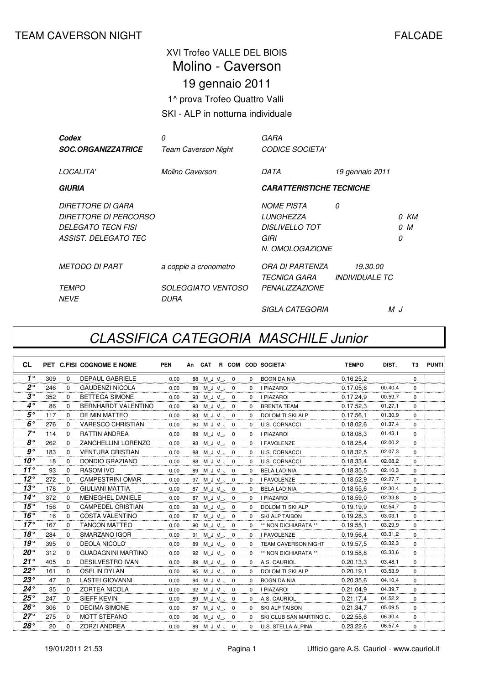## XVI Trofeo VALLE DEL BIOIS 19 gennaio 2011 1^ prova Trofeo Quattro Valli Molino - Caverson

SKI - ALP in notturna individuale

| Codex                        | 0                          | GARA                            |                              |    |      |
|------------------------------|----------------------------|---------------------------------|------------------------------|----|------|
| <b>SOC.ORGANIZZATRICE</b>    | <b>Team Caverson Night</b> | <b>CODICE SOCIETA'</b>          |                              |    |      |
|                              |                            |                                 |                              |    |      |
| LOCALITA'                    | Molino Caverson            | DATA                            | 19 gennaio 2011              |    |      |
| <b>GIURIA</b>                |                            | <b>CARATTERISTICHE TECNICHE</b> |                              |    |      |
|                              |                            |                                 |                              |    |      |
| DIRETTORE DI GARA            |                            | <b>NOME PISTA</b>               | 0                            |    |      |
| <i>DIRETTORE DI PERCORSO</i> |                            | LUNGHEZZA                       |                              |    | 0 KM |
| DELEGATO TECN FISI           |                            | <b>DISLIVELLO TOT</b>           |                              |    | 0 M  |
| ASSIST. DELEGATO TEC         |                            | GIRI                            |                              | 0  |      |
|                              |                            | N. OMOLOGAZIONE                 |                              |    |      |
| <i>METODO DI PART</i>        | a coppie a cronometro      | ORA DI PARTENZA                 | 19.30.00                     |    |      |
|                              |                            | TECNICA GARA                    | <i><b>INDIVIDUALE TC</b></i> |    |      |
| <b>TEMPO</b>                 | <i>SOLEGGIATO VENTOSO</i>  | <b>PENALIZZAZIONE</b>           |                              |    |      |
| <b>NFVF</b>                  | DURA                       |                                 |                              |    |      |
|                              |                            | <i>SIGLA CATEGORIA</i>          |                              | МJ |      |

## CLASSIFICA CATEGORIA MASCHILE Junior

| <b>CL</b>    |     |             | PET C.FISI COGNOME E NOME  | <b>PEN</b> | An |               |  |              | CAT R COM COD SOCIETA'     | <b>TEMPO</b> | DIST.   | T3          | <b>PUNTI</b> |
|--------------|-----|-------------|----------------------------|------------|----|---------------|--|--------------|----------------------------|--------------|---------|-------------|--------------|
| $1^{\circ}$  | 309 | 0           | <b>DEPAUL GABRIELE</b>     | 0.00       |    | 0 / N J M & 8 |  | $\Omega$     | BOGN DA NIA                | 0.16.25.2    |         | $\Omega$    |              |
| $2^{\circ}$  | 246 | $\Omega$    | <b>GAUDENZI NICOLA</b>     | 0,00       |    | 89 M J VI , 0 |  | $\Omega$     | <b>I PIAZAROI</b>          | 0.17.05.6    | 00.40,4 | $\Omega$    |              |
| $3^{\circ}$  | 352 | $\Omega$    | <b>BETTEGA SIMONE</b>      | 0,00       |    | 93 M J VI , 0 |  | $\Omega$     | <b>I PIAZAROI</b>          | 0.17.24.9    | 00.59,7 | $\Omega$    |              |
| $4^\circ$    | 86  | $\Omega$    | <b>BERNHARDT VALENTINO</b> | 0.00       |    | 93 M J M 、 0  |  | $\Omega$     | <b>BRENTA TEAM</b>         | 0.17.52.3    | 01.27,1 | $\Omega$    |              |
| $5^{\circ}$  | 117 | $\Omega$    | DE MIN MATTEO              | 0,00       |    | 93 M J M 、 0  |  | $\Omega$     | <b>DOLOMITI SKI ALP</b>    | 0.17.56.1    | 01.30,9 | 0           |              |
| $6^{\circ}$  | 276 | $\Omega$    | <b>VARESCO CHRISTIAN</b>   | 0.00       |    | 90 M J VI , 0 |  | $\Omega$     | <b>U.S. CORNACCI</b>       | 0.18.02, 6   | 01.37,4 | $\Omega$    |              |
| $7^\circ$    | 114 | $\Omega$    | <b>RATTIN ANDREA</b>       | 0,00       |    | 89 M_J VI_、0  |  | 0            | <b>I PIAZAROI</b>          | 0.18.08.3    | 01.43,1 | 0           |              |
| $8^{\circ}$  | 262 | $\Omega$    | ZANGHELLINI LORENZO        | 0.00       |    | 93 M J M 、 0  |  | $\Omega$     | <b>I FAVOLENZE</b>         | 0.18.25,4    | 02.00,2 | $\Omega$    |              |
| $g^{\circ}$  | 183 | $\Omega$    | <b>VENTURA CRISTIAN</b>    | 0,00       |    | 0 / N J M 88  |  | $\mathbf{0}$ | <b>U.S. CORNACCI</b>       | 0.18.32,5    | 02.07,3 | $\Omega$    |              |
| $10^{\circ}$ | 18  | $\Omega$    | DONDIO GRAZIANO            | 0.00       |    | 0 / N J M & 8 |  | $\Omega$     | <b>U.S. CORNACCI</b>       | 0.18.33,4    | 02.08.2 | $\Omega$    |              |
| $11^{\circ}$ | 93  | $\Omega$    | <b>RASOM IVO</b>           | 0.00       |    | 89 M J M 、 0  |  | $\Omega$     | <b>BELA LADINIA</b>        | 0.18.35,5    | 02.10,3 | $\Omega$    |              |
| $12^{\circ}$ | 272 | $\Omega$    | <b>CAMPESTRINI OMAR</b>    | 0,00       |    | 97 M J VI , 0 |  | $\Omega$     | I FAVOLENZE                | 0.18.52.9    | 02.27,7 | $\Omega$    |              |
| $13^\circ$   | 178 | $\Omega$    | <b>GIULIANI MATTIA</b>     | 0,00       |    | 87 M J M 、 0  |  | $\Omega$     | <b>BELA LADINIA</b>        | 0.18.55,6    | 02.30,4 | $\Omega$    |              |
| $14^{\circ}$ | 372 | $\mathbf 0$ | <b>MENEGHEL DANIELE</b>    | 0.00       |    | 87 M J M 、 0  |  | $\mathbf{0}$ | <b>I PIAZAROI</b>          | 0.18.59.0    | 02.33,8 | $\Omega$    |              |
| 15°          | 156 | $\Omega$    | <b>CAMPEDEL CRISTIAN</b>   | 0,00       |    | 93 M J VI , 0 |  | $\Omega$     | <b>DOLOMITI SKI ALP</b>    | 0.19.19.9    | 02.54,7 | $\Omega$    |              |
| 16°          | 16  | $\Omega$    | <b>COSTA VALENTINO</b>     | 0,00       |    | 87 M J M 、 0  |  | $\Omega$     | SKI ALP TAIBON             | 0.19.28,3    | 03.03.1 | $\Omega$    |              |
| $17^\circ$   | 167 | $\Omega$    | <b>TANCON MATTEO</b>       | 0.00       | 90 | M J VI O      |  | 0            | ** NON DICHIARATA **       | 0.19.55.1    | 03.29,9 | $\mathbf 0$ |              |
| $18^{\circ}$ | 284 | $\Omega$    | SMARZANO IGOR              | 0.00       |    | 91 M J VI , 0 |  | $\Omega$     | <b>I FAVOLENZE</b>         | 0.19.56,4    | 03.31,2 | $\Omega$    |              |
| $19^\circ$   | 395 | $\Omega$    | <b>DEOLA NICOLO'</b>       | 0,00       |    | 89 M J VI , 0 |  | $\Omega$     | <b>TEAM CAVERSON NIGHT</b> | 0.19.57,5    | 03.32,3 | $\Omega$    |              |
| $20^{\circ}$ | 312 | 0           | <b>GUADAGNINI MARTINO</b>  | 0.00       |    | 92 M J M 、 0  |  | 0            | ** NON DICHIARATA **       | 0.19.58.8    | 03.33,6 | $\mathbf 0$ |              |
| $21^{\circ}$ | 405 | $\Omega$    | <b>DESILVESTRO IVAN</b>    | 0,00       | 89 | MJM, 0        |  | $\Omega$     | A.S. CAURIOL               | 0.20.13,3    | 03.48,1 | $\Omega$    |              |
| $22^{\circ}$ | 161 | $\Omega$    | <b>OSELIN DYLAN</b>        | 0.00       |    | 95 M_J VI_、0  |  | $\Omega$     | <b>DOLOMITI SKI ALP</b>    | 0.20.19,1    | 03.53,9 | $\Omega$    |              |
| $23^{\circ}$ | 47  | $\Omega$    | <b>LASTEI GIOVANNI</b>     | 0.00       |    | 94 M J VI 、 0 |  | $\Omega$     | <b>BOGN DA NIA</b>         | 0.20.35,6    | 04.10,4 | $\Omega$    |              |
| $24^{\circ}$ | 35  | $\Omega$    | <b>ZORTEA NICOLA</b>       | 0,00       |    | 92 M J M 、 0  |  | $\Omega$     | <b>I PIAZAROI</b>          | 0.21.04.9    | 04.39,7 | $\Omega$    |              |
| $25^{\circ}$ | 247 | $\Omega$    | <b>SIEFF KEVIN</b>         | 0.00       |    | 89 M J VI , 0 |  | $\Omega$     | A.S. CAURIOL               | 0.21.17,4    | 04.52,2 | $\Omega$    |              |
| $26^{\circ}$ | 306 | $\Omega$    | <b>DECIMA SIMONE</b>       | 0.00       |    | 87 M J VI 、 0 |  | $\Omega$     | <b>SKI ALP TAIBON</b>      | 0.21.34,7    | 05.09,5 | 0           |              |
| $27^\circ$   | 275 | $\Omega$    | <b>MOTT STEFANO</b>        | 0,00       |    | 96 M J VI , 0 |  | $\Omega$     | SKI CLUB SAN MARTINO C.    | 0.22.55.6    | 06.30,4 | $\Omega$    |              |
| $28^\circ$   | 20  | $\Omega$    | <b>ZORZI ANDREA</b>        | 0,00       |    | 89 M J M 、 0  |  | $\Omega$     | U.S. STELLA ALPINA         | 0.23.22,6    | 06.57,4 | $\Omega$    |              |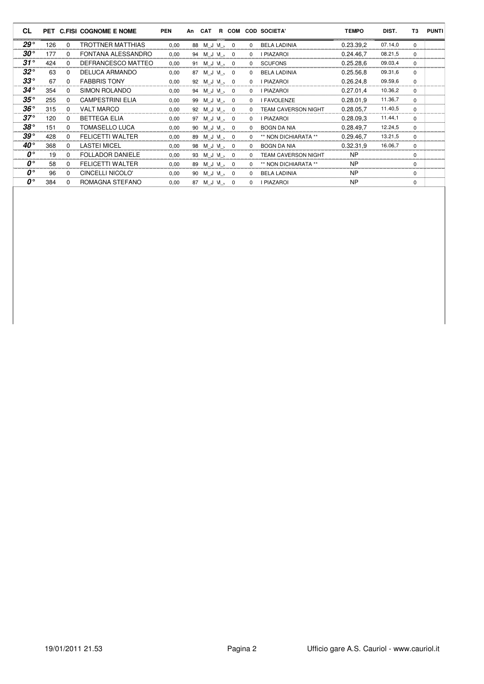| <b>CL</b>                     |     |          | PET C.FISI COGNOME E NOME | <b>PEN</b> | An | <b>CAT</b>    | R COM                   |          | <b>COD SOCIETA'</b>        | <b>TEMPO</b> | DIST.   | T3       | <b>PUNTI</b> |
|-------------------------------|-----|----------|---------------------------|------------|----|---------------|-------------------------|----------|----------------------------|--------------|---------|----------|--------------|
| $29^{\circ}$                  | 126 | $\Omega$ | <b>TROTTNER MATTHIAS</b>  | 0,00       |    | 88 M J M 、 0  |                         | $\Omega$ | <b>BELA LADINIA</b>        | 0.23.39,2    | 07.14,0 | $\Omega$ |              |
| $30^{\circ}$                  | 177 | $\Omega$ | FONTANA ALESSANDRO        | 0,00       |    | 94 M J M 、    | $\mathbf 0$             | $\Omega$ | <b>I PIAZAROI</b>          | 0.24.46.7    | 08.21,5 | $\Omega$ |              |
| $31^{\circ}$                  | 424 | $\Omega$ | DEFRANCESCO MATTEO        | 0,00       |    | 91 M J VI 、   | $\mathbf 0$             | $\Omega$ | <b>SCUFONS</b>             | 0.25.28.6    | 09.03,4 | $\Omega$ |              |
| $32^{\circ}$                  | 63  | $\Omega$ | DELUCA ARMANDO            | 0,00       |    | 87 M J M 、    | $\overline{\mathbf{0}}$ | $\Omega$ | <b>BELA LADINIA</b>        | 0.25.56.8    | 09.31,6 | $\Omega$ |              |
| $33^{\circ}$                  | 67  | $\Omega$ | <b>FABBRIS TONY</b>       | 0,00       |    | 92 M J VI 、   | $\overline{0}$          | $\Omega$ | <b>I PIAZAROI</b>          | 0.26.24,8    | 09.59,6 | $\Omega$ |              |
| $34^{\circ}$                  | 354 | $\Omega$ | SIMON ROLANDO             | 0,00       |    | 94 M J VI .   | $\mathbf 0$             | $\Omega$ | <b>I PIAZAROI</b>          | 0.27.01,4    | 10.36,2 | $\Omega$ |              |
| $35^{\circ}$                  | 255 | $\Omega$ | <b>CAMPESTRINI ELIA</b>   | 0,00       |    | 99 M J W 、    | $\overline{0}$          | $\Omega$ | <b>I FAVOLENZE</b>         | 0.28.01,9    | 11.36,7 | $\Omega$ |              |
| $36^{\circ}$                  | 315 | $\Omega$ | <b>VALT MARCO</b>         | 0,00       |    | 92 M J VI 、   | $\mathbf 0$             | $\Omega$ | <b>TEAM CAVERSON NIGHT</b> | 0.28.05,7    | 11.40,5 | $\Omega$ |              |
| $37^\circ$                    | 120 | $\Omega$ | <b>BETTEGA ELIA</b>       | 0,00       |    | 97 M J VI 、   | $\overline{0}$          | $\Omega$ | <b>I PIAZAROI</b>          | 0.28.09.3    | 11.44,1 | $\Omega$ |              |
| $38^{\circ}$                  | 151 | $\Omega$ | <b>TOMASELLO LUCA</b>     | 0.00       |    | 90 M J VI , 0 |                         | $\Omega$ | <b>BOGN DA NIA</b>         | 0.28.49.7    | 12.24,5 | $\Omega$ |              |
| $39^{\circ}$                  | 428 | $\Omega$ | <b>FELICETTI WALTER</b>   | 0,00       |    | 89 M J VI , 0 |                         | $\Omega$ | ** NON DICHIARATA **       | 0.29.46.7    | 13.21,5 | $\Omega$ |              |
| $40^{\circ}$                  | 368 | $\Omega$ | <b>LASTEI MICEL</b>       | 0,00       |    | 98 M J M 、    | $\mathbf 0$             | $\Omega$ | <b>BOGN DA NIA</b>         | 0.32.31.9    | 16.06,7 | $\Omega$ |              |
| $\mathbf{0}^{\circ}$          | 19  | $\Omega$ | <b>FOLLADOR DANIELE</b>   | 0.00       |    | 93 M J VI 、   | $\Omega$                | $\Omega$ | <b>TEAM CAVERSON NIGHT</b> | <b>NP</b>    |         | $\Omega$ |              |
| $\mathbf{0}^{\circ}$          | 58  | $\Omega$ | <b>FELICETTI WALTER</b>   | 0,00       |    | 89 M J VI 、   | $\overline{\mathbf{0}}$ | $\Omega$ | ** NON DICHIARATA **       | <b>NP</b>    |         | $\Omega$ |              |
| $\mathbf{0}^{\circ}$          | 96  | $\Omega$ | CINCELLI NICOLO'          | 0.00       | 90 | M J M 、       | $\mathbf 0$             | $\Omega$ | <b>BELA LADINIA</b>        | <b>NP</b>    |         | $\Omega$ |              |
| $\boldsymbol{\theta}^{\circ}$ | 384 | $\Omega$ | ROMAGNA STEFANO           | 0,00       | 87 | M J M 、       | 0                       | $\Omega$ | <b>I PIAZAROI</b>          | <b>NP</b>    |         | $\Omega$ |              |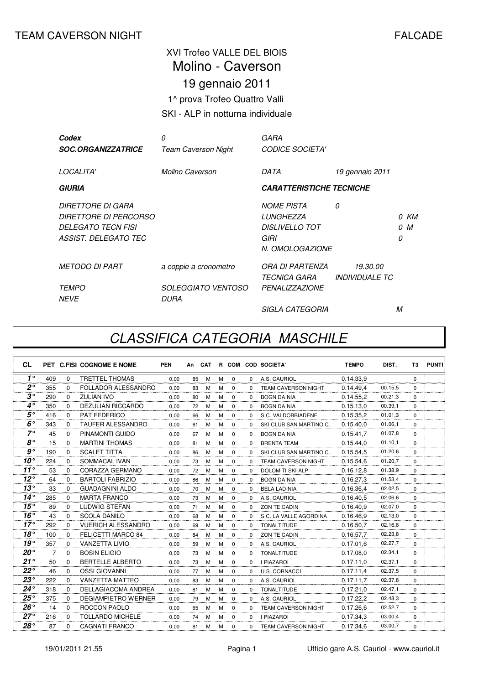## XVI Trofeo VALLE DEL BIOIS 19 gennaio 2011 1^ prova Trofeo Quattro Valli Molino - Caverson

#### SKI - ALP in notturna individuale

| Codex                            | 0                          | GARA                            |                       |   |      |
|----------------------------------|----------------------------|---------------------------------|-----------------------|---|------|
| <i><b>SOC.ORGANIZZATRICE</b></i> | <b>Team Caverson Night</b> | <b>CODICE SOCIETA'</b>          |                       |   |      |
|                                  |                            |                                 |                       |   |      |
| LOCALITA'                        | Molino Caverson            | DATA                            | 19 gennaio 2011       |   |      |
| <b>GIURIA</b>                    |                            | <b>CARATTERISTICHE TECNICHE</b> |                       |   |      |
|                                  |                            |                                 |                       |   |      |
| <b>DIRETTORE DI GARA</b>         |                            | <b>NOME PISTA</b>               | 0                     |   |      |
| <i>DIRETTORE DI PERCORSO</i>     |                            | <b>LUNGHEZZA</b>                |                       |   | 0 KM |
| <b>DELEGATO TECN FISI</b>        |                            | DISLIVELLO TOT                  |                       |   | 0 M  |
| ASSIST. DELEGATO TEC             |                            | GIRI                            |                       | 0 |      |
|                                  |                            | N. OMOLOGAZIONE                 |                       |   |      |
| <b>METODO DI PART</b>            | a coppie a cronometro      | ORA DI PARTENZA                 | 19.30.00              |   |      |
|                                  |                            | <i>TECNICA GARA</i>             | <b>INDIVIDUALE TC</b> |   |      |
| <i>TEMPO</i>                     | <i>SOLEGGIATO VENTOSO</i>  | <b>PENALIZZAZIONE</b>           |                       |   |      |
| <b>NEVE</b>                      | <i>DURA</i>                |                                 |                       |   |      |
|                                  |                            | <i>SIGLA CATEGORIA</i>          |                       | М |      |

## CLASSIFICA CATEGORIA MASCHILE

| <b>CL</b>      |                |             | PET C.FISI COGNOME E NOME  | <b>PEN</b> | An | <b>CAT</b> |   |             |              | R COM COD SOCIETA'         | <b>TEMPO</b> | DIST.   | T3       | <b>PUNTI</b> |
|----------------|----------------|-------------|----------------------------|------------|----|------------|---|-------------|--------------|----------------------------|--------------|---------|----------|--------------|
| $1^{\circ}$    | 409            | $\Omega$    | <b>TRETTEL THOMAS</b>      | 0.00       | 85 | M          | м | $\mathbf 0$ | $\Omega$     | A.S. CAURIOL               | 0.14.33.9    |         | $\Omega$ |              |
| $2^{\circ}$    | 355            | $\Omega$    | <b>FOLLADOR ALESSANDRO</b> | 0.00       | 83 | м          | M | $\Omega$    | $\Omega$     | <b>TEAM CAVERSON NIGHT</b> | 0.14.49.4    | 00.15.5 | $\Omega$ |              |
| $3^{\circ}$    | 290            | $\Omega$    | <b>ZULIAN IVO</b>          | 0,00       | 80 | M          | M | $\Omega$    | $\Omega$     | <b>BOGN DA NIA</b>         | 0.14.55,2    | 00.21,3 | $\Omega$ |              |
| $4^\circ$      | 350            | $\Omega$    | <b>DEZULIAN RICCARDO</b>   | 0.00       | 72 | М          | M | $\Omega$    | $\Omega$     | <b>BOGN DA NIA</b>         | 0.15.13.0    | 00.39,1 | $\Omega$ |              |
| $5^{\circ}$    | 416            | $\Omega$    | PAT FEDERICO               | 0.00       | 66 | M          | М | $\mathbf 0$ | 0            | S.C. VALDOBBIADENE         | 0.15.35.2    | 01.01.3 | 0        |              |
| $6^{\circ}$    | 343            | $\Omega$    | <b>TAUFER ALESSANDRO</b>   | 0,00       | 81 | M          | M | $\Omega$    | $\Omega$     | SKI CLUB SAN MARTINO C.    | 0.15.40,0    | 01.06.1 | $\Omega$ |              |
| $7^\circ$      | 45             | $\Omega$    | PINAMONTI GUIDO            | 0,00       | 67 | M          | M | $\mathbf 0$ | $\Omega$     | <b>BOGN DA NIA</b>         | 0.15.41,7    | 01.07,8 | $\Omega$ |              |
| $8^{\circ}$    | 15             | $\Omega$    | <b>MARTINI THOMAS</b>      | 0.00       | 81 | M          | M | $\Omega$    | $\Omega$     | <b>BRENTA TEAM</b>         | 0.15.44,0    | 01.10.1 | $\Omega$ |              |
| g <sup>°</sup> | 190            | $\Omega$    | <b>SCALET TITTA</b>        | 0.00       | 86 | M          | M | $\mathbf 0$ | $\Omega$     | SKI CLUB SAN MARTINO C.    | 0.15.54,5    | 01.20,6 | $\Omega$ |              |
| $10^{\circ}$   | 224            | $\Omega$    | SOMMACAL IVAN              | 0.00       | 73 | M          | M | $\mathbf 0$ | $\Omega$     | <b>TEAM CAVERSON NIGHT</b> | 0.15.54.6    | 01.20.7 | $\Omega$ |              |
| $11^{\circ}$   | 53             | $\Omega$    | CORAZZA GERMANO            | 0,00       | 72 | M          | M | $\Omega$    | $\Omega$     | <b>DOLOMITI SKI ALP</b>    | 0.16.12,8    | 01.38.9 | $\Omega$ |              |
| $12^{\circ}$   | 64             | $\Omega$    | <b>BARTOLI FABRIZIO</b>    | 0,00       | 86 | M          | M | $\Omega$    | $\Omega$     | <b>BOGN DA NIA</b>         | 0.16.27,3    | 01.53.4 | $\Omega$ |              |
| $13^\circ$     | 33             | $\Omega$    | <b>GUADAGNINI ALDO</b>     | 0,00       | 70 | M          | M | $\mathbf 0$ | $\Omega$     | <b>BELA LADINIA</b>        | 0.16.36.4    | 02.02,5 | $\Omega$ |              |
| $14^{\circ}$   | 285            | $\Omega$    | <b>MARTA FRANCO</b>        | 0.00       | 73 | M          | M | 0           | $\Omega$     | A.S. CAURIOL               | 0.16.40.5    | 02.06.6 | $\Omega$ |              |
| 15°            | 89             | $\Omega$    | LUDWIG STEFAN              | 0,00       | 71 | M          | M | $\Omega$    | $\Omega$     | ZON TE CADIN               | 0.16.40.9    | 02.07.0 | $\Omega$ |              |
| 16°            | 43             | $\Omega$    | <b>SCOLA DANILO</b>        | 0,00       | 68 | M          | M | $\Omega$    | $\Omega$     | S.C. LA VALLE AGORDINA     | 0.16.46.9    | 02.13,0 | $\Omega$ |              |
| $17^\circ$     | 292            | $\Omega$    | <b>VUERICH ALESSANDRO</b>  | 0,00       | 69 | M          | M | $\Omega$    | $\Omega$     | <b>TONALTITUDE</b>         | 0.16.50.7    | 02.16,8 | $\Omega$ |              |
| 18°            | 100            | $\Omega$    | <b>FELICETTI MARCO 84</b>  | 0.00       | 84 | M          | M | 0           | $\Omega$     | ZON TE CADIN               | 0.16.57.7    | 02.23,8 | $\Omega$ |              |
| 19°            | 357            | $\Omega$    | <b>VANZETTA LIVIO</b>      | 0.00       | 59 | M          | M | $\mathbf 0$ | $\Omega$     | A.S. CAURIOL               | 0.17.01.6    | 02.27,7 | $\Omega$ |              |
| $20^{\circ}$   | $\overline{7}$ | $\mathbf 0$ | <b>BOSIN ELIGIO</b>        | 0,00       | 73 | M          | M | $\mathbf 0$ | $\Omega$     | <b>TONALTITUDE</b>         | 0.17.08.0    | 02.34.1 | $\Omega$ |              |
| $21^{\circ}$   | 50             | $\Omega$    | <b>BERTELLE ALBERTO</b>    | 0,00       | 73 | M          | M | $\mathbf 0$ | $\Omega$     | <b>I PIAZAROI</b>          | 0.17.11.0    | 02.37,1 | $\Omega$ |              |
| $22^{\circ}$   | 46             | $\Omega$    | <b>OSSI GIOVANNI</b>       | 0.00       | 77 | M          | м | $\Omega$    | $\Omega$     | <b>U.S. CORNACCI</b>       | 0.17.11.4    | 02.37,5 | $\Omega$ |              |
| $23^{\circ}$   | 222            | $\Omega$    | VANZETTA MATTEO            | 0.00       | 83 | м          | M | $\mathbf 0$ | $\Omega$     | A.S. CAURIOL               | 0.17.11.7    | 02.37,8 | $\Omega$ |              |
| $24^{\circ}$   | 318            | $\Omega$    | DELLAGIACOMA ANDREA        | 0,00       | 81 | M          | M | $\mathbf 0$ | $\Omega$     | <b>TONALTITUDE</b>         | 0.17.21,0    | 02.47,1 | $\Omega$ |              |
| $25^{\circ}$   | 375            | $\Omega$    | <b>DEGIAMPIETRO WERNER</b> | 0.00       | 79 | M          | M | $\Omega$    | $\Omega$     | A.S. CAURIOL               | 0.17.22.2    | 02.48,3 | $\Omega$ |              |
| $26^{\circ}$   | 14             | $\mathbf 0$ | ROCCON PAOLO               | 0.00       | 65 | M          | м | 0           | $\Omega$     | <b>TEAM CAVERSON NIGHT</b> | 0.17.26.6    | 02.52,7 | $\Omega$ |              |
| $27^\circ$     | 216            | $\Omega$    | <b>TOLLARDO MICHELE</b>    | 0.00       | 74 | м          | м | $\Omega$    | <sup>0</sup> | <b>I PIAZAROI</b>          | 0.17.34.3    | 03.00,4 | $\Omega$ |              |
| $28^\circ$     | 87             | $\Omega$    | <b>CAGNATI FRANCO</b>      | 0.00       | 81 | м          | M | $\Omega$    | <sup>0</sup> | <b>TEAM CAVERSON NIGHT</b> | 0.17.34.6    | 03.00.7 | $\Omega$ |              |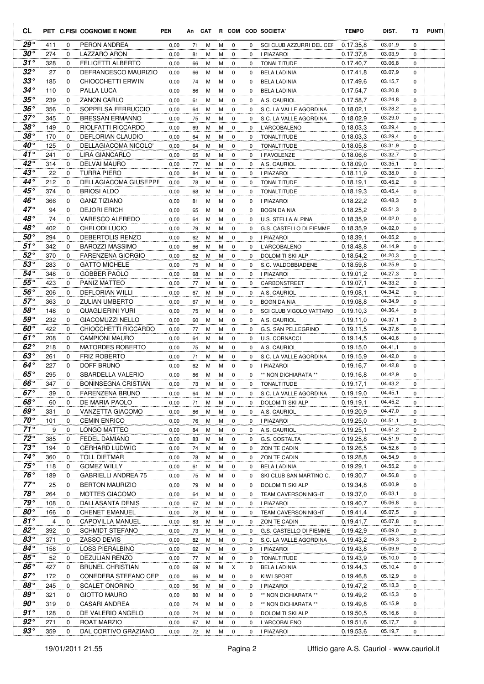| CL                       |            |               | PET C.FISI COGNOME E NOME                | <b>PEN</b>   |          |        |        |                         |             | An CAT R COM COD SOCIETA'             | <b>TEMPO</b>           | DIST.              | T3            | <b>PUNTI</b> |
|--------------------------|------------|---------------|------------------------------------------|--------------|----------|--------|--------|-------------------------|-------------|---------------------------------------|------------------------|--------------------|---------------|--------------|
| $29^{\circ}$             | 411        | 0             | PERON ANDREA                             | 0,00         | 71       | М      | м      | $\mathbf 0$             | 0           | SCI CLUB AZZURRI DEL CEF              | 0.17.35.8              | 03.01,9            | $\mathbf 0$   |              |
| $30^{\circ}$             | 274        | 0             | LAZZARO ARON                             | 0,00         | 81       | М      | м      | 0                       | 0           | I PIAZAROI                            | 0.17.37,8              | 03.03,9            | 0             |              |
| $31^{\circ}$             | 328        | 0             | <b>FELICETTI ALBERTO</b>                 | 0,00         | 66       | М      | м      | 0                       | 0           | <b>TONALTITUDE</b>                    | 0.17.40,7              | 03.06,8            | $\mathbf 0$   |              |
| $32^{\circ}$             | 27         | 0             | DEFRANCESCO MAURIZIO                     | 0,00         | 66       | M      | М      | 0                       | 0           | BELA LADINIA                          | 0.17.41,8              | 03.07,9            | 0             |              |
| $33^\circ$               | 185        | 0             | CHIOCCHETTI ERWIN                        | 0,00         | 74       | M      | М      | 0                       | 0           | BELA LADINIA                          | 0.17.49,6              | 03.15,7            | 0             |              |
| $34^{\circ}$             | 110        | 0             | PALLA LUCA                               | 0,00         | 86       | M      | M      | 0                       | 0           | <b>BELA LADINIA</b>                   | 0.17.54,7              | 03.20,8            | 0             |              |
| $35^{\circ}$             | 239        | $\mathbf 0$   | <b>ZANON CARLO</b>                       | 0,00         | 61       | М      | M      | 0                       | 0           | A.S. CAURIOL                          | 0.17.58,7              | 03.24,8            | 0             |              |
| $36^{\circ}$             | 356        | 0             | SOPPELSA FERRUCCIO                       | 0,00         | 64       | М      | м      | 0                       | 0           | S.C. LA VALLE AGORDINA                | 0.18.02,1              | 03.28,2            | 0             |              |
| $37^{\circ}$             | 345        | $\mathbf 0$   | <b>BRESSAN ERMANNO</b>                   | 0,00         | 75       | М      | м      | $\mathbf 0$             | 0           | S.C. LA VALLE AGORDINA                | 0.18.02,9              | 03.29,0            | $\mathbf 0$   |              |
| $38^\circ$<br>$38^\circ$ | 149        | 0             | RIOLFATTI RICCARDO                       | 0,00         | 69       | М      | м      | 0                       | 0           | L'ARCOBALENO                          | 0.18.03,3              | 03.29,4            | $\mathbf 0$   |              |
| $40^{\circ}$             | 170        | 0<br>0        | DEFLORIAN CLAUDIO                        | 0,00         | 64       | М      | м      | 0                       | 0           | TONALTITUDE                           | 0.18.03,3              | 03.29,4<br>03.31,9 | 0             |              |
| $41^{\circ}$             | 125<br>241 | $\Omega$      | DELLAGIACOMA NICOLO'<br>LIRA GIANCARLO   | 0,00         | 64       | M<br>M | м<br>М | 0<br>0                  | 0<br>0      | TONALTITUDE                           | 0.18.05,8<br>0.18.06,6 | 03.32,7            | 0<br>0        |              |
| $42^{\circ}$             | 314        | $\mathbf 0$   | DELVAI MAURO                             | 0,00<br>0,00 | 65<br>77 | М      | м      | 0                       | 0           | I FAVOLENZE<br>A.S. CAURIOL           | 0.18.09,0              | 03.35,1            | 0             |              |
| $43^\circ$               | 22         | $\mathbf 0$   | TURRA PIERO                              | 0,00         | 84       | М      | м      | 0                       | 0           | I PIAZAROI                            | 0.18.11,9              | 03.38,0            | 0             |              |
| $44^{\circ}$             | 212        | 0             | DELLAGIACOMA GIUSEPPE                    | 0,00         | 78       | М      | M      | $\mathbf 0$             | 0           | <b>TONALTITUDE</b>                    | 0.18.19,1              | 03.45,2            | $\mathbf 0$   |              |
| $45^{\circ}$             | 374        | $\mathbf 0$   | <b>BRIOSI ALDO</b>                       | 0,00         | 68       | М      | м      | $\mathbf 0$             | 0           | <b>TONALTITUDE</b>                    | 0.18.19,3              | 03.45,4            | 0             |              |
| 46°                      | 366        | $\mathbf 0$   | <b>GANZ TIZIANO</b>                      | 0,00         | 81       | М      | м      | 0                       | 0           | <b>I PIAZAROI</b>                     | 0.18.22,2              | 03.48,3            | $\mathbf 0$   |              |
| $47^\circ$               | 94         | 0             | <b>DEJORI ERICH</b>                      | 0,00         | 65       | М      | М      | 0                       | 0           | <b>BOGN DA NIA</b>                    | 0.18.25,2              | 03.51,3            | 0             |              |
| 48°                      | 74         | 0             | <b>VARESCO ALFREDO</b>                   | 0,00         | 64       | М      | М      | 0                       | 0           | U.S. STELLA ALPINA                    | 0.18.35,9              | 04.02,0            | $\mathbf 0$   |              |
| $48^\circ$               | 402        | 0             | <b>CHELODI LUCIO</b>                     | 0,00         | 79       | M      | М      | 0                       | 0           | G.S. CASTELLO DI FIEMME               | 0.18.35,9              | 04.02,0            | 0             |              |
| 50°                      | 294        | $\mathbf 0$   | DEBERTOLIS RENZO                         | 0,00         | 62       | М      | М      | 0                       | 0           | <b>I PIAZAROI</b>                     | 0.18.39,1              | 04.05,2            | 0             |              |
| $51^{\circ}$             | 342        | 0             | <b>BAROZZI MASSIMO</b>                   | 0,00         | 66       | M      | М      | 0                       | 0           | L'ARCOBALENO                          | 0.18.48,8              | 04.14,9            | 0             |              |
| $52^{\circ}$             | 370        | 0             | <b>FARENZENA GIORGIO</b>                 | 0,00         | 62       | М      | М      | 0                       | 0           | DOLOMITI SKI ALP                      | 0.18.54,2              | 04.20,3            | 0             |              |
| $53^{\circ}$             | 283        | 0             | <b>GATTO MICHELE</b>                     | 0,00         | 75       | M      | м      | 0                       | 0           | S.C. VALDOBBIADENE                    | 0.18.59,8              | 04.25,9            | 0             |              |
| 54°                      | 348        | $\mathbf 0$   | <b>GOBBER PAOLO</b>                      | 0,00         | 68       | М      | М      | 0                       | 0           | I PIAZAROI                            | 0.19.01,2              | 04.27,3            | $\mathbf 0$   |              |
| $55^{\circ}$             | 423        | 0             | PANIZ MATTEO                             | 0,00         | 77       | М      | М      | 0                       | 0           | CARBONSTREET                          | 0.19.07,1              | 04.33,2            | 0             |              |
| 56°                      | 206        | 0             | DEFLORIAN WILLI                          | 0,00         | 67       | М      | м      | 0                       | 0           | A.S. CAURIOL                          | 0.19.08,1              | 04.34,2            | 0             |              |
| $57^\circ$               | 363        | 0             | <b>ZULIAN UMBERTO</b>                    | 0,00         | 67       | M      | м      | 0                       | 0           | BOGN DA NIA                           | 0.19.08,8              | 04.34,9            | 0             |              |
| $58^{\circ}$             | 148        | 0             | QUAGLIERINI YURI                         | 0,00         | 75       | М      | М      | 0                       | 0           | SCI CLUB VIGOLO VATTARO               | 0.19.10,3              | 04.36,4            | 0             |              |
| $59^{\circ}$             | 232        | $\mathbf 0$   | <b>GIACOMUZZI NELLO</b>                  | 0,00         | 60       | M      | м      | 0                       | 0           | A.S. CAURIOL                          | 0.19.11,0              | 04.37,1            | 0             |              |
| 60°                      | 422        | $\mathbf 0$   | CHIOCCHETTI RICCARDO                     | 0,00         | 77       | М      | м      | 0                       | 0           | G.S. SAN PELLEGRINO                   | 0.19.11,5              | 04.37,6            | 0             |              |
| $61^\circ$               | 208        | $\mathbf 0$   | <b>CAMPIONI MAURO</b>                    | 0,00         | 64       | М      | м      | $\mathbf 0$             | 0           | U.S. CORNACCI                         | 0.19.14,5              | 04.40,6            | 0             |              |
| 62 $^{\circ}$            | 218        | $\mathbf 0$   | <b>MATORDES ROBERTO</b>                  | 0,00         | 75       | М      | м      | 0                       | 0           | A.S. CAURIOL                          | 0.19.15,0              | 04.41,1            | $\mathbf 0$   |              |
| $63^\circ$<br>64°        | 261        | 0             | <b>FRIZ ROBERTO</b>                      | 0,00         | 71       | М      | м      | 0                       | 0           | S.C. LA VALLE AGORDINA                | 0.19.15,9              | 04.42,0            | $\mathbf 0$   |              |
| $65^{\circ}$             | 227        | 0             | DOFF BRUNO                               | 0,00         | 62       | М      | м      | 0                       | 0           | I PIAZAROI<br>** NON DICHIARATA **    | 0.19.16,7              | 04.42,8<br>04.42,9 | 0             |              |
| $66^\circ$               | 295<br>347 | 0<br>$\Omega$ | SBARDELLA VALERIO<br>BONINSEGNA CRISTIAN | 0,00<br>0,00 | 86<br>73 | M<br>M | М<br>м | $\mathbf 0$<br>$\Omega$ | 0<br>0      |                                       | 0.19.16,8<br>0.19.17,1 | 04.43,2            | 0<br>$\Omega$ |              |
| $67^\circ$               | 39         | 0             | <b>FARENZENA BRUNO</b>                   | 0,00         | 64       | M      | М      | 0                       | 0           | TONALTITUDE<br>S.C. LA VALLE AGORDINA | 0.19.19.0              | 04.45,1            | 0             |              |
| 68°                      | 60         | $\mathbf 0$   | DE MARIA PAOLO                           | 0,00         | 71       | М      | М      | 0                       | 0           | DOLOMITI SKI ALP                      | 0.19.19,1              | 04.45,2            | 0             |              |
| 69°                      | 331        | 0             | VANZETTA GIACOMO                         | 0,00         | 86       | М      | М      | $\mathbf 0$             | 0           | A.S. CAURIOL                          | 0.19.20,9              | 04.47,0            | 0             |              |
| $70^{\circ}$             | 101        | 0             | <b>CEMIN ENRICO</b>                      | 0,00         | 76       | М      | М      | $\mathbf 0$             | 0           | I PIAZAROI                            | 0.19.25.0              | 04.51,1            | 0             |              |
| $71^\circ$               | 9          | 0             | LONGO MATTEO                             | 0,00         | 84       | М      | М      | $\mathbf 0$             | 0           | A.S. CAURIOL                          | 0.19.25,1              | 04.51,2            | $\mathbf 0$   |              |
| $72^{\circ}$             | 385        | 0             | FEDEL DAMIANO                            | 0,00         | 83       | М      | М      | 0                       | 0           | G.S. COSTALTA                         | 0.19.25.8              | 04.51,9            | 0             |              |
| $73^{\circ}$             | 194        | 0             | <b>GERHARD LUDWIG</b>                    | 0,00         | 74       | м      | м      | 0                       | 0           | ZON TE CADIN                          | 0.19.26,5              | 04.52,6            | 0             |              |
| $74^{\circ}$             | 360        | 0             | TOLL DIETMAR                             | 0,00         | 78       | М      | М      | 0                       | 0           | ZON TE CADIN                          | 0.19.28,8              | 04.54,9            | 0             |              |
| $75^{\circ}$             | 118        | 0             | <b>GOMEZ WILLY</b>                       | 0,00         | 61       | Μ      | М      | 0                       | 0           | <b>BELA LADINIA</b>                   | 0.19.29,1              | 04.55,2            | 0             |              |
| $76^{\circ}$             | 189        | $\mathbf 0$   | <b>GABRIELLI ANDREA 75</b>               | 0,00         | 75       | M      | М      | 0                       | 0           | SKI CLUB SAN MARTINO C.               | 0.19.30,7              | 04.56,8            | 0             |              |
| $77^\circ$               | 25         | 0             | <b>BERTON MAURIZIO</b>                   | 0,00         | 79       | М      | М      | 0                       | 0           | <b>DOLOMITI SKI ALP</b>               | 0.19.34,8              | 05.00,9            | 0             |              |
| $78^\circ$               | 264        | 0             | MOTTES GIACOMO                           | 0,00         | 64       | М      | M      | $\mathbf 0$             | 0           | <b>TEAM CAVERSON NIGHT</b>            | 0.19.37,0              | 05.03,1            | 0             |              |
| 79°                      | 108        | 0             | DALLASANTA DENIS                         | 0,00         | 67       | М      | М      | 0                       | 0           | I PIAZAROI                            | 0.19.40,7              | 05.06,8            | 0             |              |
| $80^{\circ}$             | 166        | 0             | CHENET EMANUEL                           | 0,00         | 78       | М      | М      | 0                       | 0           | TEAM CAVERSON NIGHT                   | 0.19.41,4              | 05.07,5            | 0             |              |
| $81^{\circ}$             | 4          | 0             | CAPOVILLA MANUEL                         | 0,00         | 83       | М      | М      | 0                       | 0           | ZON TE CADIN                          | 0.19.41,7              | 05.07,8            | 0             |              |
| $82^{\circ}$             | 392        | 0             | <b>SCHMIDT STEFANO</b>                   | 0,00         | 73       | М      | М      | 0                       | 0           | G.S. CASTELLO DI FIEMME               | 0.19.42,9              | 05.09,0            | 0             |              |
| $83^{\circ}$             | 371        | 0             | ZASSO DEVIS                              | 0,00         | 82       | М      | М      | 0                       | 0           | S.C. LA VALLE AGORDINA                | 0.19.43,2              | 05.09,3            | 0             |              |
| $84^{\circ}$             | 158        | $\mathbf 0$   | LOSS PIERALBINO                          | 0,00         | 62       | М      | М      | 0                       | 0           | I PIAZAROI                            | 0.19.43,8              | 05.09,9            | 0             |              |
| $85^{\circ}$             | 52         | 0             | DEZULIAN RENZO                           | 0,00         | 77       | М      | м      | 0                       | 0           | <b>TONALTITUDE</b>                    | 0.19.43,9              | 05.10,0            | 0             |              |
| $86^{\circ}$             | 427        | 0             | <b>BRUNEL CHRISTIAN</b>                  | 0,00         | 69       | М      | М      | Χ                       | $\mathbf 0$ | <b>BELA LADINIA</b>                   | 0.19.44,3              | 05.10,4            | 0             |              |
| $87^\circ$               | 172        | 0             | CONEDERA STEFANO CEPI                    | 0,00         | 66       | М      | М      | $\mathbf 0$             | 0           | KIWI SPORT                            | 0.19.46,8              | 05.12,9            | 0             |              |
| 88°<br>89°               | 245        | 0             | <b>SCALET ONORINO</b>                    | 0,00         | 56       | М      | М      | 0                       | 0           | I PIAZAROI                            | 0.19.47,2              | 05.13,3            | 0             |              |
| $90^{\circ}$             | 321        | 0             | <b>GIOTTO MAURO</b>                      | 0,00         | 80       | М      | м      | 0                       | 0           | ** NON DICHIARATA **                  | 0.19.49,2              | 05.15,3<br>05.15,9 | 0             |              |
| $91^{\circ}$             | 319<br>128 | 0<br>0        | CASARI ANDREA                            | 0,00         | 74       | М      | м      | 0                       | 0<br>0      | ** NON DICHIARATA **                  | 0.19.49,8              | 05.16,6            | 0             |              |
| $92^{\circ}$             | 271        | 0             | DE VALERIO ANGELO<br>ROAT MARZIO         | 0,00         | 74       | М      | М      | 0<br>0                  |             | DOLOMITI SKI ALP                      | 0.19.50,5              | 05.17,7            | 0             |              |
| $93^{\circ}$             | 359        | $\mathbf 0$   | DAL CORTIVO GRAZIANO                     | 0,00<br>0,00 | 67<br>72 | М<br>M | М<br>М | 0                       | 0<br>0      | L'ARCOBALENO<br>I PIAZAROI            | 0.19.51,6<br>0.19.53,6 | 05.19,7            | 0<br>0        |              |
|                          |            |               |                                          |              |          |        |        |                         |             |                                       |                        |                    |               |              |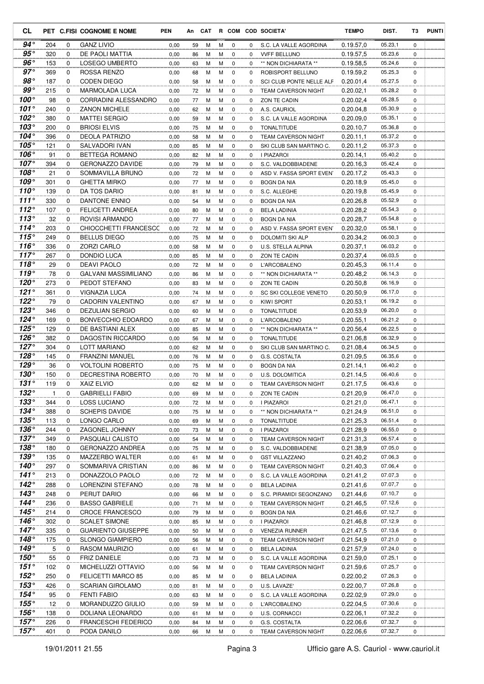| CL                            |            |                      | PET C.FISI COGNOME E NOME                     | <b>PEN</b>   |          |        |        |                            |          | An CAT R COM COD SOCIETA'                  | <b>TEMPO</b>           | DIST.              | T3               | <b>PUNTI</b> |
|-------------------------------|------------|----------------------|-----------------------------------------------|--------------|----------|--------|--------|----------------------------|----------|--------------------------------------------|------------------------|--------------------|------------------|--------------|
| $94^{\circ}$                  | 204        | 0                    | <b>GANZ LIVIO</b>                             | 0,00         | 59       | М      | м      | 0                          | 0        | S.C. LA VALLE AGORDINA                     | 0.19.57.0              | 05.23,1            | $\mathbf 0$      |              |
| $95^{\circ}$                  | 320        | 0                    | DE PAOLI MATTIA                               | 0,00         | 86       | М      | м      | 0                          | 0        | <b>VVFF BELLUNO</b>                        | 0.19.57,5              | 05.23,6            | 0                |              |
| $96^{\circ}$                  | 153        | 0                    | LOSEGO UMBERTO                                | 0,00         | 63       | М      | м      | $\mathbf 0$                | 0        | ** NON DICHIARATA **                       | 0.19.58,5              | 05.24,6            | 0                |              |
| $97^\circ$                    | 369        | 0                    | ROSSA RENZO                                   | 0,00         | 68       | M      | М      | $\mathbf 0$                | 0        | ROBISPORT BELLUNO                          | 0.19.59,2              | 05.25,3            | 0                |              |
| $98^{\circ}$                  | 187        | $\mathbf 0$          | <b>CODEN DIEGO</b>                            | 0,00         | 58       | M      | М      | $\mathbf 0$                | 0        | <b>SCI CLUB PONTE NELLE ALF</b>            | 0.20.01,4              | 05.27,5            | 0                |              |
| $99^{\circ}$                  | 215        | 0                    | MARMOLADA LUCA                                | 0,00         | 72       | M      | м      | $\mathbf 0$                | 0        | <b>TEAM CAVERSON NIGHT</b>                 | 0.20.02,1              | 05.28,2            | 0                |              |
| $100^{\circ}$                 | 98         | $\mathbf 0$          | <b>CORRADINI ALESSANDRO</b>                   | 0,00         | 77       | M      | M      | $\mathbf 0$                | 0        | ZON TE CADIN                               | 0.20.02,4              | 05.28,5            | 0                |              |
| $101^\circ$                   | 240        | 0                    | <b>ZANON MICHELE</b>                          | 0,00         | 62       | M      | M      | 0                          | 0        | A.S. CAURIOL                               | 0.20.04,8              | 05.30,9            | 0                |              |
| 102 $^{\circ}$                | 380        | $\mathbf 0$          | <b>MATTEI SERGIO</b>                          | 0,00         | 59       | М      | м      | 0                          | 0        | S.C. LA VALLE AGORDINA                     | 0.20.09,0              | 05.35,1            | $\mathbf 0$      |              |
| 103°                          | 200        | 0                    | <b>BRIOSI ELVIS</b>                           | 0,00         | 75       | М      | м      | 0                          | 0        | <b>TONALTITUDE</b>                         | 0.20.10,7              | 05.36,8            | $\mathbf 0$      |              |
| 104 $^{\circ}$<br>$105^\circ$ | 396        | 0                    | <b>DEOLA PATRIZIO</b>                         | 0,00         | 58       | М      | м      | 0                          | 0        | <b>TEAM CAVERSON NIGHT</b>                 | 0.20.11,1              | 05.37,2<br>05.37,3 | $\Omega$         |              |
| $106^\circ$                   | 121<br>91  | 0<br>$\Omega$        | SALVADORI IVAN<br>BETTEGA ROMANO              | 0,00         | 85<br>82 | M<br>М | м<br>м | $\mathbf 0$<br>$\mathbf 0$ | 0<br>0   | SKI CLUB SAN MARTINO C.<br>I PIAZAROI      | 0.20.11,2<br>0.20.14,1 | 05.40,2            | 0<br>0           |              |
| $107^\circ$                   | 394        | $\mathbf 0$          | <b>GERONAZZO DAVIDE</b>                       | 0,00<br>0,00 | 79       | М      | м      | $\mathbf 0$                | 0        | S.C. VALDOBBIADENE                         | 0.20.16,3              | 05.42,4            | 0                |              |
| 108°                          | 21         | $\mathbf 0$          | SOMMAVILLA BRUNO                              | 0,00         | 72       | М      | М      | 0                          | 0        | ASD V. FASSA SPORT EVENT                   | 0.20.17,2              | 05.43,3            | 0                |              |
| $109^\circ$                   | 301        | 0                    | <b>GHETTA MIRKO</b>                           | 0,00         | 77       | M      | M      | $\mathbf 0$                | 0        | <b>BOGN DA NIA</b>                         | 0.20.18.9              | 05.45,0            | $\mathbf 0$      |              |
| 110 $^{\circ}$                | 139        | $\mathbf 0$          | DA TOS DARIO                                  | 0,00         | 81       | М      | м      | $\mathbf 0$                | 0        | S.C. ALLEGHE                               | 0.20.19,8              | 05.45,9            | 0                |              |
| 111 $^{\circ}$                | 330        | $\mathbf 0$          | <b>DANTONE ENNIO</b>                          | 0,00         | 54       | М      | м      | $\mathbf 0$                | 0        | <b>BOGN DA NIA</b>                         | 0.20.26,8              | 05.52,9            | $\mathbf 0$      |              |
| 112 $^{\circ}$                | 107        | 0                    | <b>FELICETTI ANDREA</b>                       | 0,00         | 80       | М      | м      | 0                          | 0        | <b>BELA LADINIA</b>                        | 0.20.28,2              | 05.54,3            | 0                |              |
| 113 $^{\circ}$                | 32         | 0                    | ROVISI ARMANDO                                | 0,00         | 77       | M      | м      | $\mathbf 0$                | 0        | BOGN DA NIA                                | 0.20.28.7              | 05.54,8            | $\mathbf 0$      |              |
| $114^\circ$                   | 203        | 0                    | CHIOCCHETTI FRANCESCC                         | 0,00         | 72       | M      | М      | $\mathbf 0$                | 0        | ASD V. FASSA SPORT EVENT                   | 0.20.32,0              | 05.58,1            | 0                |              |
| 115°                          | 249        | $\mathbf 0$          | <b>BELLUS DIEGO</b>                           | 0,00         | 75       | M      | М      | 0                          | 0        | DOLOMITI SKI ALP                           | 0.20.34,2              | 06.00,3            | 0                |              |
| 116°                          | 336        | 0                    | <b>ZORZI CARLO</b>                            | 0,00         | 58       | M      | М      | $\mathbf 0$                | 0        | U.S. STELLA ALPINA                         | 0.20.37,1              | 06.03,2            | 0                |              |
| $117^\circ$                   | 267        | 0                    | <b>DONDIO LUCA</b>                            | 0,00         | 85       | М      | М      | $\mathbf 0$                | 0        | ZON TE CADIN                               | 0.20.37,4              | 06.03,5            | 0                |              |
| 118°                          | 29         | $\mathbf 0$          | <b>DEAVI PAOLO</b>                            | 0,00         | 72       | M      | м      | 0                          | 0        | L'ARCOBALENO                               | 0.20.45,3              | 06.11,4            | 0                |              |
| 119°                          | 78         | $\mathbf 0$          | <b>GALVANI MASSIMILIANO</b>                   | 0,00         | 86       | М      | М      | $\mathbf 0$                | 0        | ** NON DICHIARATA **                       | 0.20.48,2              | 06.14,3            | $\mathbf 0$      |              |
| 120°                          | 273        | 0                    | PEDOT STEFANO                                 | 0,00         | 83       | М      | М      | 0                          | 0        | ZON TE CADIN                               | 0.20.50, 8             | 06.16,9            | 0                |              |
| 121 $^{\circ}$                | 361        | 0                    | <b>VIGNAZIA LUCA</b>                          | 0,00         | 74       | М      | м      | $\mathbf 0$                | 0        | SC SKI COLLEGE VENETO                      | 0.20.50,9              | 06.17,0            | 0                |              |
| $122^\circ$                   | 79         | 0                    | CADORIN VALENTINO                             | 0,00         | 67       | M      | м      | $\mathbf 0$                | 0        | KIWI SPORT                                 | 0.20.53,1              | 06.19,2            | 0                |              |
| $123^\circ$                   | 346        | $\mathbf 0$          | <b>DEZULIAN SERGIO</b>                        | 0,00         | 60       | М      | М      | 0                          | 0        | <b>TONALTITUDE</b>                         | 0.20.53,9              | 06.20,0            | 0                |              |
| $124^\circ$                   | 169        | 0                    | BONVECCHIO EDOARDO                            | 0,00         | 67       | M      | м      | $\mathbf 0$                | 0        | L'ARCOBALENO                               | 0.20.55,1              | 06.21,2            | 0                |              |
| $125^\circ$                   | 129        | $\mathbf 0$          | DE BASTIANI ALEX                              | 0,00         | 85       | М      | м      | 0                          | 0        | ** NON DICHIARATA **                       | 0.20.56,4              | 06.22,5            | 0                |              |
| $126^\circ$                   | 382        | 0                    | DAGOSTIN RICCARDO                             | 0,00         | 56       | М      | м      | 0                          | 0        | <b>TONALTITUDE</b>                         | 0.21.06.8              | 06.32,9            | $\mathbf 0$      |              |
| 127 $^{\circ}$                | 304        | $\mathbf 0$          | <b>LOTT MARIANO</b>                           | 0,00         | 62       | М      | м      | 0                          | 0        | SKI CLUB SAN MARTINO C.                    | 0.21.08,4              | 06.34,5            | $\mathbf 0$      |              |
| 128°                          | 145        | $\mathbf 0$          | <b>FRANZINI MANUEL</b>                        | 0,00         | 76       | М      | м      | $\mathbf 0$                | 0        | G.S. COSTALTA                              | 0.21.09.5              | 06.35,6            | $\mathbf 0$      |              |
| 129 $^{\circ}$<br>$130^\circ$ | 36         | 0                    | <b>VOLTOLINI ROBERTO</b>                      | 0,00         | 75       | М      | м      | $\mathbf 0$                | $\Omega$ | BOGN DA NIA                                | 0.21.14,1              | 06.40,2            | 0                |              |
| $131^\circ$                   | 150<br>119 | $\Omega$<br>$\Omega$ | DECRESTINA ROBERTO<br><b>XAIZ ELVIO</b>       | 0,00<br>0,00 | 70<br>62 | M<br>M | М<br>м | $\mathbf 0$<br>$\Omega$    | 0<br>0   | U.S. DOLOMITICA                            | 0.21.14.5<br>0.21.17,5 | 06.40,6<br>06.43,6 | 0<br>$\Omega$    |              |
| $132^\circ$                   | 1          | 0                    | <b>GABRIELLI FABIO</b>                        | 0,00         | 69       | M      | М      | 0                          | 0        | <b>TEAM CAVERSON NIGHT</b><br>ZON TE CADIN | 0.21.20,9              | 06.47,0            | 0                |              |
| $133^\circ$                   | 344        | 0                    | <b>LOSS LUCIANO</b>                           | 0,00         | 72       | М      | м      | 0                          | 0        | I PIAZAROI                                 | 0.21.21,0              | 06.47,1            | 0                |              |
| $134^\circ$                   | 388        | 0                    | <b>SCHEPIS DAVIDE</b>                         | 0,00         | 75       | М      | М      | 0                          | 0        | ** NON DICHIARATA **                       | 0.21.24,9              | 06.51,0            | 0                |              |
| $135^\circ$                   | 113        | 0                    | LONGO CARLO                                   | 0,00         | 69       | М      | М      | $\mathbf 0$                | 0        | <b>TONALTITUDE</b>                         | 0.21.25,3              | 06.51,4            | 0                |              |
| $136^\circ$                   | 244        | 0                    | ZAGONEL JOHNNY                                | 0,00         | 73       | М      | М      | $\mathbf 0$                | 0        | I PIAZAROI                                 | 0.21.28,9              | 06.55,0            | $\mathbf 0$      |              |
| $137^\circ$                   | 349        | 0                    | PASQUALI CALISTO                              | 0,00         | 54       | М      | М      | 0                          | 0        | TEAM CAVERSON NIGHT                        | 0.21.31,3              | 06.57,4            | 0                |              |
| $138^\circ$                   | 180        | 0                    | <b>GERONAZZO ANDREA</b>                       | 0,00         | 75       | м      | м      | 0                          | 0        | S.C. VALDOBBIADENE                         | 0.21.38,9              | 07.05,0            | 0                |              |
| $139^\circ$                   | 135        | 0                    | MAZZERBO WALTER                               | 0,00         | 61       | М      | М      | 0                          | 0        | <b>GST VILLAZZANO</b>                      | 0.21.40,2              | 07.06,3            | 0                |              |
| $140^\circ$                   | 297        | 0                    | SOMMARIVA CRISTIAN                            | 0,00         | 86       | М      | М      | 0                          | 0        | TEAM CAVERSON NIGHT                        | 0.21.40,3              | 07.06,4            | 0                |              |
| $141^\circ$                   | 213        | 0                    | DONAZZOLO PAOLO                               | 0,00         | 72       | M      | М      | 0                          | 0        | S.C. LA VALLE AGORDINA                     | 0.21.41.2              | 07.07,3            | 0                |              |
| $142^\circ$                   | 288        | 0                    | LORENZINI STEFANO                             | 0,00         | 78       | М      | М      | 0                          | 0        | <b>BELA LADINIA</b>                        | 0.21.41,6              | 07.07,7            | 0                |              |
| $143^\circ$                   | 248        | 0                    | PERUT DARIO                                   | 0,00         | 66       | М      | м      | 0                          | 0        | S.C. PIRAMIDI SEGONZANO                    | 0.21.44,6              | 07.10,7            | 0                |              |
| 144°                          | 236        | 0                    | <b>BASSO GABRIELE</b>                         | 0,00         | 71       | М      | М      | 0                          | 0        | TEAM CAVERSON NIGHT                        | 0.21.46,5              | 07.12,6            | 0                |              |
| $145^\circ$                   | 214        | 0                    | CROCE FRANCESCO                               | 0,00         | 79       | М      | М      | 0                          | 0        | <b>BOGN DA NIA</b>                         | 0.21.46,6              | 07.12,7            | 0                |              |
| 146 $^{\circ}$                | 302        | 0                    | <b>SCALET SIMONE</b>                          | 0,00         | 85       | М      | М      | 0                          | 0        | I PIAZAROI                                 | 0.21.46,8              | 07.12,9            | 0                |              |
| $147^\circ$                   | 335        | 0                    | <b>GUARIENTO GIUSEPPE</b>                     | 0,00         | 50       | М      | М      | 0                          | 0        | <b>VENEZIA RUNNER</b>                      | 0.21.47,5              | 07.13,6            | 0                |              |
| $148^\circ$                   | 175        | 0                    | <b>SLONGO GIAMPIERO</b>                       | 0,00         | 56       | М      | М      | 0                          | 0        | <b>TEAM CAVERSON NIGHT</b>                 | 0.21.54,9              | 07.21,0            | 0                |              |
| $149^\circ$                   | 5          | 0                    | RASOM MAURIZIO                                | 0,00         | 61       | М      | М      | 0                          | 0        | <b>BELA LADINIA</b>                        | 0.21.57,9              | 07.24,0            | 0                |              |
| 150 $^{\circ}$                | 55         | 0                    | FRIZ DANIELE                                  | 0,00         | 73       | М      | м      | 0                          | 0        | S.C. LA VALLE AGORDINA                     | 0.21.59,0              | 07.25,1            | 0                |              |
| $151^\circ$                   | 102        | 0                    | MICHELUZZI OTTAVIO                            | 0,00         | 56       | М      | М      | $\mathbf 0$                | 0        | TEAM CAVERSON NIGHT                        | 0.21.59,6              | 07.25,7            | 0                |              |
| $152^\circ$<br>$153^\circ$    | 250        | 0                    | FELICETTI MARCO 85                            | 0,00         | 85       | М      | М      | $\mathbf 0$                | 0        | <b>BELA LADINIA</b>                        | 0.22.00,2              | 07.26,3            | 0                |              |
| 154 $^{\circ}$                | 426<br>95  | 0<br>0               | <b>SCARIAN GIROLAMO</b><br><b>FENTI FABIO</b> | 0,00         | 81       | М      | М      | 0                          | 0        | U.S. LAVAZE'                               | 0.22.00,7              | 07.26,8<br>07.29,0 | $\mathbf 0$<br>0 |              |
| $155^\circ$                   | 12         | 0                    | MORANDUZZO GIULIO                             | 0,00<br>0,00 | 63<br>59 | М<br>М | м<br>м | 0<br>0                     | 0<br>0   | S.C. LA VALLE AGORDINA<br>L'ARCOBALENO     | 0.22.02,9<br>0.22.04,5 | 07.30,6            | 0                |              |
| $156^\circ$                   | 138        | 0                    | DOLIANA LEONARDO                              | 0,00         | 61       | М      | м      | 0                          | 0        | U.S. CORNACCI                              | 0.22.06,1              | 07.32,2            | 0                |              |
| $157^\circ$                   | 226        | 0                    | <b>FRANCESCHI FEDERICO</b>                    | 0,00         | 84       | М      | М      | 0                          | 0        | G.S. COSTALTA                              | 0.22.06,6              | 07.32,7            | 0                |              |
| $157^\circ$                   | 401        | 0                    | PODA DANILO                                   | 0,00         | 66       | M      | М      | 0                          | 0        | TEAM CAVERSON NIGHT                        | 0.22.06,6              | 07.32,7            | 0                |              |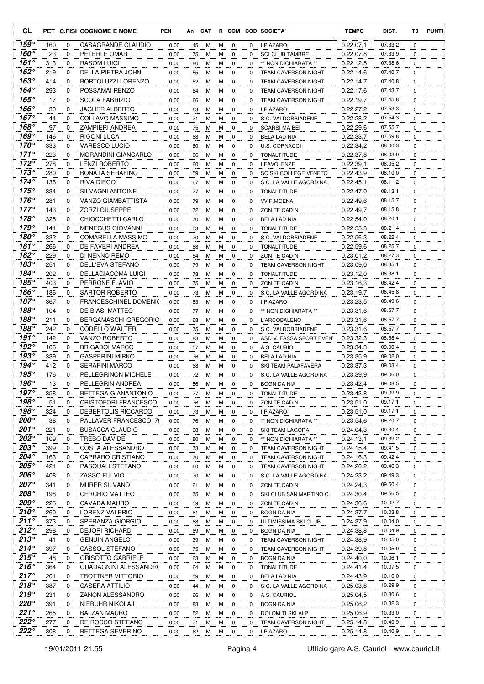| <b>CL</b>                        |            |                            | PET C.FISI COGNOME E NOME                      | <b>PEN</b>   | An       | CAT    |        |                            |               | R COM COD SOCIETA'                       | <b>TEMPO</b>           | DIST.              | T3               | <b>PUNTI</b> |
|----------------------------------|------------|----------------------------|------------------------------------------------|--------------|----------|--------|--------|----------------------------|---------------|------------------------------------------|------------------------|--------------------|------------------|--------------|
| 159°                             | 160        | 0                          | CASAGRANDE CLAUDIO                             | 0,00         | 45       | М      | м      | 0                          | 0             | <b>I PIAZAROI</b>                        | 0.22.07,1              | 07.33,2            | $\mathbf 0$      |              |
| 160°                             | 23         | 0                          | PETERLE OMAR                                   | 0,00         | 75       | м      | м      | 0                          | $\Omega$      | <b>SCI CLUB TAMBRE</b>                   | 0.22.07.8              | 07.33,9            | 0                |              |
| $161^\circ$                      | 313        | 0                          | RASOM LUIGI                                    | 0,00         | 80       | М      | M      | $\mathbf 0$                | 0             | ** NON DICHIARATA **                     | 0.22.12,5              | 07.38,6            | 0                |              |
| $162^\circ$                      | 219        | 0                          | DELLA PIETRA JOHN                              | 0,00         | 55       | М      | M      | 0                          | 0             | <b>TEAM CAVERSON NIGHT</b>               | 0.22.14,6              | 07.40,7            | 0                |              |
| $163^\circ$                      | 414        | 0                          | <b>BORTOLUZZI LORENZO</b>                      | 0,00         | 52       | М      | M      | $\mathbf 0$                | 0             | <b>TEAM CAVERSON NIGHT</b>               | 0.22.14.7              | 07.40,8            | 0                |              |
| 164°                             | 293        | $\mathbf 0$                | POSSAMAI RENZO                                 | 0,00         | 64       | м      | M      | 0                          | 0             | <b>TEAM CAVERSON NIGHT</b>               | 0.22.17,6              | 07.43,7            | 0                |              |
| $165^\circ$                      | 17         | $\mathbf 0$                | <b>SCOLA FABRIZIO</b>                          | 0,00         | 66       | М      | M      | 0                          | 0             | <b>TEAM CAVERSON NIGHT</b>               | 0.22.19.7              | 07.45,8            | $\mathbf 0$      |              |
| 166 $^{\circ}$<br>167 $^{\circ}$ | 30<br>44   | 0<br>$\mathbf 0$           | JAGHER ALBERTO                                 | 0,00         | 63       | м      | M      | 0                          | 0             | I PIAZAROI<br>S.C. VALDOBBIADENE         | 0.22.27,2<br>0.22.28.2 | 07.53.3<br>07.54,3 | 0                |              |
| 168°                             | 97         | 0                          | COLLAVO MASSIMO<br>ZAMPIERI ANDREA             | 0,00<br>0,00 | 71<br>75 | M<br>M | M<br>M | $\mathbf 0$<br>0           | 0<br>0        | <b>SCARSI MA BEI</b>                     | 0.22.29,6              | 07.55,7            | $\mathbf 0$<br>0 |              |
| 169°                             | 146        | 0                          | <b>RIGONI LUCA</b>                             | 0,00         | 68       | M      | м      | 0                          | 0             | <b>BELA LADINIA</b>                      | 0.22.33,7              | 07.59,8            | 0                |              |
| $170^\circ$                      | 333        | 0                          | <b>VARESCO LUCIO</b>                           | 0,00         | 60       | М      | M      | 0                          | 0             | U.S. CORNACCI                            | 0.22.34,2              | 08.00,3            | 0                |              |
| $171^\circ$                      | 223        | $\Omega$                   | <b>MORANDINI GIANCARLO</b>                     | 0,00         | 66       | M      | M      | 0                          | 0             | <b>TONALTITUDE</b>                       | 0.22.37,8              | 08.03,9            | 0                |              |
| $172^\circ$                      | 278        | $\mathbf 0$                | <b>LENZI ROBERTO</b>                           | 0,00         | 60       | М      | M      | 0                          | 0             | I FAVOLENZE                              | 0.22.39,1              | 08.05,2            | 0                |              |
| $173^\circ$                      | 280        | $\mathbf 0$                | <b>BONATA SERAFINO</b>                         | 0,00         | 59       | М      | M      | $\mathbf 0$                | 0             | SC SKI COLLEGE VENETO                    | 0.22.43,9              | 08.10,0            | 0                |              |
| $174^\circ$                      | 136        | 0                          | <b>RIVA DIEGO</b>                              | 0,00         | 67       | М      | M      | 0                          | 0             | S.C. LA VALLE AGORDINA                   | 0.22.45,1              | 08.11,2            | 0                |              |
| 175 $^{\circ}$                   | 334        | 0                          | <b>SILVAGNI ANTOINE</b>                        | 0,00         | 77       | M      | M      | $\mathbf 0$                | 0             | <b>TONALTITUDE</b>                       | 0.22.47,0              | 08.13,1            | $\mathbf 0$      |              |
| $176^\circ$                      | 281        | 0                          | <b>VANZO GIAMBATTISTA</b>                      | 0,00         | 79       | M      | M      | 0                          | 0             | <b>VV.F.MOENA</b>                        | 0.22.49,6              | 08.15,7            | 0                |              |
| $177^\circ$                      | 143        | 0                          | <b>ZORZI GIUSEPPE</b>                          | 0,00         | 72       | M      | M      | 0                          | 0             | ZON TE CADIN                             | 0.22.49,7              | 08.15,8            | $\mathbf 0$      |              |
| $178^\circ$                      | 325        | 0                          | CHIOCCHETTI CARLO                              | 0,00         | 70       | М      | M      | 0                          | 0             | <b>BELA LADINIA</b>                      | 0.22.54.0              | 08.20,1            | 0                |              |
| $179^\circ$                      | 141        | 0                          | <b>MENEGUS GIOVANNI</b>                        | 0,00         | 53       | М      | M      | 0                          | 0             | <b>TONALTITUDE</b>                       | 0.22.55,3              | 08.21,4            | 0                |              |
| $180^\circ$                      | 332        | $\mathbf 0$                | <b>COMARELLA MASSIMO</b>                       | 0,00         | 70       | М      | M      | $\mathbf 0$                | 0             | S.C. VALDOBBIADENE                       | 0.22.56,3              | 08.22,4            | 0                |              |
| 181°<br>$182^\circ$              | 266<br>229 | $\mathbf 0$<br>$\mathbf 0$ | DE FAVERI ANDREA<br>DI NENNO REMO              | 0,00<br>0,00 | 68<br>54 | М<br>М | M<br>М | $\mathbf 0$<br>$\mathbf 0$ | $\Omega$<br>0 | <b>TONALTITUDE</b><br>ZON TE CADIN       | 0.22.59.6<br>0.23.01,2 | 08.25,7<br>08.27,3 | 0<br>0           |              |
| 183°                             | 251        | 0                          | DELL'EVA STEFANO                               | 0,00         | 79       | М      | М      | 0                          | 0             | <b>TEAM CAVERSON NIGHT</b>               | 0.23.09,0              | 08.35,1            | 0                |              |
| 184°                             | 202        | 0                          | <b>DELLAGIACOMA LUIGI</b>                      | 0,00         | 78       | М      | М      | 0                          | 0             | <b>TONALTITUDE</b>                       | 0.23.12.0              | 08.38,1            | $\mathbf 0$      |              |
| 185°                             | 403        | 0                          | PERRONE FLAVIO                                 | 0,00         | 75       | М      | M      | 0                          | $\Omega$      | ZON TE CADIN                             | 0.23.16,3              | 08.42,4            | 0                |              |
| $186^\circ$                      | 186        | 0                          | <b>SARTOR ROBERTO</b>                          | 0,00         | 73       | М      | М      | $\mathbf 0$                | 0             | S.C. LA VALLE AGORDINA                   | 0.23.19,7              | 08.45,8            | 0                |              |
| $187^\circ$                      | 367        | 0                          | <b>FRANCESCHINEL DOMENIC</b>                   | 0,00         | 63       | М      | М      | 0                          | 0             | I PIAZAROI                               | 0.23.23,5              | 08.49,6            | 0                |              |
| $188^\circ$                      | 104        | $\mathbf 0$                | DE BIASI MATTEO                                | 0,00         | 77       | M      | M      | 0                          | $\Omega$      | ** NON DICHIARATA **                     | 0.23.31,6              | 08.57,7            | 0                |              |
| 188 $^{\circ}$                   | 211        | 0                          | <b>BERGAMASCHI GREGORIO</b>                    | 0,00         | 68       | М      | М      | 0                          | 0             | L'ARCOBALENO                             | 0.23.31,6              | 08.57,7            | 0                |              |
| 188°                             | 242        | $\mathbf 0$                | CODELLO WALTER                                 | 0,00         | 75       | М      | M      | $\mathbf 0$                | 0             | S.C. VALDOBBIADENE                       | 0.23.31,6              | 08.57,7            | $\mathbf 0$      |              |
| 191°                             | 142        | 0                          | <b>VANZO ROBERTO</b>                           | 0,00         | 83       | М      | М      | 0                          | 0             | ASD V. FASSA SPORT EVENT                 | 0.23.32,3              | 08.58,4            | 0                |              |
| 192°                             | 106        | $\mathbf 0$                | <b>BRIGADOI MARCO</b>                          | 0,00         | 57       | M      | М      | 0                          | 0             | A.S. CAURIOL                             | 0.23.34,3              | 09.00,4            | $\mathbf 0$      |              |
| 193°                             | 339        | 0                          | <b>GASPERINI MIRKO</b>                         | 0,00         | 76       | M      | M      | 0                          | 0             | <b>BELA LADINIA</b>                      | 0.23.35,9              | 09.02,0            | 0                |              |
| 194°<br>195°                     | 412        | 0                          | <b>SERAFINI MARCO</b>                          | 0,00         | 68       | M      | м      | 0                          | 0             | SKI TEAM PALAFAVERA                      | 0.23.37,3              | 09.03,4            | 0                |              |
| 196°                             | 176<br>13  | 0<br>$\Omega$              | <b>PELLEGRINON MICHELE</b><br>PELLEGRIN ANDREA | 0,00<br>0.00 | 72<br>86 | M<br>M | M<br>M | 0<br>$\mathbf 0$           | 0<br>0        | S.C. LA VALLE AGORDINA                   | 0.23.39,9<br>0.23.42,4 | 09.06,0<br>09.08.5 | 0<br>$\mathbf 0$ |              |
| $197^\circ$                      | 358        | 0                          | BETTEGA GIANANTONIO                            | 0,00         | 77       | M      | М      | 0                          | 0             | <b>BOGN DA NIA</b><br><b>TONALTITUDE</b> | 0.23.43,8              | 09.09,9            | 0                |              |
| $198^\circ$                      | 51         | 0                          | <b>CRISTOFORI FRANCESCO</b>                    | 0,00         | 76       | М      | М      | 0                          | 0             | ZON TE CADIN                             | 0.23.51,0              | 09.17,1            | 0                |              |
| $198^\circ$                      | 324        | 0                          | DEBERTOLIS RICCARDO                            | 0,00         | 73       | M      | M      | 0                          | 0             | I PIAZAROI                               | 0.23.51,0              | 09.17,1            | 0                |              |
| 200°                             | 38         | 0                          | PALLAVER FRANCESCO 76                          | 0,00         | 76       | М      | M      | 0                          | 0             | ** NON DICHIARATA **                     | 0.23.54,6              | 09.20,7            | 0                |              |
| 201°                             | 221        | 0                          | <b>BUSACCA CLAUDIO</b>                         | 0,00         | 68       | М      | M      | 0                          | 0             | SKI TEAM LAGORAI                         | 0.24.04,3              | 09.30,4            | 0                |              |
| 202°                             | 109        | 0                          | TREBO DAVIDE                                   | 0,00         | 80       | М      | М      | 0                          | 0             | ** NON DICHIARATA **                     | 0.24.13,1              | 09.39,2            | 0                |              |
| 203°                             | 399        | 0                          | COSTA ALESSANDRO                               | 0,00         | 73       | M      | M      | 0                          | 0             | <b>TEAM CAVERSON NIGHT</b>               | 0.24.15,4              | 09.41,5            | 0                |              |
| 204°                             | 163        | 0                          | CAPRARO CRISTIANO                              | 0,00         | 70       | M      | M      | 0                          | 0             | <b>TEAM CAVERSON NIGHT</b>               | 0.24.16,3              | 09.42,4            | 0                |              |
| 205°                             | 421        | 0                          | PASQUALI STEFANO                               | 0,00         | 60       | M      | M      | 0                          | 0             | <b>TEAM CAVERSON NIGHT</b>               | 0.24.20,2              | 09.46,3            | 0                |              |
| 206°                             | 408        | 0                          | ZASSO FULVIO                                   | 0,00         | 70       | M      | М      | 0                          | 0             | S.C. LA VALLE AGORDINA                   | 0.24.23,2              | 09.49,3            | 0                |              |
| 207°                             | 341        | 0                          | MURER SILVANO                                  | 0,00         | 61       | M      | M      | 0                          | 0             | ZON TE CADIN                             | 0.24.24,3              | 09.50,4            | 0                |              |
| $208^\circ$<br>209°              | 198<br>225 | 0                          | <b>CERCHIO MATTEO</b>                          | 0,00         | 75       | М      | M      | 0                          | 0             | SKI CLUB SAN MARTINO C.                  | 0.24.30,4              | 09.56,5<br>10.02,7 | 0                |              |
| $210^{\circ}$                    | 260        | 0<br>0                     | CAVADA MAURO<br>LORENZ VALERIO                 | 0,00<br>0,00 | 59       | м<br>м | М<br>М | 0<br>0                     | 0<br>0        | ZON TE CADIN<br>BOGN DA NIA              | 0.24.36,6<br>0.24.37,7 | 10.03,8            | 0<br>0           |              |
| $211^\circ$                      | 373        | 0                          | SPERANZA GIORGIO                               | 0,00         | 61<br>68 | м      | м      | 0                          | 0             | ULTIMISSIMA SKI CLUB                     | 0.24.37,9              | 10.04,0            | 0                |              |
| 212°                             | 298        | 0                          | <b>DEJORI RICHARD</b>                          | 0,00         | 69       | M      | M      | 0                          | 0             | <b>BOGN DA NIA</b>                       | 0.24.38,8              | 10.04,9            | 0                |              |
| 213°                             | 41         | 0                          | <b>GENUIN ANGELO</b>                           | 0,00         | 39       | M      | M      | 0                          | 0             | <b>TEAM CAVERSON NIGHT</b>               | 0.24.38,9              | 10.05,0            | 0                |              |
| $214^\circ$                      | 397        | 0                          | CASSOL STEFANO                                 | 0,00         | 75       | M      | M      | 0                          | 0             | <b>TEAM CAVERSON NIGHT</b>               | 0.24.39,8              | 10.05,9            | 0                |              |
| $215^\circ$                      | 48         | 0                          | <b>GRISOTTO GABRIELE</b>                       | 0,00         | 63       | M      | M      | 0                          | 0             | <b>BOGN DA NIA</b>                       | 0.24.40,0              | 10.06,1            | 0                |              |
| $216^\circ$                      | 364        | 0                          | GUADAGNINI ALESSANDRC                          | 0,00         | 64       | M      | M      | 0                          | 0             | <b>TONALTITUDE</b>                       | 0.24.41,4              | 10.07,5            | 0                |              |
| $217^\circ$                      | 201        | 0                          | TROTTNER VITTORIO                              | 0,00         | 59       | M      | M      | 0                          | 0             | <b>BELA LADINIA</b>                      | 0.24.43,9              | 10.10,0            | 0                |              |
| $218^\circ$                      | 387        | 0                          | <b>CASERA ATTILIO</b>                          | 0,00         | 44       | M      | M      | 0                          | 0             | S.C. LA VALLE AGORDINA                   | 0.25.03,8              | 10.29,9            | 0                |              |
| 219°                             | 231        | 0                          | ZANON ALESSANDRO                               | 0,00         | 66       | M      | М      | 0                          | 0             | A.S. CAURIOL                             | 0.25.04,5              | 10.30,6            | 0                |              |
| 220°                             | 391        | 0                          | NIEBUHR NIKOLAJ                                | 0,00         | 83       | М      | M      | 0                          | 0             | <b>BOGN DA NIA</b>                       | 0.25.06,2              | 10.32,3            | 0                |              |
| 221°                             | 265        | 0                          | <b>BALZAN MAURO</b>                            | 0,00         | 52       | M      | M      | 0                          | 0             | DOLOMITI SKI ALP                         | 0.25.06,9              | 10.33,0            | 0                |              |
| $222^\circ$                      | 277        | 0                          | DE ROCCO STEFANO                               | 0,00         | 71       | M      | M      | 0                          | 0             | TEAM CAVERSON NIGHT                      | 0.25.14,8              | 10.40,9            | 0                |              |
| $222^\circ$                      | 308        | 0                          | BETTEGA SEVERINO                               | 0,00         | 62       | М      | M      | 0                          | 0             | I PIAZAROI                               | 0.25.14,8              | 10.40,9            | 0                |              |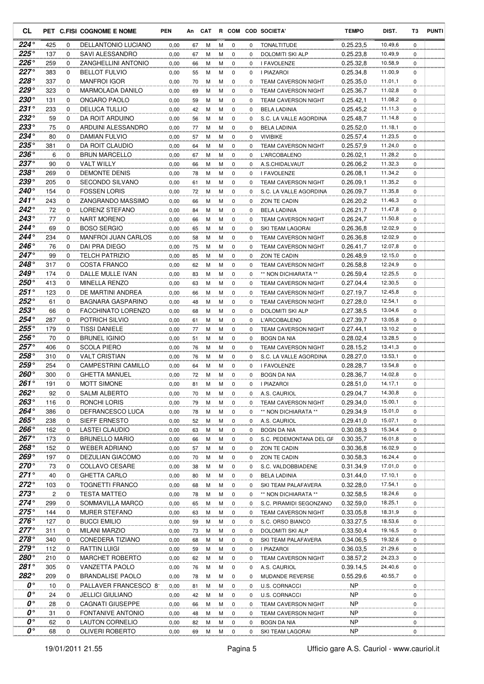| CL                                |            |                  | PET C.FISI COGNOME E NOME                          | PEN          | An       | CAT    |        |                            |               | R COM COD SOCIETA'                     | <b>TEMPO</b>           | DIST.              | T3                         | <b>PUNTI</b> |
|-----------------------------------|------------|------------------|----------------------------------------------------|--------------|----------|--------|--------|----------------------------|---------------|----------------------------------------|------------------------|--------------------|----------------------------|--------------|
| 224 $^{\circ}$                    | 425        | 0                | <b>DELLANTONIO LUCIANO</b>                         | 0,00         | 67       | м      | м      | 0                          | 0             | <b>TONALTITUDE</b>                     | 0.25.23,5              | 10.49,6            | $\mathbf 0$                |              |
| $225^\circ$                       | 137        | 0                | SAVI ALESSANDRO                                    | 0,00         | 67       | м      | м      | 0                          | $\Omega$      | <b>DOLOMITI SKI ALP</b>                | 0.25.23,8              | 10.49,9            | 0                          |              |
| $226^\circ$                       | 259        | 0                | <b>ZANGHELLINI ANTONIO</b>                         | 0,00         | 66       | М      | М      | $\mathbf 0$                | 0             | I FAVOLENZE                            | 0.25.32,8              | 10.58,9            | $\mathbf 0$                |              |
| 227°                              | 383        | 0                | <b>BELLOT FULVIO</b>                               | 0,00         | 55       | м      | М      | $\mathbf 0$                | 0             | I PIAZAROI                             | 0.25.34,8              | 11.00,9            | 0                          |              |
| $228^\circ$                       | 337        | 0                | <b>MANFROI IGOR</b>                                | 0,00         | 70       | м      | М      | $\mathbf 0$                | $\Omega$      | <b>TEAM CAVERSON NIGHT</b>             | 0.25.35,0              | 11.01,1            | 0                          |              |
| $229^\circ$                       | 323        | 0                | MARMOLADA DANILO                                   | 0,00         | 69       | М      | M      | $\mathbf 0$                | 0             | <b>TEAM CAVERSON NIGHT</b>             | 0.25.36,7              | 11.02,8            | 0                          |              |
| 230°                              | 131        | 0                | ONGARO PAOLO                                       | 0,00         | 59       | М      | М      | $\mathbf 0$                | 0             | <b>TEAM CAVERSON NIGHT</b>             | 0.25.42,1              | 11.08,2            | 0                          |              |
| $231^\circ$<br>232°               | 233        | 0                | <b>DELUCA TULLIO</b>                               | 0,00         | 42       | М      | м      | $\mathbf 0$                | 0             | <b>BELA LADINIA</b>                    | 0.25.45,2              | 11.11,3<br>11.14.8 | $\mathbf 0$                |              |
| $233^\circ$                       | 59<br>75   | $\mathbf 0$<br>0 | DA ROIT ARDUINO<br>ARDUINI ALESSANDRO              | 0,00         | 56       | М      | м      | $\mathbf 0$                | 0             | S.C. LA VALLE AGORDINA                 | 0.25.48,7              | 11.18,1            | $\mathbf 0$<br>$\mathbf 0$ |              |
| 234°                              | 80         | 0                | <b>DAMIAN FULVIO</b>                               | 0,00<br>0,00 | 77<br>57 | м<br>м | М<br>м | $\mathbf 0$<br>$\mathbf 0$ | 0<br>$\Omega$ | <b>BELA LADINIA</b><br><b>VIVIBIKE</b> | 0.25.52.0<br>0.25.57,4 | 11.23,5            | 0                          |              |
| 235°                              | 381        | 0                | DA ROIT CLAUDIO                                    | 0,00         | 64       | м      | М      | $\mathbf 0$                | 0             | <b>TEAM CAVERSON NIGHT</b>             | 0.25.57,9              | 11.24,0            | 0                          |              |
| 236°                              | 6          | 0                | <b>BRUN MARCELLO</b>                               | 0,00         | 67       | М      | М      | $\mathbf 0$                | 0             | L'ARCOBALENO                           | 0.26.02,1              | 11.28,2            | 0                          |              |
| $237^\circ$                       | 90         | 0                | <b>VALT WILLY</b>                                  | 0,00         | 66       | м      | м      | $\mathbf 0$                | $\mathbf 0$   | A.S.CHIDALVAUT                         | 0.26.06,2              | 11.32,3            | 0                          |              |
| $238^\circ$                       | 269        | 0                | <b>DEMONTE DENIS</b>                               | 0,00         | 78       | М      | м      | $\mathbf 0$                | $\Omega$      | I FAVOLENZE                            | 0.26.08,1              | 11.34,2            | 0                          |              |
| 239°                              | 205        | 0                | <b>SECONDO SILVANO</b>                             | 0,00         | 61       | М      | M      | $\mathbf 0$                | 0             | <b>TEAM CAVERSON NIGHT</b>             | 0.26.09,1              | 11.35,2            | $\mathbf 0$                |              |
| 240°                              | 154        | 0                | <b>FOSSEN LORIS</b>                                | 0,00         | 72       | М      | м      | 0                          | 0             | S.C. LA VALLE AGORDINA                 | 0.26.09.7              | 11.35,8            | 0                          |              |
| 241°                              | 243        | 0                | ZANGRANDO MASSIMO                                  | 0,00         | 66       | м      | М      | $\mathbf 0$                | $\mathbf 0$   | ZON TE CADIN                           | 0.26.20.2              | 11.46,3            | $\mathbf 0$                |              |
| 242°                              | 72         | 0                | LORENZ STEFANO                                     | 0,00         | 84       | м      | М      | 0                          | 0             | <b>BELA LADINIA</b>                    | 0.26.21,7              | 11.47,8            | 0                          |              |
| 243°                              | 77         | 0                | <b>NART MORENO</b>                                 | 0,00         | 66       | м      | М      | 0                          | $\Omega$      | <b>TEAM CAVERSON NIGHT</b>             | 0.26.24,7              | 11.50,8            | $\mathbf 0$                |              |
| $244^\circ$                       | 69         | 0                | <b>BOSO SERGIO</b>                                 | 0,00         | 65       | М      | М      | $\mathbf 0$                | 0             | SKI TEAM LAGORAI                       | 0.26.36,8              | 12.02,9            | 0                          |              |
| $244^\circ$                       | 234        | 0                | <b>MANFROI JUAN CARLOS</b>                         | 0,00         | 58       | М      | М      | 0                          | 0             | <b>TEAM CAVERSON NIGHT</b>             | 0.26.36.8              | 12.02,9            | 0                          |              |
| 246°                              | 76         | 0                | DAI PRA DIEGO                                      | 0,00         | 75       | М      | M      | $\mathbf 0$                | 0             | <b>TEAM CAVERSON NIGHT</b>             | 0.26.41,7              | 12.07,8            | 0                          |              |
| $247^\circ$                       | 99         | $\mathbf 0$      | <b>TELCH PATRIZIO</b>                              | 0,00         | 85       | м      | М      | $\mathbf 0$                | 0             | ZON TE CADIN                           | 0.26.48,9              | 12.15,0            | 0                          |              |
| 248°                              | 317        | 0                | <b>COSTA FRANCO</b>                                | 0,00         | 62       | М      | M      | $\mathbf 0$                | 0             | <b>TEAM CAVERSON NIGHT</b>             | 0.26.58.8              | 12.24,9            | 0                          |              |
| 249°                              | 174        | 0                | DALLE MULLE IVAN                                   | 0,00         | 83       | М      | М      | $\mathbf 0$                | 0             | ** NON DICHIARATA **                   | 0.26.59.4              | 12.25,5            | $\mathbf 0$                |              |
| 250°                              | 413        | 0                | <b>MINELLA RENZO</b>                               | 0,00         | 63       | м      | м      | 0                          | $\Omega$      | <b>TEAM CAVERSON NIGHT</b>             | 0.27.04,4              | 12.30,5            | $\mathbf 0$                |              |
| 251°                              | 123        | 0                | DE MARTINI ANDREA                                  | 0,00         | 66       | м      | М      | 0                          | $\Omega$      | <b>TEAM CAVERSON NIGHT</b>             | 0.27.19,7              | 12.45,8            | 0                          |              |
| $252^\circ$                       | 61         | 0                | <b>BAGNARA GASPARINO</b>                           | 0,00         | 48       | М      | М      | $\mathbf 0$                | 0             | <b>TEAM CAVERSON NIGHT</b>             | 0.27.28,0              | 12.54,1            | 0                          |              |
| 253°                              | 66         | 0                | FACCHINATO LORENZO                                 | 0,00         | 68       | М      | М      | 0                          | 0             | DOLOMITI SKI ALP                       | 0.27.38,5              | 13.04,6            | 0                          |              |
| $254^\circ$                       | 287        | 0                | POTRICH SILVIO                                     | 0,00         | 61       | М      | M      | $\mathbf 0$                | 0             | <b>L'ARCOBALENO</b>                    | 0.27.39,7              | 13.05,8            | 0                          |              |
| $255^{\circ}$                     | 179        | 0                | <b>TISSI DANIELE</b>                               | 0,00         | 77       | М      | м      | $\mathbf 0$                | $\Omega$      | <b>TEAM CAVERSON NIGHT</b>             | 0.27.44,1              | 13.10,2            | 0                          |              |
| $256^\circ$                       | 70         | 0                | <b>BRUNEL IGINIO</b>                               | 0,00         | 51       | М      | M      | $\mathbf 0$                | 0             | <b>BOGN DA NIA</b>                     | 0.28.02.4              | 13.28,5            | $\mathbf 0$                |              |
| $257^\circ$                       | 406        | 0                | <b>SCOLA PIERO</b>                                 | 0,00         | 76       | М      | м      | 0                          | 0             | <b>TEAM CAVERSON NIGHT</b>             | 0.28.15,2              | 13.41,3            | $\mathbf 0$                |              |
| 258°                              | 310        | 0                | <b>VALT CRISTIAN</b>                               | 0,00         | 76       | м      | М      | 0                          | 0             | S.C. LA VALLE AGORDINA                 | 0.28.27,0              | 13.53,1            | $\mathbf 0$                |              |
| 259°<br>$260^\circ$               | 254<br>300 | $\Omega$<br>0    | <b>CAMPESTRINI CAMILLO</b><br><b>GHETTA MANUEL</b> | 0,00         | 64       | м      | м      | 0<br>$\mathbf 0$           | $\Omega$      | I FAVOLENZE                            | 0.28.28,7              | 13.54,8<br>14.02,8 | 0<br>0                     |              |
| $261^\circ$                       | 191        | $\Omega$         | <b>MOTT SIMONE</b>                                 | 0,00<br>0,00 | 72<br>81 | м<br>М | М<br>м | $\Omega$                   | 0<br>0        | <b>BOGN DA NIA</b><br>I PIAZAROI       | 0.28.36,7<br>0.28.51,0 | 14.17,1            | $\Omega$                   |              |
| 262°                              | 92         | 0                | <b>SALMI ALBERTO</b>                               | 0,00         | 70       | М      | м      | 0                          | 0             | A.S. CAURIOL                           | 0.29.04,7              | 14.30,8            | 0                          |              |
| $263^\circ$                       | 116        | 0                | RONCHI LORIS                                       | 0,00         | 79       | м      | м      | 0                          | 0             | TEAM CAVERSON NIGHT                    | 0.29.34,0              | 15.00,1            | 0                          |              |
| $264^\circ$                       | 386        | 0                | DEFRANCESCO LUCA                                   | 0,00         | 78       | м      | М      | 0                          | $\mathbf 0$   | ** NON DICHIARATA **                   | 0.29.34,9              | 15.01,0            | $\mathbf 0$                |              |
| 265°                              | 238        | 0                | SIEFF ERNESTO                                      | 0,00         | 52       | м      | М      | 0                          | 0             | A.S. CAURIOL                           | 0.29.41,0              | 15.07,1            | 0                          |              |
| 266°                              | 162        | 0                | LASTEI CLAUDIO                                     | 0,00         | 63       | М      | М      | 0                          | 0             | <b>BOGN DA NIA</b>                     | 0.30.08.3              | 15.34,4            | 0                          |              |
| 267°                              | 173        | 0                | <b>BRUNELLO MARIO</b>                              | 0,00         | 66       | м      | М      | 0                          | 0             | S.C. PEDEMONTANA DEL GF                | 0.30.35,7              | 16.01,8            | 0                          |              |
| 268°                              | 152        | 0                | <b>WEBER ADRIANO</b>                               | 0,00         | 57       | м      | м      | 0                          | 0             | ZON TE CADIN                           | 0.30.36,8              | 16.02,9            | 0                          |              |
| 269°                              | 197        | 0                | DEZULIAN GIACOMO                                   | 0,00         | 70       | М      | М      | 0                          | 0             | ZON TE CADIN                           | 0.30.58,3              | 16.24,4            | 0                          |              |
| $270^\circ$                       | 73         | 0                | COLLAVO CESARE                                     | 0,00         | 38       | М      | м      | 0                          | 0             | S.C. VALDOBBIADENE                     | 0.31.34,9              | 17.01,0            | 0                          |              |
| $271^\circ$                       | 40         | 0                | <b>GHETTA CARLO</b>                                | 0,00         | 80       | М      | M      | 0                          | $\mathbf 0$   | <b>BELA LADINIA</b>                    | 0.31.44,0              | 17.10,1            | 0                          |              |
| $272^\circ$                       | 103        | 0                | <b>TOGNETTI FRANCO</b>                             | 0,00         | 68       | М      | M      | 0                          | 0             | SKI TEAM PALAFAVERA                    | 0.32.28,0              | 17.54,1            | 0                          |              |
| $273^\circ$                       | 2          | 0                | <b>TESTA MATTEO</b>                                | 0,00         | 78       | М      | М      | 0                          | $\mathbf 0$   | ** NON DICHIARATA **                   | 0.32.58,5              | 18.24,6            | 0                          |              |
| $274^\circ$                       | 299        | 0                | SOMMAVILLA MARCO                                   | 0,00         | 65       | М      | M      | 0                          | 0             | S.C. PIRAMIDI SEGONZANO                | 0.32.59,0              | 18.25,1            | 0                          |              |
| $275^\circ$                       | 144        | 0                | <b>MURER STEFANO</b>                               | 0,00         | 63       | м      | М      | 0                          | 0             | TEAM CAVERSON NIGHT                    | 0.33.05,8              | 18.31,9            | 0                          |              |
| 276°                              | 127        | 0                | <b>BUCCI EMILIO</b>                                | 0,00         | 59       | М      | М      | 0                          | 0             | S.C. ORSO BIANCO                       | 0.33.27,5              | 18.53,6            | 0                          |              |
| $277^\circ$                       | 311        | 0                | <b>MILANI MARZIO</b>                               | 0,00         | 73       | м      | м      | 0                          | 0             | DOLOMITI SKI ALP                       | 0.33.50,4              | 19.16,5            | 0                          |              |
| 278°                              | 340        | 0                | CONEDERA TIZIANO                                   | 0,00         | 68       | M      | М      | 0                          | 0             | SKI TEAM PALAFAVERA                    | 0.34.06,5              | 19.32,6            | 0                          |              |
| 279°                              | 112        | 0                | <b>RATTIN LUIGI</b>                                | 0,00         | 59       | М      | м      | 0                          | 0             | I PIAZAROI                             | 0.36.03,5              | 21.29,6            | 0                          |              |
| 280°                              | 210        | 0                | MARCHET ROBERTO                                    | 0,00         | 62       | м      | м      | 0                          | 0             | TEAM CAVERSON NIGHT                    | 0.38.57,2              | 24.23,3            | 0                          |              |
| $281^\circ$                       | 305        | 0                | VANZETTA PAOLO                                     | 0,00         | 76       | М      | м      | 0                          | $\mathbf 0$   | A.S. CAURIOL                           | 0.39.14,5              | 24.40,6            | 0                          |              |
| $282^\circ$<br>$\boldsymbol{0}$ ° | 209        | 0                | <b>BRANDALISE PAOLO</b>                            | 0,00         | 78       | М      | М      | 0                          | 0             | MUDANDE REVERSE                        | 0.55.29,6              | 40.55,7            | 0                          |              |
| 0°                                | 10         | 0                | PALLAVER FRANCESCO 81                              | 0,00         | 81       | м      | М      | 0                          | $\mathbf 0$   | <b>U.S. CORNACCI</b>                   | NP.                    |                    | $\mathbf 0$                |              |
| $\boldsymbol{0}$ °                | 24<br>28   | 0<br>0           | <b>JELLICI GIULIANO</b><br>CAGNATI GIUSEPPE        | 0,00         | 42       | м<br>м | м<br>М | 0<br>0                     | 0<br>0        | U.S. CORNACCI<br>TEAM CAVERSON NIGHT   | NP<br>NP.              |                    | 0<br>0                     |              |
| 0°                                | 31         | 0                | FONTANIVE ANTONIO                                  | 0,00<br>0,00 | 66<br>48 | М      | М      | 0                          | 0             | <b>TEAM CAVERSON NIGHT</b>             | NP.                    |                    | 0                          |              |
| $\boldsymbol{0}$ °                | 62         | 0                | LAUTON CORNELIO                                    | 0,00         | 82       | М      | м      | 0                          | $\mathbf 0$   | <b>BOGN DA NIA</b>                     | NP                     |                    | 0                          |              |
| 0°                                | 68         | 0                | OLIVERI ROBERTO                                    | 0,00         | 69       | м      | M      | 0                          | 0             | SKI TEAM LAGORAI                       | NP                     |                    | 0                          |              |
|                                   |            |                  |                                                    |              |          |        |        |                            |               |                                        |                        |                    |                            |              |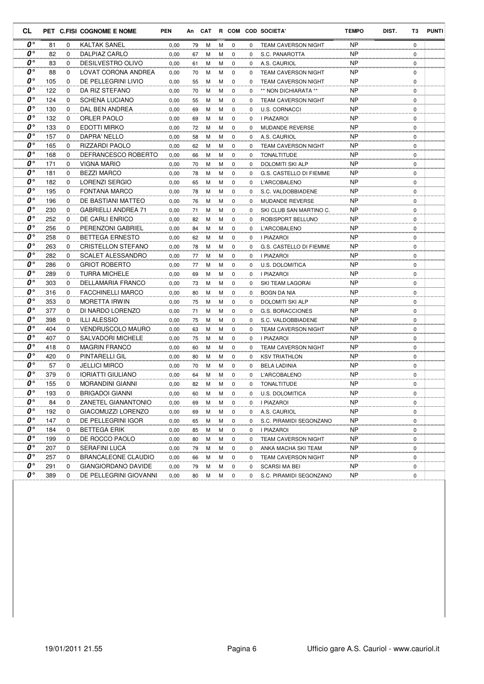| CL                     |     |             | PET C.FISI COGNOME E NOME  | <b>PEN</b> |    |   |   |             |          | An CAT R COM COD SOCIETA'  | <b>TEMPO</b> | DIST. | T3          | <b>PUNTI</b> |
|------------------------|-----|-------------|----------------------------|------------|----|---|---|-------------|----------|----------------------------|--------------|-------|-------------|--------------|
| 0°                     | 81  | 0           | <b>KALTAK SANEL</b>        | 0,00       | 79 | М | м | 0           | 0        | <b>TEAM CAVERSON NIGHT</b> | <b>NP</b>    |       | $\mathbf 0$ |              |
| $0^{\circ}$            | 82  | 0           | DALPIAZ CARLO              | 0,00       | 67 | М | м | 0           | $\Omega$ | S.C. PANAROTTA             | <b>NP</b>    |       | 0           |              |
| $\boldsymbol{0}$ °     | 83  | 0           | <b>DESILVESTRO OLIVO</b>   | 0,00       | 61 | M | м | $\mathbf 0$ | 0        | A.S. CAURIOL               | <b>NP</b>    |       | 0           |              |
| O۰                     | 88  | 0           | LOVAT CORONA ANDREA        | 0,00       | 70 | M | M | $\mathbf 0$ | 0        | <b>TEAM CAVERSON NIGHT</b> | <b>NP</b>    |       | 0           |              |
| O۰                     | 105 | $\Omega$    | DE PELLEGRINI LIVIO        | 0,00       | 55 | M | м | $\mathbf 0$ | 0        | <b>TEAM CAVERSON NIGHT</b> | <b>NP</b>    |       | 0           |              |
| O۰                     | 122 | 0           | DA RIZ STEFANO             | 0,00       | 70 | M | М | $\mathbf 0$ | 0        | ** NON DICHIARATA **       | <b>NP</b>    |       | 0           |              |
| O۰                     | 124 | 0           | <b>SCHENA LUCIANO</b>      | 0,00       | 55 | M | М | $\mathbf 0$ | 0        | <b>TEAM CAVERSON NIGHT</b> | <b>NP</b>    |       | 0           |              |
| $\boldsymbol{o} \circ$ | 130 | 0           | DAL BEN ANDREA             | 0,00       | 69 | M | М | $\mathbf 0$ | 0        | U.S. CORNACCI              | <b>NP</b>    |       | 0           |              |
| 0°                     | 132 | 0           | ORLER PAOLO                | 0,00       | 69 | М | м | 0           | 0        | I PIAZAROI                 | <b>NP</b>    |       | 0           |              |
| O۰                     | 133 | 0           | <b>EDOTTI MIRKO</b>        | 0,00       | 72 | M | м | $\mathbf 0$ | $\Omega$ | <b>MUDANDE REVERSE</b>     | <b>NP</b>    |       | 0           |              |
| O۰                     | 157 | $\Omega$    | DAPRA' NELLO               | 0,00       | 58 | М | М | 0           | $\Omega$ | A.S. CAURIOL               | <b>NP</b>    |       | 0           |              |
| 0°                     | 165 | 0           | RIZZARDI PAOLO             | 0,00       | 62 | M | М | $\mathbf 0$ | 0        | <b>TEAM CAVERSON NIGHT</b> | <b>NP</b>    |       | 0           |              |
| O۰                     | 168 | $\Omega$    | DEFRANCESCO ROBERTO        | 0,00       | 66 | M | м | $\mathbf 0$ | 0        | <b>TONALTITUDE</b>         | <b>NP</b>    |       | 0           |              |
| O۰                     | 171 | 0           | <b>VIGNA MARIO</b>         | 0,00       | 70 | M | м | $\mathbf 0$ | 0        | DOLOMITI SKI ALP           | <b>NP</b>    |       | 0           |              |
| O۰                     | 181 | 0           | <b>BEZZI MARCO</b>         | 0,00       | 78 | M | М | $\mathbf 0$ | $\Omega$ | G.S. CASTELLO DI FIEMME    | <b>NP</b>    |       | 0           |              |
| O۰                     | 182 | $\mathbf 0$ | LORENZI SERGIO             | 0,00       | 65 | M | M | $\mathbf 0$ | 0        | <b>L'ARCOBALENO</b>        | <b>NP</b>    |       | 0           |              |
| $\boldsymbol{0}$ °     | 195 | 0           | <b>FONTANA MARCO</b>       | 0,00       | 78 | M | м | 0           | 0        | S.C. VALDOBBIADENE         | <b>NP</b>    |       | 0           |              |
| O۰                     | 196 | 0           | DE BASTIANI MATTEO         | 0,00       | 76 | М | М | $\mathbf 0$ | 0        | <b>MUDANDE REVERSE</b>     | <b>NP</b>    |       | 0           |              |
| O۰                     | 230 | 0           | <b>GABRIELLI ANDREA 71</b> | 0,00       | 71 | M | м | 0           | 0        | SKI CLUB SAN MARTINO C.    | <b>NP</b>    |       | 0           |              |
| $\boldsymbol{o} \circ$ | 252 | 0           | DE CARLI ENRICO            | 0,00       | 82 | M | М | $\mathbf 0$ | 0        | ROBISPORT BELLUNO          | <b>NP</b>    |       | 0           |              |
| O۰                     | 256 | 0           | PERENZONI GABRIEL          | 0,00       | 84 | M | M | $\mathbf 0$ | 0        | L'ARCOBALENO               | ΝP           |       | 0           |              |
| O۰                     | 258 | $\Omega$    | <b>BETTEGA ERNESTO</b>     | 0,00       | 62 | M | М | 0           | 0        | I PIAZAROI                 | <b>NP</b>    |       | 0           |              |
| O۰                     | 263 | 0           | <b>CRISTELLON STEFANO</b>  | 0,00       | 78 | M | M | 0           | 0        | G.S. CASTELLO DI FIEMME    | <b>NP</b>    |       | 0           |              |
| $\boldsymbol{0}$ °     | 282 | 0           | <b>SCALET ALESSANDRO</b>   | 0,00       | 77 | M | М | $\mathbf 0$ | 0        | <b>I PIAZAROI</b>          | <b>NP</b>    |       | 0           |              |
| O۰                     | 286 | 0           | <b>GRIOT ROBERTO</b>       | 0,00       | 77 | M | м | 0           | 0        | U.S. DOLOMITICA            | <b>NP</b>    |       | 0           |              |
| O۰                     | 289 | 0           | <b>TURRA MICHELE</b>       | 0,00       | 69 | M | М | $\mathbf 0$ | 0        | <b>I PIAZAROI</b>          | <b>NP</b>    |       | 0           |              |
| O۰                     | 303 | 0           | DELLAMARIA FRANCO          | 0,00       | 73 | M | м | $\mathbf 0$ | $\Omega$ | SKI TEAM LAGORAI           | <b>NP</b>    |       | 0           |              |
| $\boldsymbol{o} \circ$ | 316 | 0           | <b>FACCHINELLI MARCO</b>   | 0,00       | 80 | M | М | $\mathbf 0$ | 0        | <b>BOGN DA NIA</b>         | <b>NP</b>    |       | 0           |              |
| O۰                     | 353 | 0           | <b>MORETTA IRWIN</b>       | 0,00       | 75 | M | M | $\mathbf 0$ | 0        | DOLOMITI SKI ALP           | <b>NP</b>    |       | 0           |              |
| 0°                     | 377 | 0           | DI NARDO LORENZO           | 0,00       | 71 | M | М | 0           | 0        | G.S. BORACCIONES           | <b>NP</b>    |       | 0           |              |
| $0^{\circ}$            | 398 | 0           | <b>ILLI ALESSIO</b>        | 0,00       | 75 | M | М | $\mathbf 0$ | 0        | S.C. VALDOBBIADENE         | <b>NP</b>    |       | 0           |              |
| $\boldsymbol{0}$ °     | 404 | 0           | <b>VENDRUSCOLO MAURO</b>   | 0,00       | 63 | M | м | $\mathbf 0$ | 0        | <b>TEAM CAVERSON NIGHT</b> | <b>NP</b>    |       | 0           |              |
| O۰                     | 407 | 0           | <b>SALVADORI MICHELE</b>   | 0,00       | 75 | M | м | $\mathbf 0$ | 0        | I PIAZAROI                 | <b>NP</b>    |       | 0           |              |
| 0°                     | 418 | 0           | <b>MAGRIN FRANCO</b>       | 0,00       | 60 | М | м | 0           | 0        | <b>TEAM CAVERSON NIGHT</b> | <b>NP</b>    |       | 0           |              |
| 0°                     | 420 | 0           | PINTARELLI GIL             | 0,00       | 80 | M | м | 0           | 0        | <b>KSV TRIATHLON</b>       | <b>NP</b>    |       | 0           |              |
| $0^{\circ}$            | 57  | 0           | <b>JELLICI MIRCO</b>       | 0,00       | 70 | М | м | 0           | $\Omega$ | <b>BELA LADINIA</b>        | <b>NP</b>    |       | 0           |              |
| 0°                     | 379 | 0           | <b>IORIATTI GIULIANO</b>   | 0,00       | 64 | M | м | $\mathbf 0$ | 0        | <b>L'ARCOBALENO</b>        | <b>NP</b>    |       | 0           |              |
| $\boldsymbol{0}$ °     | 155 | $\Omega$    | <b>MORANDINI GIANNI</b>    | 0,00       | 82 | M | м | $\Omega$    | 0        | TONALTITUDE                | <b>NP</b>    |       | $\Omega$    |              |
| 0°                     | 193 | 0           | <b>BRIGADOI GIANNI</b>     | 0,00       | 60 | M | М | 0           | 0        | U.S. DOLOMITICA            | NP           |       | 0           |              |
| $0^{\circ}$            | 84  | 0           | ZANETEL GIANANTONIO        | 0,00       | 69 | М | М | 0           | 0        | I PIAZAROI                 | NP           |       | 0           |              |
| $\boldsymbol{0}$ °     | 192 | 0           | GIACOMUZZI LORENZO         | 0,00       | 69 | М | М | $\mathbf 0$ | 0        | A.S. CAURIOL               | NP           |       | 0           |              |
| $\boldsymbol{0}$ °     | 147 | 0           | DE PELLEGRINI IGOR         | 0,00       | 65 | М | М | 0           | 0        | S.C. PIRAMIDI SEGONZANO    | NP           |       | 0           |              |
| 0°                     | 184 | 0           | <b>BETTEGA ERIK</b>        | 0,00       | 85 | М | М | 0           | 0        | I PIAZAROI                 | NP           |       | 0           |              |
| 0°                     | 199 | 0           | DE ROCCO PAOLO             | 0,00       | 80 | М | М | 0           | 0        | TEAM CAVERSON NIGHT        | NP           |       | 0           |              |
| 0°                     | 207 | 0           | SERAFINI LUCA              | 0,00       | 79 | М | M | 0           | 0        | ANKA MACHA SKI TEAM        | NP           |       | 0           |              |
| 0°                     | 257 | 0           | <b>BRANCALEONE CLAUDIO</b> | 0,00       | 66 | M | M | 0           | 0        | <b>TEAM CAVERSON NIGHT</b> | NP           |       | 0           |              |
| 0°                     | 291 | 0           | GIANGIORDANO DAVIDE        | 0,00       | 79 | M | м | 0           | 0        | SCARSI MA BEI              | NP.          |       | 0           |              |
| 0°                     | 389 | 0           | DE PELLEGRINI GIOVANNI     | 0,00       | 80 | М | М | 0           | 0        | S.C. PIRAMIDI SEGONZANO    | NP           |       | 0           |              |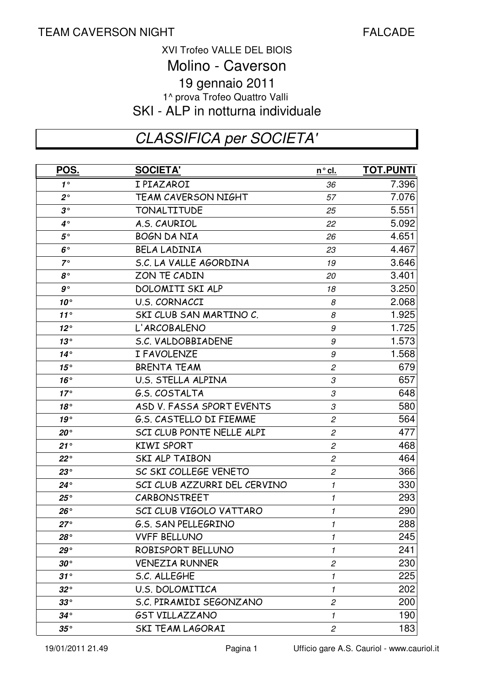#### 1^ prova Trofeo Quattro Valli SKI - ALP in notturna individuale XVI Trofeo VALLE DEL BIOIS Molino - Caverson 19 gennaio 2011

# CLASSIFICA per SOCIETA'

| POS.         | <b>SOCIETA'</b>                | <u>n°cl.</u>               | <b>TOT.PUNTI</b> |
|--------------|--------------------------------|----------------------------|------------------|
| $1^{\circ}$  | I PIAZAROI                     | 36                         | 7.396            |
| $2^{\circ}$  | <b>TEAM CAVERSON NIGHT</b>     | 57                         | 7.076            |
| $3^{\circ}$  | <b>TONALTITUDE</b>             | 25                         | 5.551            |
| $4^{\circ}$  | A.S. CAURIOL                   | 22                         | 5.092            |
| $5^{\circ}$  | <b>BOGN DA NIA</b>             | 26                         | 4.651            |
| $6^{\circ}$  | <b>BELA LADINIA</b>            | 23                         | 4.467            |
| $7^\circ$    | S.C. LA VALLE AGORDINA         | 19                         | 3.646            |
| $8^{\circ}$  | ZON TE CADIN                   | 20                         | 3.401            |
| $g \circ$    | DOLOMITI SKI ALP               | 18                         | 3.250            |
| $10^{\circ}$ | U.S. CORNACCI                  | 8                          | 2.068            |
| 11°          | SKI CLUB SAN MARTINO C.        | 8                          | 1.925            |
| $12^{\circ}$ | L'ARCOBALENO                   | 9                          | 1.725            |
| 13°          | S.C. VALDOBBIADENE             | 9                          | 1.573            |
| $14^{\circ}$ | I FAVOLENZE                    | 9                          | 1.568            |
| 15°          | <b>BRENTA TEAM</b>             | $\mathfrak{p}$             | 679              |
| $16^{\circ}$ | U.S. STELLA ALPINA             | 3                          | 657              |
| $17^\circ$   | G.S. COSTALTA                  | 3                          | 648              |
| 18°          | ASD V. FASSA SPORT EVENTS      | 3                          | 580              |
| 19°          | <b>G.S. CASTELLO DI FIEMME</b> | $\overline{c}$             | 564              |
| $20^{\circ}$ | SCI CLUB PONTE NELLE ALPI      | $\boldsymbol{2}$           | 477              |
| $21^{\circ}$ | <b>KIWI SPORT</b>              | $\overline{c}$             | 468              |
| $22^{\circ}$ | SKI ALP TAIBON                 | $\mathfrak{p}$             | 464              |
| $23^{\circ}$ | SC SKI COLLEGE VENETO          | $\boldsymbol{2}$           | 366              |
| $24^{\circ}$ | SCI CLUB AZZURRI DEL CERVINO   | $\boldsymbol{\mathcal{I}}$ | 330              |
| $25^{\circ}$ | CARBONSTREET                   | $\mathbf{1}$               | 293              |
| $26^{\circ}$ | SCI CLUB VIGOLO VATTARO        | $\mathbf{1}$               | 290              |
| $27^{\circ}$ | <b>G.S. SAN PELLEGRINO</b>     | $\mathbf{1}$               | 288              |
| $28^{\circ}$ | <b>VVFF BELLUNO</b>            | 1                          | 245              |
| $29^{\circ}$ | ROBISPORT BELLUNO              | 1                          | 241              |
| $30^{\circ}$ | <b>VENEZIA RUNNER</b>          | $\mathfrak{p}$             | 230              |
| $31^\circ$   | S.C. ALLEGHE                   | 1                          | 225              |
| $32^{\circ}$ | <b>U.S. DOLOMITICA</b>         | $\mathbf{1}$               | 202              |
| $33^{\circ}$ | S.C. PIRAMIDI SEGONZANO        | $\overline{c}$             | 200              |
| $34^{\circ}$ | <b>GST VILLAZZANO</b>          | 1                          | 190              |
| $35^{\circ}$ | <b>SKI TEAM LAGORAI</b>        | $\overline{c}$             | 183              |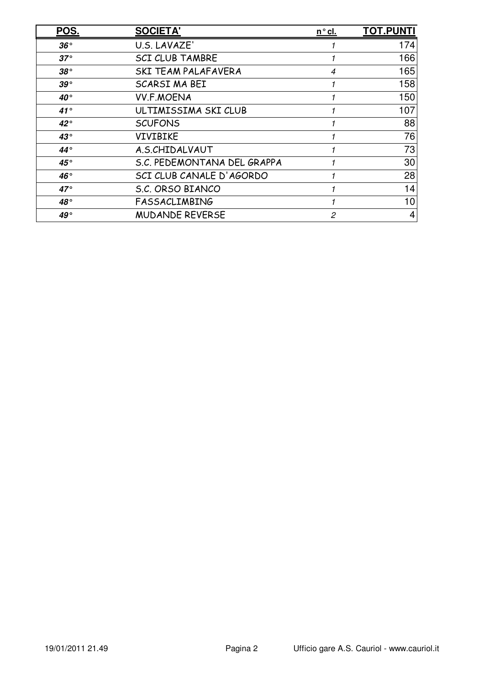| POS.         | <b>SOCIETA'</b>             | <u>n°cl.</u>   | <b>TOT.PUNTI</b> |
|--------------|-----------------------------|----------------|------------------|
| $36^{\circ}$ | U.S. LAVAZE'                |                | 174              |
| $37^\circ$   | <b>SCI CLUB TAMBRE</b>      |                | 166              |
| $38^{\circ}$ | <b>SKI TEAM PALAFAVERA</b>  | $\overline{4}$ | 165              |
| $39^{\circ}$ | SCARSI MA BEI               |                | 158              |
| 40°          | <b>VV.F.MOENA</b>           |                | 150              |
| $41^{\circ}$ | ULTIMISSIMA SKI CLUB        |                | 107              |
| $42^{\circ}$ | <b>SCUFONS</b>              |                | 88               |
| $43^{\circ}$ | <b>VIVIBIKE</b>             |                | 76               |
| $44^{\circ}$ | A.S.CHIDALVAUT              |                | 73               |
| $45^{\circ}$ | S.C. PEDEMONTANA DEL GRAPPA |                | 30               |
| 46°          | SCI CLUB CANALE D'AGORDO    |                | 28               |
| $47^{\circ}$ | S.C. ORSO BIANCO            |                | 14               |
| $48^{\circ}$ | <b>FASSACLIMBING</b>        |                | 10               |
| 49°          | <b>MUDANDE REVERSE</b>      | 2              | 4                |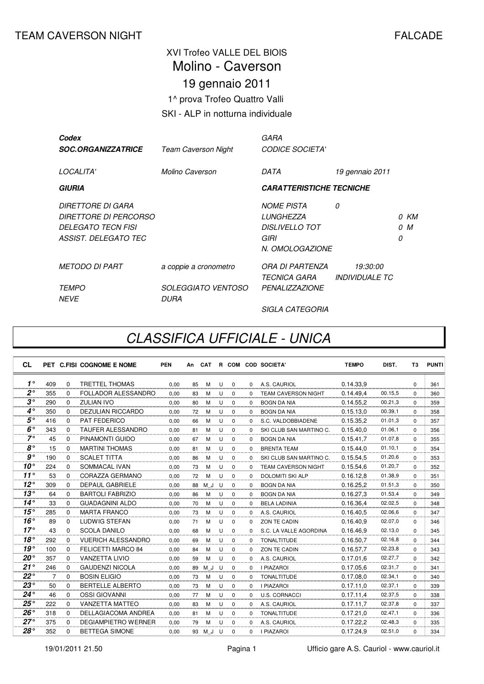#### XVI Trofeo VALLE DEL BIOIS 19 gennaio 2011 1^ prova Trofeo Quattro Valli SKI - ALP in notturna individuale Molino - Caverson

| Codex<br><b>SOC.ORGANIZZATRICE</b>                                                              | <b>Team Caverson Night</b>        | GARA<br><b>CODICE SOCIETA'</b>                                                     |                                                        |   |             |
|-------------------------------------------------------------------------------------------------|-----------------------------------|------------------------------------------------------------------------------------|--------------------------------------------------------|---|-------------|
| LOCALITA'                                                                                       | Molino Caverson                   | DATA                                                                               | 19 gennaio 2011                                        |   |             |
| <b>GIURIA</b>                                                                                   |                                   | <b>CARATTERISTICHE TECNICHE</b>                                                    |                                                        |   |             |
| DIRETTORE DI GARA<br>DIRETTORE DI PERCORSO<br><b>DELEGATO TECN FISI</b><br>ASSIST. DELEGATO TEC |                                   | <b>NOME PISTA</b><br>LUNGHEZZA<br><b>DISLIVELLO TOT</b><br>GIRI<br>N. OMOLOGAZIONE | 0                                                      | 0 | 0 KM<br>0 M |
| <b>METODO DI PART</b>                                                                           | a coppie a cronometro             | ORA DI PARTENZA<br><i><b>TECNICA GARA</b></i>                                      | <i><b>19:30:00</b></i><br><i><b>INDIVIDUALE TC</b></i> |   |             |
| <b>TEMPO</b><br><b>NFVF</b>                                                                     | <i>SOLEGGIATO VENTOSO</i><br>DURA | <b>PENALIZZAZIONE</b>                                                              |                                                        |   |             |
|                                                                                                 |                                   | <b>SIGLA CATEGORIA</b>                                                             |                                                        |   |             |

## CLASSIFICA UFFICIALE - UNICA

| <b>CL</b>      |     |          | PET C.FISI COGNOME E NOME  | <b>PEN</b> | An | <b>CAT</b> |   |             |          | R COM COD SOCIETA'         | <b>TEMPO</b> | DIST.   | T3       | <b>PUNTI</b> |
|----------------|-----|----------|----------------------------|------------|----|------------|---|-------------|----------|----------------------------|--------------|---------|----------|--------------|
| $1^{\circ}$    | 409 | $\Omega$ | <b>TRETTEL THOMAS</b>      | 0.00       | 85 | м          | U | $\mathbf 0$ | $\Omega$ | A.S. CAURIOL               | 0.14.33.9    |         | $\Omega$ | 361          |
| $2^{\circ}$    | 355 | $\Omega$ | FOLLADOR ALESSANDRO        | 0,00       | 83 | M          | U | $\mathbf 0$ | $\Omega$ | <b>TEAM CAVERSON NIGHT</b> | 0.14.49.4    | 00.15,5 | $\Omega$ | 360          |
| $3^{\circ}$    | 290 | $\Omega$ | ZULIAN IVO                 | 0.00       | 80 | M          | U | $\mathbf 0$ | $\Omega$ | <b>BOGN DA NIA</b>         | 0.14.55.2    | 00.21,3 | $\Omega$ | 359          |
| $4^\circ$      | 350 | $\Omega$ | <b>DEZULIAN RICCARDO</b>   | 0.00       | 72 | M          | U | $\Omega$    | $\Omega$ | <b>BOGN DA NIA</b>         | 0.15.13,0    | 00.39.1 | $\Omega$ | 358          |
| $5^{\circ}$    | 416 | $\Omega$ | <b>PAT FEDERICO</b>        | 0,00       | 66 | M          | U | $\mathbf 0$ | $\Omega$ | S.C. VALDOBBIADENE         | 0.15.35,2    | 01.01.3 | $\Omega$ | 357          |
| $6^\circ$      | 343 | $\Omega$ | <b>TAUFER ALESSANDRO</b>   | 0.00       | 81 | M          | U | 0           | $\Omega$ | SKI CLUB SAN MARTINO C.    | 0.15.40.0    | 01.06.1 | $\Omega$ | 356          |
| $7^\circ$      | 45  | $\Omega$ | PINAMONTI GUIDO            | 0.00       | 67 | м          | U | $\mathbf 0$ | $\Omega$ | <b>BOGN DA NIA</b>         | 0.15.41.7    | 01.07,8 | $\Omega$ | 355          |
| $8^{\circ}$    | 15  | $\Omega$ | <b>MARTINI THOMAS</b>      | 0.00       | 81 | м          | U | $\Omega$    | $\Omega$ | <b>BRENTA TEAM</b>         | 0.15.44.0    | 01.10.1 | $\Omega$ | 354          |
| g <sub>o</sub> | 190 | $\Omega$ | <b>SCALET TITTA</b>        | 0,00       | 86 | м          | U | $\mathbf 0$ | $\Omega$ | SKI CLUB SAN MARTINO C.    | 0.15.54,5    | 01.20,6 | $\Omega$ | 353          |
| $10^{\circ}$   | 224 | $\Omega$ | <b>SOMMACAL IVAN</b>       | 0.00       | 73 | M          | U | 0           | $\Omega$ | <b>TEAM CAVERSON NIGHT</b> | 0.15.54,6    | 01.20,7 | $\Omega$ | 352          |
| $11^{\circ}$   | 53  | $\Omega$ | CORAZZA GERMANO            | 0.00       | 72 | M          | U | 0           | $\Omega$ | <b>DOLOMITI SKI ALP</b>    | 0.16.12,8    | 01.38,9 | $\Omega$ | 351          |
| $12^{\circ}$   | 309 | $\Omega$ | <b>DEPAUL GABRIELE</b>     | 0.00       | 88 | M J        | U | $\Omega$    | $\Omega$ | <b>BOGN DA NIA</b>         | 0.16.25.2    | 01.51,3 | $\Omega$ | 350          |
| $13^\circ$     | 64  | $\Omega$ | <b>BARTOLI FABRIZIO</b>    | 0,00       | 86 | M          | U | $\Omega$    | $\Omega$ | <b>BOGN DA NIA</b>         | 0.16.27,3    | 01.53,4 | $\Omega$ | 349          |
| $14^{\circ}$   | 33  | $\Omega$ | <b>GUADAGNINI ALDO</b>     | 0.00       | 70 | M          | U | $\Omega$    | $\Omega$ | <b>BELA LADINIA</b>        | 0.16.36,4    | 02.02,5 | $\Omega$ | 348          |
| $15^{\circ}$   | 285 | $\Omega$ | <b>MARTA FRANCO</b>        | 0.00       | 73 | м          | U | 0           | $\Omega$ | A.S. CAURIOL               | 0.16.40,5    | 02.06,6 | $\Omega$ | 347          |
| $16^{\circ}$   | 89  | $\Omega$ | LUDWIG STEFAN              | 0.00       | 71 | M          | U | $\mathbf 0$ | $\Omega$ | ZON TE CADIN               | 0.16.40.9    | 02.07,0 | $\Omega$ | 346          |
| 17°            | 43  | $\Omega$ | <b>SCOLA DANILO</b>        | 0.00       | 68 | M          | U | $\Omega$    | $\Omega$ | S.C. LA VALLE AGORDINA     | 0.16.46.9    | 02.13,0 | $\Omega$ | 345          |
| 18°            | 292 | $\Omega$ | <b>VUERICH ALESSANDRO</b>  | 0,00       | 69 | м          | U | $\Omega$    | $\Omega$ | <b>TONALTITUDE</b>         | 0.16.50.7    | 02.16,8 | $\Omega$ | 344          |
| $19^{\circ}$   | 100 | $\Omega$ | FELICETTI MARCO 84         | 0,00       | 84 | M          | U | $\Omega$    | $\Omega$ | ZON TE CADIN               | 0.16.57,7    | 02.23,8 | $\Omega$ | 343          |
| $20^{\circ}$   | 357 | $\Omega$ | <b>VANZETTA LIVIO</b>      | 0.00       | 59 | м          | U | 0           | $\Omega$ | A.S. CAURIOL               | 0.17.01.6    | 02.27,7 | $\Omega$ | 342          |
| 21°            | 246 | $\Omega$ | <b>GAUDENZI NICOLA</b>     | 0.00       | 89 | M J        | U | $\Omega$    | $\Omega$ | <b>I PIAZAROI</b>          | 0.17.05.6    | 02.31,7 | $\Omega$ | 341          |
| $22^{\circ}$   | 7   | $\Omega$ | <b>BOSIN ELIGIO</b>        | 0.00       | 73 | M          | U | $\Omega$    | 0        | <b>TONALTITUDE</b>         | 0.17.08,0    | 02.34,1 | $\Omega$ | 340          |
| $23^{\circ}$   | 50  | $\Omega$ | <b>BERTELLE ALBERTO</b>    | 0,00       | 73 | M          | U | $\Omega$    | $\Omega$ | <b>I PIAZAROI</b>          | 0.17.11,0    | 02.37,1 | $\Omega$ | 339          |
| $24^{\circ}$   | 46  | $\Omega$ | <b>OSSI GIOVANNI</b>       | 0,00       | 77 | M          | U | 0           | $\Omega$ | <b>U.S. CORNACCI</b>       | 0.17.11,4    | 02.37,5 | $\Omega$ | 338          |
| $25^{\circ}$   | 222 | $\Omega$ | <b>VANZETTA MATTEO</b>     | 0,00       | 83 | м          | U | $\mathbf 0$ | 0        | A.S. CAURIOL               | 0.17.11,7    | 02.37,8 | $\Omega$ | 337          |
| $26^{\circ}$   | 318 | $\Omega$ | DELLAGIACOMA ANDREA        | 0.00       | 81 | м          | U | $\mathbf 0$ | $\Omega$ | <b>TONALTITUDE</b>         | 0.17.21.0    | 02.47,1 | $\Omega$ | 336          |
| $27^\circ$     | 375 | $\Omega$ | <b>DEGIAMPIETRO WERNER</b> | 0.00       | 79 | м          | U | $\mathbf 0$ | $\Omega$ | A.S. CAURIOL               | 0.17.22.2    | 02.48,3 | $\Omega$ | 335          |
| $28^{\circ}$   | 352 | $\Omega$ | <b>BETTEGA SIMONE</b>      | 0.00       | 93 | M J        | U | $\Omega$    | $\Omega$ | <b>I PIAZAROI</b>          | 0.17.24.9    | 02.51,0 | $\Omega$ | 334          |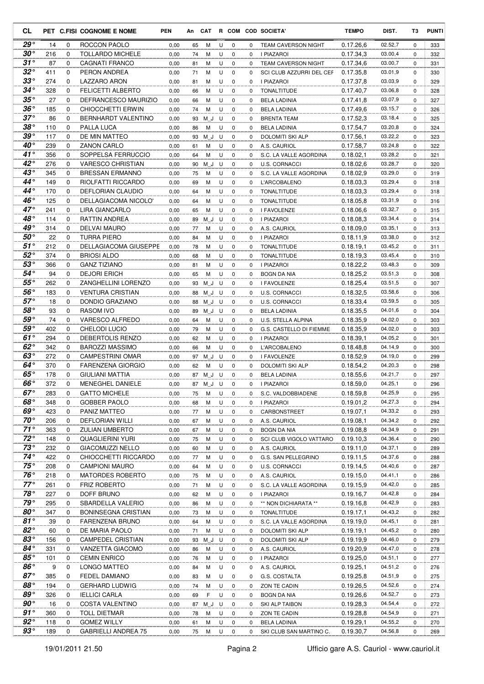| CL                           |            |                  | PET C.FISI COGNOME E NOME         | <b>PEN</b>   | An       | CAT      |        |                  |          | R COM COD SOCIETA'                    | <b>TEMPO</b>           | DIST.              | ТЗ               | <b>PUNTI</b> |
|------------------------------|------------|------------------|-----------------------------------|--------------|----------|----------|--------|------------------|----------|---------------------------------------|------------------------|--------------------|------------------|--------------|
| $29^{\circ}$                 | 14         | 0                | ROCCON PAOLO                      | 0,00         | 65       | М        | U      | 0                | 0        | <b>TEAM CAVERSON NIGHT</b>            | 0.17.26,6              | 02.52,7            | $\mathbf 0$      | 333          |
| $30^{\circ}$                 | 216        | $\Omega$         | <b>TOLLARDO MICHELE</b>           | 0,00         | 74       | М        | U      | $\mathbf 0$      | 0        | I PIAZAROI                            | 0.17.34,3              | 03.00,4            | 0                | 332          |
| $31^{\circ}$                 | 87         | 0                | <b>CAGNATI FRANCO</b>             | 0,00         | 81       | М        | U      | $\mathbf 0$      | 0        | <b>TEAM CAVERSON NIGHT</b>            | 0.17.34,6              | 03.00,7            | 0                | 331          |
| $32^{\circ}$                 | 411        | 0                | PERON ANDREA                      | 0,00         | 71       | М        | U      | $\mathbf 0$      | 0        | SCI CLUB AZZURRI DEL CEF              | 0.17.35,8              | 03.01,9            | 0                | 330          |
| $33^\circ$                   | 274        | 0                | LAZZARO ARON                      | 0,00         | 81       | M        | U      | $\mathbf 0$      | 0        | <b>I PIAZAROI</b>                     | 0.17.37,8              | 03.03,9            | 0                | 329          |
| $34^{\circ}$                 | 328        | $\mathbf 0$      | <b>FELICETTI ALBERTO</b>          | 0,00         | 66       | М        | U      | 0                | 0        | <b>TONALTITUDE</b>                    | 0.17.40,7              | 03.06,8            | 0                | 328          |
| $35^{\circ}$                 | 27         | $\mathbf 0$      | DEFRANCESCO MAURIZIO              | 0,00         | 66       | M        | U      | 0                | 0        | <b>BELA LADINIA</b>                   | 0.17.41,8              | 03.07,9            | $\mathbf 0$      | 327          |
| $36^{\circ}$                 | 185        | 0                | CHIOCCHETTI ERWIN                 | 0,00         | 74       | M        | U      | 0                | 0        | <b>BELA LADINIA</b>                   | 0.17.49,6              | 03.15,7            | 0                | 326          |
| $37^\circ$                   | 86         | $\mathbf 0$      | BERNHARDT VALENTINO               | 0,00         | 93       | ΜJ       | U      | $\mathbf 0$      | 0        | <b>BRENTA TEAM</b>                    | 0.17.52.3              | 03.18,4            | $\mathbf 0$      | 325          |
| $38^{\circ}$<br>$39^{\circ}$ | 110<br>117 | 0<br>$\Omega$    | PALLA LUCA<br>DE MIN MATTEO       | 0,00         | 86       | M        | U      | 0                | 0        | <b>BELA LADINIA</b>                   | 0.17.54,7              | 03.20,8<br>03.22,2 | 0                | 324          |
| $40^{\circ}$                 | 239        | 0                | ZANON CARLO                       | 0,00<br>0,00 | 93<br>61 | ΜJ<br>М  | U<br>U | 0<br>$\mathbf 0$ | 0<br>0   | DOLOMITI SKI ALP<br>A.S. CAURIOL      | 0.17.56.1<br>0.17.58,7 | 03.24,8            | 0<br>0           | 323<br>322   |
| $41^{\circ}$                 | 356        | 0                | SOPPELSA FERRUCCIO                | 0,00         | 64       | M        | U      | $\mathbf 0$      | 0        | S.C. LA VALLE AGORDINA                | 0.18.02,1              | 03.28,2            | 0                | 321          |
| $42^{\circ}$                 | 276        | 0                | <b>VARESCO CHRISTIAN</b>          | 0,00         | 90       | M J      | U      | 0                | 0        | U.S. CORNACCI                         | 0.18.02,6              | 03.28,7            | 0                | 320          |
| $43^\circ$                   | 345        | $\mathbf 0$      | <b>BRESSAN ERMANNO</b>            | 0,00         | 75       | М        | U      | $\mathbf 0$      | 0        | S.C. LA VALLE AGORDINA                | 0.18.02,9              | 03.29,0            | 0                | 319          |
| $44^{\circ}$                 | 149        | 0                | RIOLFATTI RICCARDO                | 0,00         | 69       | M        | U      | 0                | 0        | L'ARCOBALENO                          | 0.18.03,3              | 03.29,4            | 0                | 318          |
| $44^\circ$                   | 170        | $\mathbf 0$      | <b>DEFLORIAN CLAUDIO</b>          | 0,00         | 64       | M        | U      | $\mathbf 0$      | 0        | <b>TONALTITUDE</b>                    | 0.18.03.3              | 03.29,4            | $\mathbf 0$      | 318          |
| 46°                          | 125        | 0                | DELLAGIACOMA NICOLO'              | 0,00         | 64       | M        | U      | 0                | 0        | <b>TONALTITUDE</b>                    | 0.18.05.8              | 03.31,9            | 0                | 316          |
| $47^{\circ}$                 | 241        | 0                | LIRA GIANCARLO                    | 0,00         | 65       | M        | U      | 0                | 0        | I FAVOLENZE                           | 0.18.06,6              | 03.32,7            | 0                | 315          |
| 48°                          | 114        | 0                | RATTIN ANDREA                     | 0,00         | 89       | M J      | U      | 0                | 0        | <b>I PIAZAROI</b>                     | 0.18.08.3              | 03.34,4            | 0                | 314          |
| 49°                          | 314        | 0                | DELVAI MAURO                      | 0,00         | 77       | М        | U      | 0                | 0        | A.S. CAURIOL                          | 0.18.09.0              | 03.35,1            | 0                | 313          |
| $50^{\circ}$                 | 22         | $\mathbf 0$      | TURRA PIERO                       | 0,00         | 84       | М        | U      | $\mathbf 0$      | 0        | I PIAZAROI                            | 0.18.11,9              | 03.38,0            | 0                | 312          |
| $51^{\circ}$                 | 212        | $\mathbf 0$      | DELLAGIACOMA GIUSEPPE             | 0,00         | 78       | М        | U      | $\mathbf 0$      | $\Omega$ | <b>TONALTITUDE</b>                    | 0.18.19,1              | 03.45,2            | 0                | 311          |
| $52^{\circ}$                 | 374        | $\mathbf 0$      | <b>BRIOSI ALDO</b>                | 0,00         | 68       | М        | U      | $\mathbf 0$      | 0        | <b>TONALTITUDE</b>                    | 0.18.19,3              | 03.45,4            | 0                | 310          |
| $53^{\circ}$                 | 366        | 0                | <b>GANZ TIZIANO</b>               | 0,00         | 81       | М        | U      | 0                | 0        | I PIAZAROI                            | 0.18.22,2              | 03.48,3            | 0                | 309          |
| 54°                          | 94         | 0                | <b>DEJORI ERICH</b>               | 0,00         | 65       | M        | U      | 0                | $\Omega$ | <b>BOGN DA NIA</b>                    | 0.18.25,2              | 03.51,3            | $\mathbf 0$      | 308          |
| 55°                          | 262        | 0                | ZANGHELLINI LORENZO               | 0,00         | 93       | M J      | U      | 0                | $\Omega$ | I FAVOLENZE                           | 0.18.25,4              | 03.51,5            | 0                | 307          |
| $56^{\circ}$<br>$57^\circ$   | 183        | 0                | <b>VENTURA CRISTIAN</b>           | 0,00         | 88       | M J      | U      | $\mathbf 0$      | 0        | <b>U.S. CORNACCI</b>                  | 0.18.32,5              | 03.58,6            | 0                | 306          |
| $58^{\circ}$                 | 18         | 0                | DONDIO GRAZIANO                   | 0,00         | 88       | M J      | U      | 0                | 0        | U.S. CORNACCI                         | 0.18.33,4              | 03.59,5            | 0                | 305          |
| $59^{\circ}$                 | 93<br>74   | $\mathbf 0$      | <b>RASOM IVO</b>                  | 0,00         | 89       | M J      | U      | 0                | 0        | <b>BELA LADINIA</b>                   | 0.18.35,5              | 04.01,6            | 0                | 304          |
| $59^{\circ}$                 | 402        | 0<br>$\mathbf 0$ | VARESCO ALFREDO<br>CHELODI LUCIO  | 0,00         | 64       | М<br>M   | U<br>U | 0<br>$\mathbf 0$ | 0<br>0   | U.S. STELLA ALPINA                    | 0.18.35,9              | 04.02,0<br>04.02,0 | 0<br>$\mathbf 0$ | 303<br>303   |
| $61^\circ$                   | 294        | 0                | DEBERTOLIS RENZO                  | 0,00<br>0,00 | 79<br>62 | М        | U      | 0                | 0        | G.S. CASTELLO DI FIEMME<br>I PIAZAROI | 0.18.35.9<br>0.18.39,1 | 04.05,2            | 0                | 301          |
| 62 $^{\circ}$                | 342        | 0                | <b>BAROZZI MASSIMO</b>            | 0,00         | 66       | M        | U      | 0                | 0        | <b>L'ARCOBALENO</b>                   | 0.18.48,8              | 04.14,9            | 0                | 300          |
| $63^\circ$                   | 272        | 0                | <b>CAMPESTRINI OMAR</b>           | 0,00         | 97       | M J      | U      | 0                | 0        | I FAVOLENZE                           | 0.18.52,9              | 04.19,0            | 0                | 299          |
| $64^\circ$                   | 370        | 0                | <b>FARENZENA GIORGIO</b>          | 0,00         | 62       | M        | U      | 0                | $\Omega$ | DOLOMITI SKI ALP                      | 0.18.54,2              | 04.20,3            | 0                | 298          |
| $65^{\circ}$                 | 178        | 0                | <b>GIULIANI MATTIA</b>            | 0,00         | 87       | M J      | U      | 0                | 0        | <b>BELA LADINIA</b>                   | 0.18.55,6              | 04.21,7            | 0                | 297          |
| 66°                          | 372        | $\Omega$         | <b>MENEGHEL DANIELE</b>           | 0,00         |          | 87 M J U |        | $\mathbf 0$      | 0        | <b>I PIAZAROI</b>                     | 0.18.59.0              | 04.25,1            | $\mathbf 0$      | 296          |
| $67^\circ$                   | 283        | 0                | <b>GATTO MICHELE</b>              | 0,00         | 75       | M        | U      | 0                | 0        | S.C. VALDOBBIADENE                    | 0.18.59,8              | 04.25,9            | 0                | 295          |
| 68°                          | 348        | 0                | GOBBER PAOLO                      | 0,00         | 68       | M        | U      | 0                | 0        | I PIAZAROI                            | 0.19.01,2              | 04.27,3            | 0                | 294          |
| 69°                          | 423        | 0                | PANIZ MATTEO                      | 0,00         | 77       | M        | U      | 0                | 0        | CARBONSTREET                          | 0.19.07,1              | 04.33,2            | 0                | 293          |
| $70^{\circ}$                 | 206        | 0                | DEFLORIAN WILLI                   | 0,00         | 67       | M        | U      | 0                | 0        | A.S. CAURIOL                          | 0.19.08,1              | 04.34,2            | 0                | 292          |
| $71^{\circ}$                 | 363        | 0                | <b>ZULIAN UMBERTO</b>             | 0,00         | 67       | М        | U      | 0                | 0        | <b>BOGN DA NIA</b>                    | 0.19.08,8              | 04.34,9            | 0                | 291          |
| $72^{\circ}$                 | 148        | 0                | QUAGLIERINI YURI                  | 0,00         | 75       | M        | U      | 0                | 0        | SCI CLUB VIGOLO VATTARO               | 0.19.10,3              | 04.36,4            | 0                | 290          |
| $73^{\circ}$                 | 232        | 0                | <b>GIACOMUZZI NELLO</b>           | 0,00         | 60       | M        | U      | 0                | 0        | A.S. CAURIOL                          | 0.19.11,0              | 04.37,1            | 0                | 289          |
| $74^{\circ}$                 | 422        | 0                | CHIOCCHETTI RICCARDO              | 0,00         | 77       | M        | U      | 0                | 0        | G.S. SAN PELLEGRINO                   | 0.19.11,5              | 04.37,6            | 0                | 288          |
| $75^{\circ}$                 | 208        | 0                | <b>CAMPIONI MAURO</b>             | 0,00         | 64       | M        | U      | 0                | 0        | U.S. CORNACCI                         | 0.19.14,5              | 04.40,6            | 0                | 287          |
| $76^{\circ}$<br>$77^\circ$   | 218        | 0                | <b>MATORDES ROBERTO</b>           | 0,00         | 75       | M        | U      | 0                | 0        | A.S. CAURIOL                          | 0.19.15,0              | 04.41,1            | 0                | 286          |
| 78°                          | 261<br>227 | 0<br>0           | <b>FRIZ ROBERTO</b><br>DOFF BRUNO | 0,00         | 71       | M        | U      | 0                | 0        | S.C. LA VALLE AGORDINA                | 0.19.15,9              | 04.42,0<br>04.42,8 | 0                | 285          |
| 79°                          | 295        | 0                | SBARDELLA VALERIO                 | 0,00<br>0,00 | 62<br>86 | M<br>M   | U<br>U | 0<br>0           | 0<br>0   | I PIAZAROI<br>** NON DICHIARATA **    | 0.19.16,7<br>0.19.16,8 | 04.42,9            | 0<br>0           | 284<br>283   |
| $80^{\circ}$                 | 347        | 0                | <b>BONINSEGNA CRISTIAN</b>        | 0,00         | 73       | М        | U      | 0                | 0        | <b>TONALTITUDE</b>                    | 0.19.17,1              | 04.43,2            | 0                | 282          |
| $81^{\circ}$                 | 39         | 0                | FARENZENA BRUNO                   | 0,00         | 64       | М        | U      | 0                | 0        | S.C. LA VALLE AGORDINA                | 0.19.19,0              | 04.45,1            | 0                | 281          |
| $82^{\circ}$                 | 60         | 0                | DE MARIA PAOLO                    | 0,00         | 71       | M        | U      | 0                | 0        | DOLOMITI SKI ALP                      | 0.19.19,1              | 04.45,2            | 0                | 280          |
| $83^{\circ}$                 | 156        | 0                | <b>CAMPEDEL CRISTIAN</b>          | 0,00         | 93       | M J      | U      | 0                | 0        | DOLOMITI SKI ALP                      | 0.19.19,9              | 04.46,0            | 0                | 279          |
| $84^{\circ}$                 | 331        | 0                | VANZETTA GIACOMO                  | 0,00         | 86       | M        | U      | 0                | 0        | A.S. CAURIOL                          | 0.19.20,9              | 04.47,0            | 0                | 278          |
| $85^\circ$                   | 101        | 0                | <b>CEMIN ENRICO</b>               | 0,00         | 76       | M        | U      | 0                | 0        | I PIAZAROI                            | 0.19.25,0              | 04.51,1            | 0                | 277          |
| $86^{\circ}$                 | 9          | 0                | LONGO MATTEO                      | 0,00         | 84       | M        | U      | 0                | 0        | A.S. CAURIOL                          | 0.19.25,1              | 04.51,2            | 0                | 276          |
| $87^\circ$                   | 385        | 0                | FEDEL DAMIANO                     | 0,00         | 83       | M        | U      | 0                | 0        | G.S. COSTALTA                         | 0.19.25,8              | 04.51,9            | 0                | 275          |
| 88°                          | 194        | 0                | <b>GERHARD LUDWIG</b>             | 0,00         | 74       | M        | U      | 0                | 0        | ZON TE CADIN                          | 0.19.26,5              | 04.52,6            | 0                | 274          |
| $89^\circ$                   | 326        | 0                | <b>IELLICI CARLA</b>              | 0,00         | 69       | F        | U      | 0                | 0        | <b>BOGN DA NIA</b>                    | 0.19.26,6              | 04.52,7            | 0                | 273          |
| $90^{\circ}$                 | 16         | 0                | COSTA VALENTINO                   | 0,00         | 87       | $M_J$    | U      | 0                | 0        | SKI ALP TAIBON                        | 0.19.28,3              | 04.54,4            | 0                | 272          |
| $91^{\circ}$                 | 360        | 0                | <b>TOLL DIETMAR</b>               | 0,00         | 78       | M        | U      | 0                | 0        | ZON TE CADIN                          | 0.19.28,8              | 04.54,9            | 0                | 271          |
| $92^{\circ}$                 | 118        | 0                | <b>GOMEZ WILLY</b>                | 0,00         | 61       | M        | U      | 0                | 0        | <b>BELA LADINIA</b>                   | 0.19.29,1              | 04.55,2            | 0                | 270          |
| $93^{\circ}$                 | 189        | 0                | <b>GABRIELLI ANDREA 75</b>        | 0,00         | 75       | M        | U      | $\mathbf 0$      | 0        | SKI CLUB SAN MARTINO C.               | 0.19.30,7              | 04.56,8            | 0                | 269          |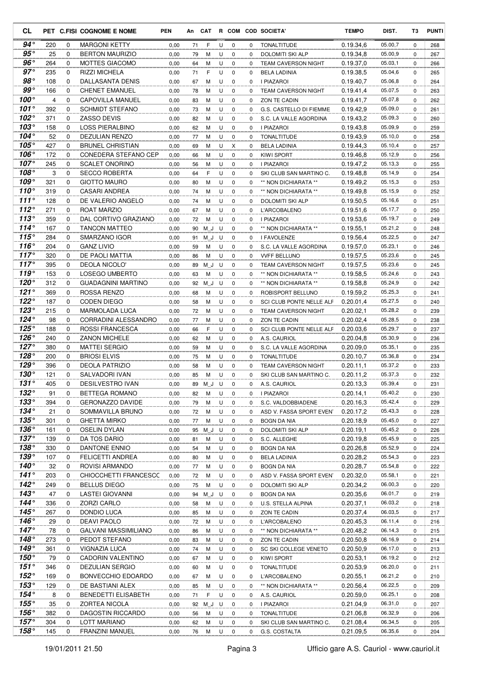| CL                            |            |               | PET C.FISI COGNOME E NOME               | <b>PEN</b>   | An       | CAT      |        |                  |          | R COM COD SOCIETA'                             | <b>TEMPO</b>           | DIST.              | T3          | <b>PUNTI</b> |
|-------------------------------|------------|---------------|-----------------------------------------|--------------|----------|----------|--------|------------------|----------|------------------------------------------------|------------------------|--------------------|-------------|--------------|
| 94°                           | 220        | 0             | <b>MARGONI KETTY</b>                    | 0,00         | 71       | F        | U      | 0                | 0        | <b>TONALTITUDE</b>                             | 0.19.34,6              | 05.00,7            | $\mathbf 0$ | 268          |
| 95 $^{\circ}$                 | 25         | 0             | <b>BERTON MAURIZIO</b>                  | 0,00         | 79       | М        | U      | 0                | $\Omega$ | <b>DOLOMITI SKI ALP</b>                        | 0.19.34,8              | 05.00,9            | 0           | 267          |
| $96^{\circ}$                  | 264        | 0             | <b>MOTTES GIACOMO</b>                   | 0,00         | 64       | М        | U      | $\mathbf 0$      | 0        | <b>TEAM CAVERSON NIGHT</b>                     | 0.19.37,0              | 05.03,1            | 0           | 266          |
| $97^\circ$                    | 235        | 0             | <b>RIZZI MICHELA</b>                    | 0,00         | 71       | F        | U      | 0                | 0        | <b>BELA LADINIA</b>                            | 0.19.38,5              | 05.04,6            | 0           | 265          |
| $98^{\circ}$                  | 108        | 0             | DALLASANTA DENIS                        | 0,00         | 67       | M        | U      | $\mathbf 0$      | 0        | I PIAZAROI                                     | 0.19.40,7              | 05.06,8            | 0           | 264          |
| $99^{\circ}$                  | 166        | 0             | <b>CHENET EMANUEL</b>                   | 0,00         | 78       | М        | U      | 0                | 0        | <b>TEAM CAVERSON NIGHT</b>                     | 0.19.41,4              | 05.07,5            | 0           | 263          |
| $100^\circ$                   | 4          | $\mathbf 0$   | <b>CAPOVILLA MANUEL</b>                 | 0,00         | 83       | M        | U      | 0                | 0        | ZON TE CADIN                                   | 0.19.41,7              | 05.07,8            | 0           | 262          |
| 101 $^{\circ}$                | 392        | 0             | <b>SCHMIDT STEFANO</b>                  | 0,00         | 73       | М        | U      | 0                | 0        | G.S. CASTELLO DI FIEMME                        | 0.19.42,9              | 05.09,0            | 0           | 261          |
| 102 $^{\circ}$<br>103°        | 371        | 0             | <b>ZASSO DEVIS</b><br>LOSS PIERALBINO   | 0,00         | 82       | M        | U      | $\mathbf 0$      | 0        | S.C. LA VALLE AGORDINA                         | 0.19.43,2              | 05.09,3<br>05.09,9 | $\mathbf 0$ | 260          |
| 104 $^{\circ}$                | 158<br>52  | 0<br>$\Omega$ | <b>DEZULIAN RENZO</b>                   | 0,00<br>0,00 | 62<br>77 | M<br>м   | U<br>U | 0<br>$\mathbf 0$ | 0<br>0   | I PIAZAROI<br><b>TONALTITUDE</b>               | 0.19.43,8<br>0.19.43,9 | 05.10,0            | 0<br>0      | 259<br>258   |
| 105°                          | 427        | 0             | <b>BRUNEL CHRISTIAN</b>                 | 0,00         | 69       | М        | U      | Χ                | 0        | <b>BELA LADINIA</b>                            | 0.19.44,3              | 05.10,4            | 0           | 257          |
| 106°                          | 172        | 0             | CONEDERA STEFANO CEP                    | 0,00         | 66       | M        | U      | 0                | 0        | KIWI SPORT                                     | 0.19.46,8              | 05.12,9            | 0           | 256          |
| $107^\circ$                   | 245        | 0             | <b>SCALET ONORINO</b>                   | 0,00         | 56       | М        | U      | $\mathbf 0$      | $\Omega$ | I PIAZAROI                                     | 0.19.47,2              | 05.13,3            | 0           | 255          |
| $108^\circ$                   | 3          | $\mathbf 0$   | <b>SECCO ROBERTA</b>                    | 0,00         | 64       | F        | U      | $\mathbf 0$      | $\Omega$ | SKI CLUB SAN MARTINO C.                        | 0.19.48.8              | 05.14,9            | 0           | 254          |
| $109^\circ$                   | 321        | $\mathbf 0$   | <b>GIOTTO MAURO</b>                     | 0,00         | 80       | M        | U      | 0                | 0        | ** NON DICHIARATA **                           | 0.19.49.2              | 05.15,3            | 0           | 253          |
| $110^{\circ}$                 | 319        | 0             | <b>CASARI ANDREA</b>                    | 0,00         | 74       | M        | U      | $\mathbf 0$      | 0        | ** NON DICHIARATA **                           | 0.19.49,8              | 05.15,9            | $\mathbf 0$ | 252          |
| 111 $^{\circ}$                | 128        | 0             | DE VALERIO ANGELO                       | 0,00         | 74       | M        | U      | 0                | 0        | DOLOMITI SKI ALP                               | 0.19.50,5              | 05.16,6            | 0           | 251          |
| 112°                          | 271        | 0             | <b>ROAT MARZIO</b>                      | 0,00         | 67       | M        | U      | 0                | 0        | L'ARCOBALENO                                   | 0.19.51,6              | 05.17,7            | 0           | 250          |
| 113°                          | 359        | 0             | DAL CORTIVO GRAZIANO                    | 0,00         | 72       | M        | U      | 0                | 0        | <b>I PIAZAROI</b>                              | 0.19.53.6              | 05.19,7            | 0           | 249          |
| $114^\circ$                   | 167        | 0             | <b>TANCON MATTEO</b>                    | 0,00         | 90       | ΜJ       | U      | 0                | 0        | ** NON DICHIARATA **                           | 0.19.55,1              | 05.21,2            | 0           | 248          |
| 115°                          | 284        | 0             | SMARZANO IGOR                           | 0,00         | 91       | M J      | U      | 0                | 0        | I FAVOLENZE                                    | 0.19.56,4              | 05.22,5            | 0           | 247          |
| 116°                          | 204        | $\mathbf 0$   | <b>GANZ LIVIO</b>                       | 0,00         | 59       | М        | U      | 0                | 0        | S.C. LA VALLE AGORDINA                         | 0.19.57,0              | 05.23,1            | 0           | 246          |
| $117^\circ$                   | 320        | $\mathbf 0$   | DE PAOLI MATTIA                         | 0,00         | 86       | М        | U      | $\mathbf 0$      | 0        | <b>VVFF BELLUNO</b>                            | 0.19.57.5              | 05.23,6            | 0           | 245          |
| $117^\circ$<br>119 $^{\circ}$ | 395<br>153 | 0<br>0        | DEOLA NICOLO'<br>LOSEGO UMBERTO         | 0,00         | 89       | M J      | U      | 0<br>0           | 0        | <b>TEAM CAVERSON NIGHT</b>                     | 0.19.57,5              | 05.23,6<br>05.24,6 | 0           | 245          |
| 120°                          | 312        | 0             | GUADAGNINI MARTINO                      | 0,00<br>0,00 | 63<br>92 | М<br>M J | U<br>U | 0                | 0<br>0   | ** NON DICHIARATA **<br>** NON DICHIARATA **   | 0.19.58,5<br>0.19.58,8 | 05.24,9            | 0<br>0      | 243<br>242   |
| 121°                          | 369        | 0             | ROSSA RENZO                             | 0,00         | 68       | М        | U      | $\mathbf 0$      | 0        | ROBISPORT BELLUNO                              | 0.19.59.2              | 05.25,3            | 0           | 241          |
| $122^\circ$                   | 187        | 0             | CODEN DIEGO                             | 0,00         | 58       | М        | U      | 0                | 0        | SCI CLUB PONTE NELLE ALF                       | 0.20.01,4              | 05.27,5            | 0           | 240          |
| $123^\circ$                   | 215        | 0             | <b>MARMOLADA LUCA</b>                   | 0,00         | 72       | м        | U      | $\mathbf 0$      | 0        | <b>TEAM CAVERSON NIGHT</b>                     | 0.20.02,1              | 05.28,2            | 0           | 239          |
| $124^\circ$                   | 98         | 0             | CORRADINI ALESSANDRO                    | 0,00         | 77       | М        | U      | 0                | 0        | ZON TE CADIN                                   | 0.20.02,4              | 05.28,5            | 0           | 238          |
| $125^\circ$                   | 188        | $\mathbf 0$   | <b>ROSSI FRANCESCA</b>                  | 0,00         | 66       | F        | U      | $\mathbf 0$      | 0        | SCI CLUB PONTE NELLE ALF                       | 0.20.03.6              | 05.29,7            | 0           | 237          |
| $126^\circ$                   | 240        | 0             | <b>ZANON MICHELE</b>                    | 0,00         | 62       | М        | U      | 0                | 0        | A.S. CAURIOL                                   | 0.20.04,8              | 05.30,9            | 0           | 236          |
| 127 $^{\circ}$                | 380        | 0             | <b>MATTEI SERGIO</b>                    | 0,00         | 59       | M        | U      | $\mathbf 0$      | 0        | S.C. LA VALLE AGORDINA                         | 0.20.09.0              | 05.35,1            | 0           | 235          |
| $128^\circ$                   | 200        | 0             | <b>BRIOSI ELVIS</b>                     | 0,00         | 75       | M        | U      | 0                | 0        | <b>TONALTITUDE</b>                             | 0.20.10,7              | 05.36,8            | 0           | 234          |
| $129^\circ$                   | 396        | 0             | <b>DEOLA PATRIZIO</b>                   | 0,00         | 58       | M        | U      | 0                | 0        | <b>TEAM CAVERSON NIGHT</b>                     | 0.20.11,1              | 05.37,2            | 0           | 233          |
| $130^\circ$                   | 121        | 0             | SALVADORI IVAN                          | 0,00         | 85       | M        | U      | 0                | 0        | SKI CLUB SAN MARTINO C.                        | 0.20.11,2              | 05.37,3            | 0           | 232          |
| 131°                          | 405        | $\Omega$      | <b>DESILVESTRO IVAN</b>                 | 0.00         | 89       | M J      | U      | $\Omega$         | 0        | A.S. CAURIOL                                   | 0.20.13.3              | 05.39,4            | $\Omega$    | 231          |
| $132^\circ$<br>$133^\circ$    | 91         | 0             | BETTEGA ROMANO                          | 0,00         | 82       | M        | U      | 0                | 0        | <b>I PIAZAROI</b>                              | 0.20.14,1              | 05.40,2            | 0           | 230          |
| $134^\circ$                   | 394<br>21  | 0<br>0        | <b>GERONAZZO DAVIDE</b>                 | 0,00         | 79       | M        | U      | 0<br>0           | 0<br>0   | S.C. VALDOBBIADENE                             | 0.20.16,3              | 05.42,4<br>05.43,3 | 0           | 229          |
| $135^\circ$                   | 301        | 0             | SOMMAVILLA BRUNO<br><b>GHETTA MIRKO</b> | 0,00         | 72       | M<br>M   | U<br>U | 0                | 0        | ASD V. FASSA SPORT EVENT<br><b>BOGN DA NIA</b> | 0.20.17,2<br>0.20.18,9 | 05.45,0            | 0<br>0      | 228<br>227   |
| $136^\circ$                   | 161        | 0             | OSELIN DYLAN                            | 0,00<br>0,00 | 77       | 95 M_J   | U      | 0                | 0        | <b>DOLOMITI SKI ALP</b>                        | 0.20.19,1              | 05.45,2            | 0           | 226          |
| $137^\circ$                   | 139        | 0             | DA TOS DARIO                            | 0,00         | 81       | M        | U      | 0                | 0        | S.C. ALLEGHE                                   | 0.20.19,8              | 05.45,9            | 0           | 225          |
| $138^\circ$                   | 330        | 0             | DANTONE ENNIO                           | 0,00         | 54       | М        | U      | 0                | 0        | <b>BOGN DA NIA</b>                             | 0.20.26,8              | 05.52,9            | 0           | 224          |
| $139^\circ$                   | 107        | 0             | FELICETTI ANDREA                        | 0,00         | 80       | M        | U      | 0                | 0        | <b>BELA LADINIA</b>                            | 0.20.28,2              | 05.54,3            | 0           | 223          |
| $140^\circ$                   | 32         | 0             | ROVISI ARMANDO                          | 0,00         | 77       | M        | U      | 0                | 0        | BOGN DA NIA                                    | 0.20.28,7              | 05.54,8            | 0           | 222          |
| $141^\circ$                   | 203        | 0             | CHIOCCHETTI FRANCESCC                   | 0,00         | 72       | M        | U      | 0                | 0        | ASD V. FASSA SPORT EVEN                        | 0.20.32,0              | 05.58,1            | 0           | 221          |
| $142^\circ$                   | 249        | 0             | <b>BELLUS DIEGO</b>                     | 0,00         | 75       | M        | U      | 0                | 0        | DOLOMITI SKI ALP                               | 0.20.34,2              | 06.00.3            | 0           | 220          |
| $143^\circ$                   | 47         | 0             | LASTEI GIOVANNI                         | 0,00         | 94       | M_J      | U      | 0                | 0        | BOGN DA NIA                                    | 0.20.35,6              | 06.01,7            | 0           | 219          |
| 144 $^{\circ}$                | 336        | 0             | ZORZI CARLO                             | 0,00         | 58       | M        | U      | 0                | 0        | U.S. STELLA ALPINA                             | 0.20.37,1              | 06.03,2            | 0           | 218          |
| 145°                          | 267        | 0             | DONDIO LUCA                             | 0,00         | 85       | м        | U      | 0                | 0        | ZON TE CADIN                                   | 0.20.37,4              | 06.03,5            | 0           | 217          |
| $146^\circ$                   | 29         | 0             | DEAVI PAOLO                             | 0,00         | 72       | М        | U      | 0                | 0        | L'ARCOBALENO                                   | 0.20.45,3              | 06.11,4            | 0           | 216          |
| $147^\circ$                   | 78         | 0             | GALVANI MASSIMILIANO                    | 0,00         | 86       | M        | U      | 0                | 0        | ** NON DICHIARATA **                           | 0.20.48,2              | 06.14,3            | 0           | 215          |
| $148^\circ$<br>$149^\circ$    | 273        | 0<br>0        | PEDOT STEFANO<br>VIGNAZIA LUCA          | 0,00         | 83       | M        | U      | 0                | 0        | ZON TE CADIN                                   | 0.20.50,8              | 06.16,9<br>06.17,0 | 0           | 214          |
| $150^\circ$                   | 361<br>79  | 0             | CADORIN VALENTINO                       | 0,00<br>0,00 | 74<br>67 | M<br>М   | U<br>U | 0<br>0           | 0<br>0   | SC SKI COLLEGE VENETO<br>KIWI SPORT            | 0.20.50,9<br>0.20.53,1 | 06.19,2            | 0<br>0      | 213<br>212   |
| $151^\circ$                   | 346        | 0             | <b>DEZULIAN SERGIO</b>                  | 0,00         | 60       | M        | U      | 0                | 0        | TONALTITUDE                                    | 0.20.53,9              | 06.20,0            | 0           | 211          |
| $152^\circ$                   | 169        | 0             | BONVECCHIO EDOARDO                      | 0,00         | 67       | M        | U      | 0                | 0        | L'ARCOBALENO                                   | 0.20.55,1              | 06.21,2            | 0           | 210          |
| $153^\circ$                   | 129        | 0             | DE BASTIANI ALEX                        | 0,00         | 85       | M        | U      | 0                | 0        | ** NON DICHIARATA **                           | 0.20.56,4              | 06.22,5            | 0           | 209          |
| $154^\circ$                   | 8          | 0             | <b>BENEDETTI ELISABETH</b>              | 0,00         | 71       | F        | U      | 0                | 0        | A.S. CAURIOL                                   | 0.20.59,0              | 06.25,1            | 0           | 208          |
| $155^\circ$                   | 35         | 0             | <b>ZORTEA NICOLA</b>                    | 0,00         | 92       | M J      | U      | 0                | 0        | I PIAZAROI                                     | 0.21.04,9              | 06.31,0            | 0           | 207          |
| $156^\circ$                   | 382        | 0             | DAGOSTIN RICCARDO                       | 0,00         | 56       | M        | U      | 0                | 0        | TONALTITUDE                                    | 0.21.06,8              | 06.32,9            | 0           | 206          |
| $157^\circ$                   | 304        | 0             | LOTT MARIANO                            | 0,00         | 62       | M        | U      | 0                | 0        | SKI CLUB SAN MARTINO C.                        | 0.21.08,4              | 06.34,5            | 0           | 205          |
| $158^\circ$                   | 145        | 0             | FRANZINI MANUEL                         | 0,00         | 76       | М        | U      | $\mathbf 0$      | 0        | G.S. COSTALTA                                  | 0.21.09,5              | 06.35,6            | 0           | 204          |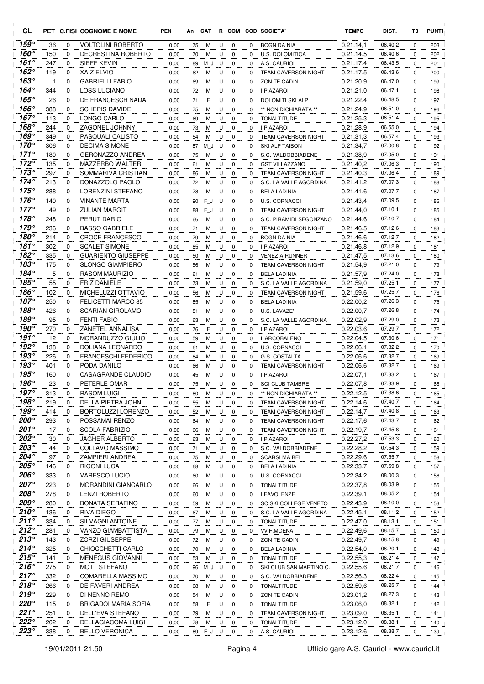| CL.                        |            |                  | PET C.FISI COGNOME E NOME                | <b>PEN</b>   | An       | <b>CAT</b> |        |                  |               | R COM COD SOCIETA'                           | <b>TEMPO</b>           | DIST.              | T3               | <b>PUNTI</b> |
|----------------------------|------------|------------------|------------------------------------------|--------------|----------|------------|--------|------------------|---------------|----------------------------------------------|------------------------|--------------------|------------------|--------------|
| $159^\circ$                | 36         | 0                | <b>VOLTOLINI ROBERTO</b>                 | 0,00         | 75       | M          | U      | 0                | 0             | BOGN DA NIA                                  | 0.21.14,1              | 06.40,2            | 0                | 203          |
| $160^\circ$                | 150        | 0                | DECRESTINA ROBERTO                       | 0,00         | 70       | M          | U      | $\mathbf 0$      | 0             | <b>U.S. DOLOMITICA</b>                       | 0.21.14,5              | 06.40,6            | 0                | 202          |
| $161^\circ$                | 247        | 0                | SIEFF KEVIN                              | 0,00         | 89       | M J        | U      | 0                | 0             | A.S. CAURIOL                                 | 0.21.17,4              | 06.43,5            | 0                | 201          |
| $162^\circ$                | 119        | 0                | XAIZ ELVIO                               | 0,00         | 62       | M          | U      | $\mathbf 0$      | 0             | <b>TEAM CAVERSON NIGHT</b>                   | 0.21.17,5              | 06.43,6            | 0                | 200          |
| $163^\circ$<br>$164^\circ$ | 1          | $\mathbf 0$      | <b>GABRIELLI FABIO</b>                   | 0,00         | 69       | М          | U      | 0                | 0             | ZON TE CADIN                                 | 0.21.20,9              | 06.47,0            | 0                | 199          |
| $165^\circ$                | 344        | $\mathbf 0$<br>0 | <b>LOSS LUCIANO</b><br>DE FRANCESCH NADA | 0,00         | 72       | М          | U      | $\mathbf 0$      | 0             | I PIAZAROI                                   | 0.21.21,0              | 06.47,1<br>06.48,5 | 0                | 198          |
| 166°                       | 26<br>388  | 0                | <b>SCHEPIS DAVIDE</b>                    | 0,00         | 71       | F          | U      | 0                | 0<br>$\Omega$ | DOLOMITI SKI ALP                             | 0.21.22,4              | 06.51,0            | 0                | 197          |
| 167 $^{\circ}$             | 113        | 0                | LONGO CARLO                              | 0,00<br>0,00 | 75<br>69 | M<br>M     | U<br>U | 0<br>$\mathbf 0$ | 0             | ** NON DICHIARATA **<br><b>TONALTITUDE</b>   | 0.21.24,9<br>0.21.25.3 | 06.51,4            | 0<br>$\mathbf 0$ | 196<br>195   |
| 168°                       | 244        | 0                | ZAGONEL JOHNNY                           | 0,00         | 73       | М          | U      | 0                | $\Omega$      | I PIAZAROI                                   | 0.21.28,9              | 06.55,0            | $\Omega$         | 194          |
| $169^\circ$                | 349        | 0                | PASQUALI CALISTO                         | 0,00         | 54       | М          | U      | 0                | 0             | <b>TEAM CAVERSON NIGHT</b>                   | 0.21.31.3              | 06.57,4            | 0                | 193          |
| $170^\circ$                | 306        | 0                | <b>DECIMA SIMONE</b>                     | 0,00         | 87       | M J        | U      | 0                | 0             | SKI ALP TAIBON                               | 0.21.34,7              | 07.00,8            | 0                | 192          |
| $171^\circ$                | 180        | 0                | <b>GERONAZZO ANDREA</b>                  | 0,00         | 75       | М          | U      | $\mathbf 0$      | 0             | S.C. VALDOBBIADENE                           | 0.21.38,9              | 07.05,0            | 0                | 191          |
| $172^\circ$                | 135        | $\mathbf 0$      | MAZZERBO WALTER                          | 0,00         | 61       | М          | U      | 0                | 0             | <b>GST VILLAZZANO</b>                        | 0.21.40,2              | 07.06,3            | 0                | 190          |
| $173^\circ$                | 297        | 0                | SOMMARIVA CRISTIAN                       | 0,00         | 86       | M          | U      | $\mathbf 0$      | 0             | <b>TEAM CAVERSON NIGHT</b>                   | 0.21.40,3              | 07.06,4            | 0                | 189          |
| $174^\circ$                | 213        | 0                | DONAZZOLO PAOLO                          | 0,00         | 72       | М          | U      | 0                | 0             | S.C. LA VALLE AGORDINA                       | 0.21.41,2              | 07.07,3            | 0                | 188          |
| $175^{\circ}$              | 288        | 0                | LORENZINI STEFANO                        | 0,00         | 78       | M          | U      | $\mathbf 0$      | 0             | <b>BELA LADINIA</b>                          | 0.21.41,6              | 07.07,7            | $\mathbf 0$      | 187          |
| 176°                       | 140        | $\Omega$         | <b>VINANTE MARTA</b>                     | 0,00         | 90       | FJ         | U      | 0                | $\Omega$      | <b>U.S. CORNACCI</b>                         | 0.21.43.4              | 07.09.5            | 0                | 186          |
| $177^\circ$                | 49         | 0                | <b>ZULIAN MARGIT</b>                     | 0,00         | 88       | FJ         | U      | $\mathbf 0$      | 0             | <b>TEAM CAVERSON NIGHT</b>                   | 0.21.44.0              | 07.10,1            | 0                | 185          |
| $178^\circ$                | 248        | 0                | PERUT DARIO                              | 0,00         | 66       | M          | U      | $\mathbf 0$      | 0             | S.C. PIRAMIDI SEGONZANO                      | 0.21.44,6              | 07.10,7            | 0                | 184          |
| $179^\circ$                | 236        | 0                | <b>BASSO GABRIELE</b>                    | 0,00         | 71       | M          | U      | $\mathbf 0$      | 0             | <b>TEAM CAVERSON NIGHT</b>                   | 0.21.46,5              | 07.12,6            | 0                | 183          |
| $180^\circ$                | 214        | 0                | <b>CROCE FRANCESCO</b>                   | 0,00         | 79       | M          | U      | 0                | 0             | <b>BOGN DA NIA</b>                           | 0.21.46,6              | 07.12,7            | 0                | 182          |
| 181°                       | 302        | $\mathbf 0$      | <b>SCALET SIMONE</b>                     | 0,00         | 85       | M          | U      | $\mathbf 0$      | 0             | <b>I PIAZAROI</b>                            | 0.21.46.8              | 07.12,9            | 0                | 181          |
| $182^\circ$                | 335        | 0                | <b>GUARIENTO GIUSEPPE</b>                | 0,00         | 50       | М          | U      | 0                | 0             | <b>VENEZIA RUNNER</b>                        | 0.21.47,5              | 07.13.6            | 0                | 180          |
| 183°                       | 175        | 0                | <b>SLONGO GIAMPIERO</b>                  | 0,00         | 56       | M          | U      | $\mathbf 0$      | 0             | <b>TEAM CAVERSON NIGHT</b>                   | 0.21.54,9              | 07.21,0            | 0                | 179          |
| 184°                       | 5          | 0                | RASOM MAURIZIO                           | 0,00         | 61       | M          | U      | $\mathbf 0$      | $\Omega$      | <b>BELA LADINIA</b>                          | 0.21.57,9              | 07.24,0            | 0                | 178          |
| 185°<br>$186^\circ$        | 55         | 0                | <b>FRIZ DANIELE</b>                      | 0,00         | 73       | M          | U      | $\mathbf 0$      | 0             | S.C. LA VALLE AGORDINA                       | 0.21.59.0              | 07.25,1<br>07.25,7 | 0                | 177          |
| $187^\circ$                | 102<br>250 | 0<br>$\Omega$    | MICHELUZZI OTTAVIO<br>FELICETTI MARCO 85 | 0,00         | 56       | м<br>M     | U      | 0<br>0           | 0             | <b>TEAM CAVERSON NIGHT</b>                   | 0.21.59,6              | 07.26,3            | 0<br>0           | 176          |
| $188^\circ$                | 426        | 0                | <b>SCARIAN GIROLAMO</b>                  | 0,00<br>0,00 | 85<br>81 | М          | U<br>U | $\mathbf 0$      | 0<br>0        | <b>BELA LADINIA</b><br>U.S. LAVAZE'          | 0.22.00,2<br>0.22.00,7 | 07.26,8            | 0                | 175<br>174   |
| 189°                       | 95         | $\mathbf 0$      | <b>FENTI FABIO</b>                       | 0,00         | 63       | М          | U      | $\mathbf 0$      | $\Omega$      | S.C. LA VALLE AGORDINA                       | 0.22.02.9              | 07.29,0            | 0                | 173          |
| $190^\circ$                | 270        | $\mathbf 0$      | ZANETEL ANNALISA                         | 0,00         | 76       | F          | U      | $\mathbf 0$      | 0             | <b>I PIAZAROI</b>                            | 0.22.03.6              | 07.29,7            | $\mathbf 0$      | 172          |
| 191°                       | 12         | 0                | MORANDUZZO GIULIO                        | 0,00         | 59       | М          | U      | 0                | 0             | L'ARCOBALENO                                 | 0.22.04,5              | 07.30,6            | 0                | 171          |
| $192^\circ$                | 138        | 0                | DOLIANA LEONARDO                         | 0,00         | 61       | M          | U      | $\mathbf 0$      | 0             | <b>U.S. CORNACCI</b>                         | 0.22.06,1              | 07.32,2            | $\mathbf 0$      | 170          |
| $193^\circ$                | 226        | 0                | <b>FRANCESCHI FEDERICO</b>               | 0,00         | 84       | М          | U      | $\mathbf 0$      | $\Omega$      | G.S. COSTALTA                                | 0.22.06,6              | 07.32,7            | $\Omega$         | 169          |
| $193^\circ$                | 401        | 0                | PODA DANILO                              | 0,00         | 66       | M          | U      | 0                | 0             | <b>TEAM CAVERSON NIGHT</b>                   | 0.22.06.6              | 07.32,7            | 0                | 169          |
| 195°                       | 160        | $\Omega$         | CASAGRANDE CLAUDIO                       | 0,00         | 45       | M          | U      | 0                | 0             | I PIAZAROI                                   | 0.22.07,1              | 07.33,2            | 0                | 167          |
| $196^\circ$                | 23         | $\Omega$         | PETERLE OMAR                             | 0,00         | 75       | M          | U      | $\Omega$         | 0             | <b>SCI CLUB TAMBRE</b>                       | 0.22.07.8              | 07.33,9            | $\Omega$         | 166          |
| $197^\circ$                | 313        | 0                | <b>RASOM LUIGI</b>                       | 0,00         | 80       | M          | U      | 0                | 0             | ** NON DICHIARATA **                         | 0.22.12,5              | 07.38,6            | 0                | 165          |
| $198^\circ$                | 219        | 0                | DELLA PIETRA JOHN                        | 0,00         | 55       | M          | U      | 0                | 0             | <b>TEAM CAVERSON NIGHT</b>                   | 0.22.14,6              | 07.40,7            | 0                | 164          |
| $199^\circ$                | 414        | 0                | BORTOLUZZI LORENZO                       | 0,00         | 52       | M          | U      | 0                | 0             | <b>TEAM CAVERSON NIGHT</b>                   | 0.22.14,7              | 07.40,8            | 0                | 163          |
| 200°                       | 293        | 0                | POSSAMAI RENZO                           | 0,00         | 64       | M          | U      | 0                | 0             | TEAM CAVERSON NIGHT                          | 0.22.17,6              | 07.43,7            | 0                | 162          |
| 201°                       | 17         | 0                | <b>SCOLA FABRIZIO</b>                    | 0,00         | 66       | M          | U      | 0                | 0             | TEAM CAVERSON NIGHT                          | 0.22.19,7              | 07.45,8            | 0                | 161          |
| 202°                       | 30         | 0                | JAGHER ALBERTO                           | 0,00         | 63       | M          | U      | 0                | 0             | I PIAZAROI                                   | 0.22.27,2              | 07.53,3            | 0                | 160          |
| 203°                       | 44         | 0                | COLLAVO MASSIMO                          | 0,00         | 71       | M          | U      | 0                | 0             | S.C. VALDOBBIADENE                           | 0.22.28,2              | 07.54,3            | 0                | 159          |
| 204°                       | 97         | 0                | ZAMPIERI ANDREA                          | 0,00         | 75       | M          | U      | 0                | 0             | SCARSI MA BEI                                | 0.22.29,6              | 07.55,7            | 0                | 158          |
| 205°                       | 146        | 0                | RIGONI LUCA                              | 0,00         | 68       | M          | U      | 0                | 0             | <b>BELA LADINIA</b>                          | 0.22.33,7              | 07.59,8            | 0                | 157          |
| $206^\circ$                | 333        | 0                | VARESCO LUCIO                            | 0,00         | 60       | M          | U      | 0                | 0             | U.S. CORNACCI                                | 0.22.34,2              | 08.00,3            | 0                | 156          |
| 207°                       | 223        | 0                | <b>MORANDINI GIANCARLO</b>               | 0,00         | 66       | M          | U      | 0                | 0             | <b>TONALTITUDE</b>                           | 0.22.37,8              | 08.03,9            | 0                | 155          |
| 208°<br>209°               | 278        | 0                | <b>LENZI ROBERTO</b>                     | 0,00         | 60       | M          | U      | 0                | 0             | I FAVOLENZE                                  | 0.22.39,1              | 08.05,2            | 0                | 154          |
| $210^{\circ}$              | 280        | 0<br>0           | <b>BONATA SERAFINO</b><br>RIVA DIEGO     | 0,00         | 59       | M          | U      | 0                | 0             | SC SKI COLLEGE VENETO                        | 0.22.43,9              | 08.10,0<br>08.11,2 | 0                | 153          |
| $211^\circ$                | 136<br>334 | 0                | <b>SILVAGNI ANTOINE</b>                  | 0,00         | 67       | м          | U      | 0                | 0             | S.C. LA VALLE AGORDINA<br><b>TONALTITUDE</b> | 0.22.45,1<br>0.22.47,0 | 08.13,1            | 0                | 152          |
| $212^{\circ}$              | 281        | 0                | VANZO GIAMBATTISTA                       | 0,00<br>0,00 | 77<br>79 | M<br>M     | U<br>U | 0<br>0           | 0<br>0        | VV.F.MOENA                                   | 0.22.49,6              | 08.15,7            | 0<br>0           | 151<br>150   |
| $213^\circ$                | 143        | 0                | <b>ZORZI GIUSEPPE</b>                    | 0,00         | 72       | M          | U      | 0                | 0             | ZON TE CADIN                                 | 0.22.49,7              | 08.15,8            | 0                | 149          |
| $214^{\circ}$              | 325        | 0                | CHIOCCHETTI CARLO                        | 0,00         | 70       | M          | U      | 0                | 0             | <b>BELA LADINIA</b>                          | 0.22.54,0              | 08.20,1            | 0                | 148          |
| $215^\circ$                | 141        | 0                | MENEGUS GIOVANNI                         | 0,00         | 53       | M          | U      | 0                | 0             | TONALTITUDE                                  | 0.22.55,3              | 08.21,4            | 0                | 147          |
| $216^\circ$                | 275        | 0                | MOTT STEFANO                             | 0,00         | 96       | M_J        | U      | 0                | 0             | SKI CLUB SAN MARTINO C.                      | 0.22.55,6              | 08.21,7            | 0                | 146          |
| $217^\circ$                | 332        | 0                | COMARELLA MASSIMO                        | 0,00         | 70       | M          | U      | 0                | 0             | S.C. VALDOBBIADENE                           | 0.22.56,3              | 08.22,4            | 0                | 145          |
| $218^\circ$                | 266        | 0                | DE FAVERI ANDREA                         | 0,00         | 68       | M          | U      | 0                | 0             | <b>TONALTITUDE</b>                           | 0.22.59,6              | 08.25,7            | 0                | 144          |
| 219°                       | 229        | 0                | DI NENNO REMO                            | 0,00         | 54       | М          | U      | 0                | 0             | ZON TE CADIN                                 | 0.23.01,2              | 08.27,3            | 0                | 143          |
| $220^\circ$                | 115        | 0                | BRIGADOI MARIA SOFIA                     | 0,00         | 58       | F          | U      | 0                | 0             | <b>TONALTITUDE</b>                           | 0.23.06,0              | 08.32,1            | 0                | 142          |
| 221°                       | 251        | 0                | DELL'EVA STEFANO                         | 0,00         | 79       | M          | U      | 0                | 0             | TEAM CAVERSON NIGHT                          | 0.23.09,0              | 08.35,1            | 0                | 141          |
| 222°                       | 202        | 0                | DELLAGIACOMA LUIGI                       | 0,00         | 78       | M          | U      | 0                | 0             | <b>TONALTITUDE</b>                           | 0.23.12,0              | 08.38,1            | 0                | 140          |
| $223^\circ$                | 338        | 0                | <b>BELLO VERONICA</b>                    | 0,00         |          | 89 F_J U   |        | 0                | 0             | A.S. CAURIOL                                 | 0.23.12,6              | 08.38,7            | 0                | 139          |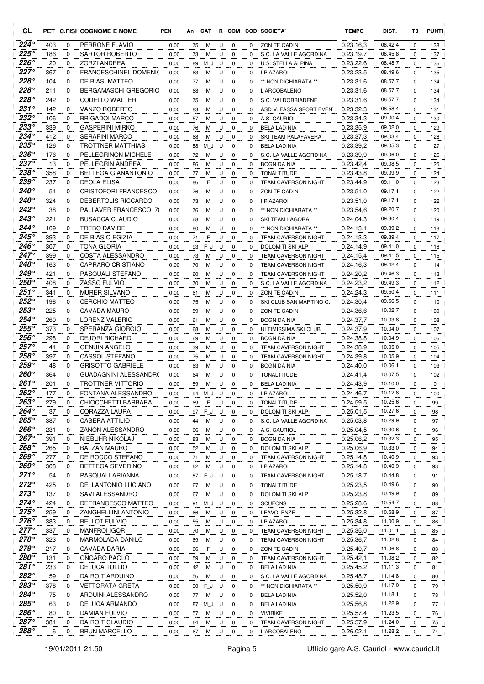| CL                           |            |        | PET C.FISI COGNOME E NOME                   | <b>PEN</b>   | An       | <b>CAT</b> |        |                            |               | R COM COD SOCIETA'                         | <b>TEMPO</b>           | DIST.              | T3       | <b>PUNTI</b> |
|------------------------------|------------|--------|---------------------------------------------|--------------|----------|------------|--------|----------------------------|---------------|--------------------------------------------|------------------------|--------------------|----------|--------------|
| 224°                         | 403        | 0      | PERRONE FLAVIO                              | 0,00         | 75       | М          | U      | 0                          | 0             | ZON TE CADIN                               | 0.23.16.3              | 08.42,4            | 0        | 138          |
| $225^\circ$                  | 186        | 0      | <b>SARTOR ROBERTO</b>                       | 0,00         | 73       | м          | U      | 0                          | 0             | S.C. LA VALLE AGORDINA                     | 0.23.19,7              | 08.45,8            | $\Omega$ | 137          |
| $226^\circ$                  | 20         | 0      | ZORZI ANDREA                                | 0,00         | 89       | ΜJ         | U      | 0                          | 0             | U.S. STELLA ALPINA                         | 0.23.22,6              | 08.48,7            | 0        | 136          |
| 227°                         | 367        | 0      | <b>FRANCESCHINEL DOMENIC</b>                | 0,00         | 63       | M          | U      | 0                          | 0             | <b>I PIAZAROI</b>                          | 0.23.23,5              | 08.49,6            | 0        | 135          |
| 228°                         | 104        | 0      | DE BIASI MATTEO                             | 0,00         | 77       | M          | U      | 0                          | 0             | ** NON DICHIARATA **                       | 0.23.31,6              | 08.57,7            | 0        | 134          |
| $228^\circ$<br>$228^\circ$   | 211        | 0      | <b>BERGAMASCHI GREGORIO</b>                 | 0,00         | 68       | м          | U      | $\mathbf 0$                | 0             | <b>L'ARCOBALENO</b>                        | 0.23.31,6              | 08.57,7            | 0        | 134          |
| 231°                         | 242        | 0      | CODELLO WALTER                              | 0,00         | 75       | М          | U      | 0                          | 0             | S.C. VALDOBBIADENE                         | 0.23.31,6              | 08.57,7            | 0        | 134          |
| $232^\circ$                  | 142<br>106 | 0<br>0 | VANZO ROBERTO<br><b>BRIGADOI MARCO</b>      | 0,00         | 83       | М          | U<br>U | 0<br>$\mathbf 0$           | $\Omega$      | ASD V. FASSA SPORT EVEN                    | 0.23.32,3              | 08.58,4<br>09.00,4 | 0<br>0   | 131          |
| $233^\circ$                  | 339        | 0      | <b>GASPERINI MIRKO</b>                      | 0,00<br>0,00 | 57       | M<br>м     | U      | 0                          | 0<br>0        | A.S. CAURIOL<br><b>BELA LADINIA</b>        | 0.23.34,3<br>0.23.35.9 | 09.02,0            | $\Omega$ | 130<br>129   |
| $234^\circ$                  | 412        | 0      | <b>SERAFINI MARCO</b>                       | 0,00         | 76<br>68 | м          | U      | $\mathbf 0$                | 0             | SKI TEAM PALAFAVERA                        | 0.23.37,3              | 09.03,4            | 0        | 128          |
| $235^{\circ}$                | 126        | 0      | TROTTNER MATTHIAS                           | 0,00         | 88       | M J        | U      | 0                          | 0             | <b>BELA LADINIA</b>                        | 0.23.39,2              | 09.05,3            | 0        | 127          |
| $236^\circ$                  | 176        | 0      | PELLEGRINON MICHELE                         | 0,00         | 72       | м          | U      | $\mathbf 0$                | 0             | S.C. LA VALLE AGORDINA                     | 0.23.39.9              | 09.06,0            | 0        | 126          |
| $237^\circ$                  | 13         | 0      | PELLEGRIN ANDREA                            | 0,00         | 86       | м          | U      | $\mathbf 0$                | $\Omega$      | <b>BOGN DA NIA</b>                         | 0.23.42,4              | 09.08,5            | 0        | 125          |
| 238°                         | 358        | 0      | BETTEGA GIANANTONIO                         | 0,00         | 77       | M          | U      | $\mathbf 0$                | 0             | <b>TONALTITUDE</b>                         | 0.23.43.8              | 09.09,9            | 0        | 124          |
| 239°                         | 237        | 0      | <b>DEOLA ELISA</b>                          | 0,00         | 86       | F          | U      | 0                          | 0             | <b>TEAM CAVERSON NIGHT</b>                 | 0.23.44,9              | 09.11,0            | 0        | 123          |
| 240°                         | 51         | 0      | <b>CRISTOFORI FRANCESCO</b>                 | 0,00         | 76       | M          | U      | $\mathbf 0$                | 0             | ZON TE CADIN                               | 0.23.51.0              | 09.17,1            | 0        | 122          |
| 240°                         | 324        | 0      | DEBERTOLIS RICCARDO                         | 0,00         | 73       | м          | U      | 0                          | 0             | I PIAZAROI                                 | 0.23.51,0              | 09.17,1            | $\Omega$ | 122          |
| $242^\circ$                  | 38         | 0      | PALLAVER FRANCESCO 76                       | 0,00         | 76       | M          | U      | $\mathbf 0$                | $\Omega$      | ** NON DICHIARATA **                       | 0.23.54.6              | 09.20,7            | 0        | 120          |
| $243^\circ$                  | 221        | 0      | <b>BUSACCA CLAUDIO</b>                      | 0,00         | 68       | м          | U      | 0                          | 0             | SKI TEAM LAGORAI                           | 0.24.04,3              | 09.30,4            | 0        | 119          |
| $244^\circ$                  | 109        | 0      | TREBO DAVIDE                                | 0,00         | 80       | M          | U      | 0                          | 0             | ** NON DICHIARATA **                       | 0.24.13,1              | 09.39,2            | 0        | 118          |
| 245°                         | 393        | 0      | DE BIASIO EGIZIA                            | 0,00         | 71       | F          | U      | 0                          | 0             | <b>TEAM CAVERSON NIGHT</b>                 | 0.24.13,3              | 09.39,4            | 0        | 117          |
| $246^\circ$                  | 307        | 0      | TONA GLORIA                                 | 0,00         | 93       | FJ         | U      | 0                          | 0             | DOLOMITI SKI ALP                           | 0.24.14,9              | 09.41,0            | $\Omega$ | 116          |
| 247°                         | 399        | 0      | COSTA ALESSANDRO                            | 0,00         | 73       | М          | U      | 0                          | 0             | <b>TEAM CAVERSON NIGHT</b>                 | 0.24.15,4              | 09.41,5            | 0        | 115          |
| 248°                         | 163        | 0      | CAPRARO CRISTIANO                           | 0,00         | 70       | М          | U      | $\mathbf 0$                | 0             | <b>TEAM CAVERSON NIGHT</b>                 | 0.24.16.3              | 09.42,4            | 0        | 114          |
| 249°                         | 421        | 0      | PASQUALI STEFANO                            | 0,00         | 60       | м          | U      | 0                          | 0             | <b>TEAM CAVERSON NIGHT</b>                 | 0.24.20,2              | 09.46,3            | 0        | 113          |
| 250°                         | 408        | 0      | <b>ZASSO FULVIO</b>                         | 0,00         | 70       | м          | U      | $\mathbf 0$                | 0             | S.C. LA VALLE AGORDINA                     | 0.24.23,2              | 09.49,3            | 0        | 112          |
| $251^\circ$                  | 341        | 0      | <b>MURER SILVANO</b>                        | 0,00         | 61       | м          | U      | 0                          | 0             | ZON TE CADIN                               | 0.24.24,3              | 09.50,4            | 0        | 111          |
| $252^\circ$<br>$253^\circ$   | 198        | 0      | <b>CERCHIO MATTEO</b>                       | 0,00         | 75       | M          | U      | 0                          | 0             | SKI CLUB SAN MARTINO C.                    | 0.24.30,4              | 09.56,5            | 0        | 110          |
| 254°                         | 225        | 0      | CAVADA MAURO                                | 0,00         | 59       | M          | U      | 0                          | 0             | ZON TE CADIN                               | 0.24.36,6              | 10.02,7            | 0        | 109          |
| $255^{\circ}$                | 260<br>373 | 0<br>0 | LORENZ VALERIO<br>SPERANZA GIORGIO          | 0,00<br>0,00 | 61       | М<br>M     | U<br>U | $\mathbf 0$<br>$\mathbf 0$ | $\Omega$<br>0 | <b>BOGN DA NIA</b>                         | 0.24.37,7<br>0.24.37,9 | 10.03,8<br>10.04,0 | 0<br>0   | 108<br>107   |
| $256^{\circ}$                | 298        | 0      | <b>DEJORI RICHARD</b>                       | 0,00         | 68<br>69 | М          | U      | 0                          | 0             | ULTIMISSIMA SKI CLUB<br><b>BOGN DA NIA</b> | 0.24.38.8              | 10.04,9            | 0        | 106          |
| $257^\circ$                  | 41         | 0      | <b>GENUIN ANGELO</b>                        | 0,00         | 39       | M          | U      | $\mathbf 0$                | 0             | <b>TEAM CAVERSON NIGHT</b>                 | 0.24.38.9              | 10.05,0            | 0        | 105          |
| 258°                         | 397        | 0      | <b>CASSOL STEFANO</b>                       | 0,00         | 75       | м          | U      | 0                          | 0             | <b>TEAM CAVERSON NIGHT</b>                 | 0.24.39,8              | 10.05,9            | $\Omega$ | 104          |
| $259^\circ$                  | 48         | 0      | <b>GRISOTTO GABRIELE</b>                    | 0,00         | 63       | м          | U      | $\mathbf 0$                | 0             | <b>BOGN DA NIA</b>                         | 0.24.40.0              | 10.06,1            | 0        | 103          |
| $260^\circ$                  | 364        | 0      | GUADAGNINI ALESSANDRC                       | 0,00         | 64       | M          | U      | 0                          | 0             | <b>TONALTITUDE</b>                         | 0.24.41,4              | 10.07,5            | 0        | 102          |
| $261^\circ$                  | 201        | 0      | TROTTNER VITTORIO                           | 0,00         | 59       | M          | U      | $\mathbf 0$                | $\Omega$      | <b>BELA LADINIA</b>                        | 0.24.43.9              | 10.10,0            | $\Omega$ | 101          |
| 262°                         | 177        | 0      | FONTANA ALESSANDRO                          | 0,00         |          | 94 M_J U   |        | 0                          | 0             | I PIAZAROI                                 | 0.24.46,7              | 10.12,8            | 0        | 100          |
| $263^\circ$                  | 279        | 0      | CHIOCCHETTI BARBARA                         | 0,00         | 69       | F          | U      | $\mathbf 0$                | 0             | <b>TONALTITUDE</b>                         | 0.24.59,5              | 10.25,6            | 0        | 99           |
| $264^\circ$                  | 37         | 0      | CORAZZA LAURA                               | 0,00         | 97       | $F_J$      | U      | 0                          | 0             | DOLOMITI SKI ALP                           | 0.25.01,5              | 10.27,6            | 0        | 98           |
| 265°                         | 387        | 0      | <b>CASERA ATTILIO</b>                       | 0,00         | 44       | M          | U      | 0                          | $\mathbf{0}$  | S.C. LA VALLE AGORDINA                     | 0.25.03,8              | 10.29,9            | 0        | 97           |
| 266°                         | 231        | 0      | ZANON ALESSANDRO                            | 0,00         | 66       | M          | U      | 0                          | 0             | A.S. CAURIOL                               | 0.25.04,5              | 10.30,6            | 0        | 96           |
| 267°                         | 391        | 0      | NIEBUHR NIKOLAJ                             | 0,00         | 83       | м          | U      | 0                          | 0             | <b>BOGN DA NIA</b>                         | 0.25.06,2              | 10.32,3            | 0        | 95           |
| 268°                         | 265        | 0      | <b>BALZAN MAURO</b>                         | 0,00         | 52       | М          | U      | 0                          | 0             | DOLOMITI SKI ALP                           | 0.25.06,9              | 10.33,0            | 0        | 94           |
| $269^\circ$                  | 277        | 0      | DE ROCCO STEFANO                            | 0,00         | 71       | M          | U      | 0                          | 0             | <b>TEAM CAVERSON NIGHT</b>                 | 0.25.14,8              | 10.40,9            | 0        | 93           |
| $269^\circ$                  | 308        | 0      | BETTEGA SEVERINO                            | 0,00         | 62       | M          | U      | 0                          | $\mathbf{0}$  | I PIAZAROI                                 | 0.25.14,8              | 10.40,9            | 0        | 93           |
| $271^\circ$                  | 54         | 0      | PASQUALI ARIANNA                            | 0,00         | 87       | $F_J$      | U      | 0                          | 0             | TEAM CAVERSON NIGHT                        | 0.25.18,7              | 10.44,8            | 0        | 91           |
| $272^\circ$                  | 425        | 0      | DELLANTONIO LUCIANO                         | 0,00         | 67       | M          | U      | 0                          | 0             | TONALTITUDE                                | 0.25.23,5              | 10.49,6            | 0        | 90           |
| $273^\circ$<br>$274^{\circ}$ | 137        | 0      | SAVI ALESSANDRO                             | 0,00         | 67       | M          | U      | 0                          | 0             | DOLOMITI SKI ALP                           | 0.25.23,8              | 10.49,9            | 0        | 89           |
| $275^\circ$                  | 424<br>259 | 0<br>0 | DEFRANCESCO MATTEO                          | 0,00         | 91       | $M_d$      | U      | 0                          | 0             | <b>SCUFONS</b>                             | 0.25.28,6              | 10.54,7<br>10.58,9 | 0        | 88           |
| $276^\circ$                  | 383        | 0      | ZANGHELLINI ANTONIO<br><b>BELLOT FULVIO</b> | 0,00         | 66       | м          | U      | 0                          | 0             | I FAVOLENZE<br>I PIAZAROI                  | 0.25.32,8<br>0.25.34,8 | 11.00,9            | 0        | 87           |
| 277°                         | 337        | 0      | <b>MANFROI IGOR</b>                         | 0,00<br>0,00 | 55<br>70 | M<br>M     | U<br>U | 0<br>0                     | 0<br>0        | TEAM CAVERSON NIGHT                        | 0.25.35,0              | 11.01,1            | 0<br>0   | 86<br>85     |
| 278°                         | 323        | 0      | MARMOLADA DANILO                            | 0,00         | 69       | M          | U      | $\mathbf 0$                | 0             | TEAM CAVERSON NIGHT                        | 0.25.36,7              | 11.02,8            | 0        | 84           |
| $279^\circ$                  | 217        | 0      | CAVADA DARIA                                | 0,00         | 66       | F          | U      | 0                          | 0             | ZON TE CADIN                               | 0.25.40,7              | 11.06,8            | 0        | 83           |
| 280°                         | 131        | 0      | ONGARO PAOLO                                | 0,00         | 59       | M          | U      | $\mathbf 0$                | 0             | TEAM CAVERSON NIGHT                        | 0.25.42,1              | 11.08,2            | 0        | 82           |
| $281^\circ$                  | 233        | 0      | <b>DELUCA TULLIO</b>                        | 0,00         | 42       | M          | U      | 0                          | 0             | <b>BELA LADINIA</b>                        | 0.25.45,2              | 11.11,3            | 0        | 81           |
| 282°                         | 59         | 0      | DA ROIT ARDUINO                             | 0,00         | 56       | M          | U      | 0                          | 0             | S.C. LA VALLE AGORDINA                     | 0.25.48,7              | 11.14,8            | 0        | 80           |
| 283°                         | 378        | 0      | <b>VETTORATA GRETA</b>                      | 0,00         | 90       | $F_J$      | U      | 0                          | 0             | ** NON DICHIARATA **                       | 0.25.50,9              | 11.17,0            | 0        | 79           |
| 284°                         | 75         | 0      | ARDUINI ALESSANDRO                          | 0,00         | 77       | M          | U      | 0                          | 0             | <b>BELA LADINIA</b>                        | 0.25.52,0              | 11.18,1            | 0        | 78           |
| 285°                         | 63         | 0      | DELUCA ARMANDO                              | 0,00         | 87       | M_J        | U      | 0                          | 0             | <b>BELA LADINIA</b>                        | 0.25.56,8              | 11.22,9            | 0        | 77           |
| 286°                         | 80         | 0      | DAMIAN FULVIO                               | 0,00         | 57       | M          | U      | 0                          | 0             | <b>VIVIBIKE</b>                            | 0.25.57,4              | 11.23,5            | 0        | 76           |
| $287^\circ$                  | 381        | 0      | DA ROIT CLAUDIO                             | 0,00         | 64       | M          | U      | 0                          | 0             | TEAM CAVERSON NIGHT                        | 0.25.57,9              | 11.24,0            | 0        | 75           |
| 288°                         | 6          | 0      | <b>BRUN MARCELLO</b>                        | 0,00         | 67       | M          | U      | $\mathbf 0$                | 0             | L'ARCOBALENO                               | 0.26.02,1              | 11.28,2            | 0        | 74           |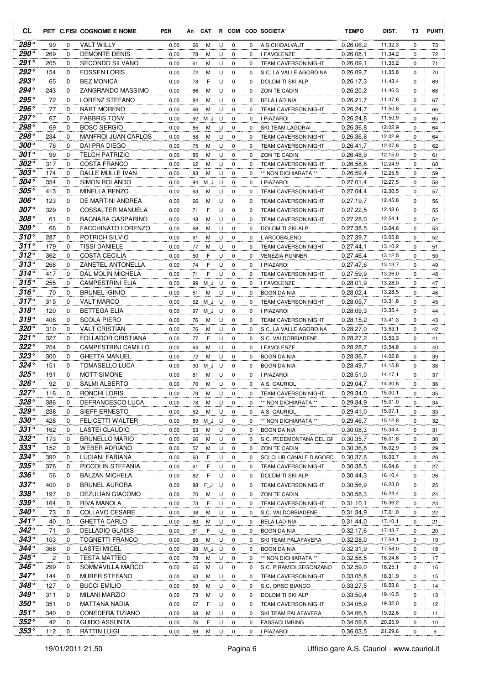| СL                  |            |                            | PET C.FISI COGNOME E NOME                    | <b>PEN</b>   | An       | <b>CAT</b> |        |                  |             | R COM COD SOCIETA'                         | <b>TEMPO</b>           | DIST.              | T3       | <b>PUNTI</b> |
|---------------------|------------|----------------------------|----------------------------------------------|--------------|----------|------------|--------|------------------|-------------|--------------------------------------------|------------------------|--------------------|----------|--------------|
| 289°                | 90         | 0                          | <b>VALT WILLY</b>                            | 0,00         | 66       | м          | U      | 0                | 0           | A.S.CHIDALVAUT                             | 0.26.06,2              | 11.32,3            | 0        | 73           |
| 290°                | 269        | $\Omega$                   | <b>DEMONTE DENIS</b>                         | 0,00         | 78       | м          | U      | $\mathbf 0$      | 0           | I FAVOLENZE                                | 0.26.08,1              | 11.34,2            | $\Omega$ | 72           |
| $291^\circ$         | 205        | 0                          | <b>SECONDO SILVANO</b>                       | 0,00         | 61       | м          | U      | $\mathbf 0$      | $\Omega$    | <b>TEAM CAVERSON NIGHT</b>                 | 0.26.09,1              | 11.35,2            | $\Omega$ | 71           |
| $292^\circ$         | 154        | 0                          | <b>FOSSEN LORIS</b>                          | 0,00         | 72       | M          | U      | 0                | 0           | S.C. LA VALLE AGORDINA                     | 0.26.09,7              | 11.35,8            | 0        | 70           |
| 293°                | 65         | $\mathbf 0$                | <b>BEZ MONICA</b>                            | 0,00         | 78       | F          | U      | $\mathbf 0$      | $\mathbf 0$ | DOLOMITI SKI ALP                           | 0.26.17,3              | 11.43,4            | 0        | 69           |
| 294°                | 243        | $\mathbf 0$                | ZANGRANDO MASSIMO                            | 0,00         | 66       | м          | U      | 0                | 0           | ZON TE CADIN                               | 0.26.20,2              | 11.46,3            | 0        | 68           |
| 295°                | 72         | $\mathbf 0$                | <b>LORENZ STEFANO</b>                        | 0,00         | 84       | M          | U      | $\mathbf 0$      | 0           | <b>BELA LADINIA</b>                        | 0.26.21,7              | 11.47,8            | $\Omega$ | 67           |
| 296°                | 77         | 0                          | NART MORENO                                  | 0,00         | 66       | М          | U      | 0                | $\mathbf 0$ | <b>TEAM CAVERSON NIGHT</b>                 | 0.26.24,7              | 11.50,8            | 0        | 66           |
| 297°                | 67         | 0                          | <b>FABBRIS TONY</b>                          | 0,00         | 92       | ΜJ         | U      | $\mathbf 0$      | 0           | I PIAZAROI                                 | 0.26.24,8              | 11.50,9            | 0        | 65           |
| 298°                | 69         | 0                          | <b>BOSO SERGIO</b>                           | 0,00         | 65       | М          | U      | 0                | 0           | SKI TEAM LAGORAI                           | 0.26.36,8              | 12.02,9            | 0        | 64           |
| 298°                | 234        | 0                          | <b>MANFROI JUAN CARLOS</b>                   | 0,00         | 58       | м          | U      | 0                | $\Omega$    | <b>TEAM CAVERSON NIGHT</b>                 | 0.26.36,8              | 12.02,9            | $\Omega$ | 64           |
| $300^{\circ}$       | 76         | 0                          | DAI PRA DIEGO                                | 0,00         | 75       | М          | U      | 0                | 0           | <b>TEAM CAVERSON NIGHT</b>                 | 0.26.41,7              | 12.07,8            | 0        | 62           |
| $301^\circ$         | 99         | 0                          | <b>TELCH PATRIZIO</b>                        | 0,00         | 85       | м          | U      | $\mathbf 0$      | 0           | ZON TE CADIN                               | 0.26.48,9              | 12.15,0            | 0        | 61           |
| $302^\circ$         | 317        | $\mathbf 0$                | <b>COSTA FRANCO</b>                          | 0,00         | 62       | м          | U      | $\mathbf 0$      | 0           | TEAM CAVERSON NIGHT                        | 0.26.58.8              | 12.24,9            | 0        | 60           |
| $303^\circ$         | 174        | $\mathbf 0$                | DALLE MULLE IVAN                             | 0,00         | 83       | м          | U      | $\mathbf 0$      | $\Omega$    | ** NON DICHIARATA **                       | 0.26.59.4              | 12.25,5            | 0        | 59           |
| $304^\circ$         | 354        | $\mathbf 0$                | SIMON ROLANDO                                | 0,00         | 94       | ΜJ         | U      | 0                | 0           | I PIAZAROI                                 | 0.27.01,4              | 12.27,5            | 0        | 58           |
| $305^{\circ}$       | 413        | $\mathbf 0$                | <b>MINELLA RENZO</b>                         | 0,00         | 63       | M          | U      | $\mathbf 0$      | 0           | <b>TEAM CAVERSON NIGHT</b>                 | 0.27.04,4              | 12.30,5            | 0        | 57           |
| $306^\circ$         | 123        | $\mathbf 0$                | DE MARTINI ANDREA                            | 0,00         | 66       | M          | U      | 0                | $\Omega$    | <b>TEAM CAVERSON NIGHT</b>                 | 0.27.19.7              | 12.45,8            | 0        | 56           |
| $307^\circ$         | 329        | $\mathbf 0$                | <b>COSSALTER MANUELA</b>                     | 0,00         | 71       | F          | U      | $\mathbf 0$      | 0           | <b>TEAM CAVERSON NIGHT</b>                 | 0.27.22.5              | 12.48,6            | 0        | 55           |
| $308^\circ$         | 61         | 0                          | <b>BAGNARA GASPARINO</b>                     | 0,00         | 48       | M          | U      | $\mathbf 0$      | 0           | <b>TEAM CAVERSON NIGHT</b>                 | 0.27.28,0              | 12.54,1            | $\Omega$ | 54           |
| 309°<br>$310^\circ$ | 66         | 0                          | <b>FACCHINATO LORENZO</b>                    | 0,00         | 68       | M          | U      | 0                | 0           | DOLOMITI SKI ALP                           | 0.27.38,5              | 13.04,6            | 0        | 53           |
| $311^\circ$         | 287        | $\mathbf 0$                | <b>POTRICH SILVIO</b>                        | 0,00         | 61       | M          | U      | $\mathbf 0$      | 0           | <b>L'ARCOBALENO</b>                        | 0.27.39.7              | 13.05,8            | 0        | 52           |
| $312^\circ$         | 179        | $\mathbf 0$<br>$\mathbf 0$ | <b>TISSI DANIELE</b><br><b>COSTA CECILIA</b> | 0,00         | 77       | м          | U      | $\mathbf 0$      | $\Omega$    | <b>TEAM CAVERSON NIGHT</b>                 | 0.27.44,1<br>0.27.46.4 | 13.10,2<br>13.12,5 | $\Omega$ | 51           |
| $313^\circ$         | 362<br>268 | 0                          | ZANETEL ANTONELLA                            | 0,00<br>0,00 | 50<br>74 | F<br>F     | U<br>U | $\mathbf 0$<br>0 | 0<br>0      | <b>VENEZIA RUNNER</b><br><b>I PIAZAROI</b> | 0.27.47,6              | 13.13,7            | 0<br>0   | 50<br>49     |
| $314^{\circ}$       | 417        | 0                          | DAL MOLIN MICHELA                            | 0,00         |          | F          | U      | $\mathbf 0$      | $\Omega$    | <b>TEAM CAVERSON NIGHT</b>                 | 0.27.59.9              | 13.26,0            | 0        |              |
| $315^{\circ}$       | 255        | 0                          | <b>CAMPESTRINI ELIA</b>                      | 0,00         | 71       |            | U      | $\mathbf 0$      | 0           | I FAVOLENZE                                | 0.28.01,9              | 13.28,0            | 0        | 48<br>47     |
| $316^\circ$         | 70         | 0                          | <b>BRUNEL IGINIO</b>                         | 0,00         | 99<br>51 | ΜJ<br>М    | U      | $\mathbf 0$      | $\Omega$    | <b>BOGN DA NIA</b>                         | 0.28.02,4              | 13.28,5            | 0        | 46           |
| $317^\circ$         | 315        | 0                          | <b>VALT MARCO</b>                            | 0,00         | 92       | ΜJ         | U      | 0                | 0           | <b>TEAM CAVERSON NIGHT</b>                 | 0.28.05,7              | 13.31,8            | 0        | 45           |
| $318^\circ$         | 120        | $\mathbf 0$                | <b>BETTEGA ELIA</b>                          | 0,00         | 97       | M J        | U      | $\mathbf 0$      | 0           | I PIAZAROI                                 | 0.28.09.3              | 13.35,4            | 0        | 44           |
| 319°                | 406        | 0                          | <b>SCOLA PIERO</b>                           | 0,00         | 76       | м          | U      | $\mathbf 0$      | 0           | TEAM CAVERSON NIGHT                        | 0.28.15,2              | 13.41,3            | 0        | 43           |
| $320^\circ$         | 310        | 0                          | <b>VALT CRISTIAN</b>                         | 0,00         | 76       | м          | U      | $\mathbf 0$      | 0           | S.C. LA VALLE AGORDINA                     | 0.28.27,0              | 13.53,1            | 0        | 42           |
| $321^\circ$         | 327        | 0                          | <b>FOLLADOR CRISTIANA</b>                    | 0,00         | 77       | F          | U      | $\mathbf 0$      | 0           | S.C. VALDOBBIADENE                         | 0.28.27,2              | 13.53,3            | 0        | 41           |
| $322^\circ$         | 254        | 0                          | <b>CAMPESTRINI CAMILLO</b>                   | 0,00         | 64       | M          | U      | $\mathbf 0$      | 0           | I FAVOLENZE                                | 0.28.28,7              | 13.54,8            | 0        | 40           |
| $323^\circ$         | 300        | 0                          | <b>GHETTA MANUEL</b>                         | 0,00         | 72       | M          | U      | 0                | 0           | <b>BOGN DA NIA</b>                         | 0.28.36,7              | 14.02,8            | 0        | 39           |
| $324^\circ$         | 151        | 0                          | <b>TOMASELLO LUCA</b>                        | 0,00         | 90       | ΜJ         | U      | 0                | 0           | <b>BOGN DA NIA</b>                         | 0.28.49,7              | 14.15,8            | 0        | 38           |
| $325^{\circ}$       | 191        | 0                          | <b>MOTT SIMONE</b>                           | 0,00         | 81       | M          | U      | 0                | 0           | I PIAZAROI                                 | 0.28.51,0              | 14.17,1            | 0        | 37           |
| $326^\circ$         | 92         | $\Omega$                   | <b>SALMI ALBERTO</b>                         | 0,00         | 70       | M          | U      | $\Omega$         | 0           | A.S. CAURIOL                               | 0.29.04,7              | 14.30,8            | $\Omega$ | 36           |
| $327^\circ$         | 116        | 0                          | RONCHI LORIS                                 | 0,00         | 79       | М          | U      | 0                | 0           | TEAM CAVERSON NIGHT                        | 0.29.34,0              | 15.00,1            | 0        | 35           |
| $328^\circ$         | 386        | $\mathbf 0$                | DEFRANCESCO LUCA                             | 0,00         | 78       | M          | U      | 0                | 0           | ** NON DICHIARATA **                       | 0.29.34,9              | 15.01,0            | 0        | 34           |
| 329°                | 238        | 0                          | <b>SIEFF ERNESTO</b>                         | 0,00         | 52       | M          | U      | $\mathbf 0$      | 0           | A.S. CAURIOL                               | 0.29.41,0              | 15.07,1            | 0        | 33           |
| $330^\circ$         | 428        | 0                          | <b>FELICETTI WALTER</b>                      | 0,00         | 89       | ΜJ         | U      | 0                | $\mathbf 0$ | ** NON DICHIARATA **                       | 0.29.46,7              | 15.12,8            | 0        | 32           |
| $331^\circ$         | 162        | 0                          | LASTEI CLAUDIO                               | 0,00         | 63       | M          | U      | $\mathbf 0$      | 0           | <b>BOGN DA NIA</b>                         | 0.30.08,3              | 15.34,4            | 0        | 31           |
| $332^\circ$         | 173        | 0                          | <b>BRUNELLO MARIO</b>                        | 0,00         | 66       | M          | U      | 0                | 0           | S.C. PEDEMONTANA DEL GF                    | 0.30.35,7              | 16.01,8            | 0        | 30           |
| $333^\circ$         | 152        | 0                          | <b>WEBER ADRIANO</b>                         | 0,00         | 57       | M          | U      | 0                | 0           | ZON TE CADIN                               | 0.30.36,8              | 16.02,9            | 0        | 29           |
| $334^\circ$         | 390        | 0                          | LUCIANI FABIANA                              | 0,00         | 63       | F          | U      | 0                | 0           | SCI CLUB CANALE D'AGORD                    | 0.30.37,6              | 16.03,7            | 0        | 28           |
| $335^\circ$         | 376        | 0                          | PICCOLIN STEFANIA                            | 0,00         | 61       | F          | U      | $\mathbf 0$      | 0           | TEAM CAVERSON NIGHT                        | 0.30.38,5              | 16.04,6            | 0        | 27           |
| $336^\circ$         | 56         | 0                          | <b>BALZAN MICHELA</b>                        | 0,00         | 82       | F          | U      | 0                | $\mathbf 0$ | DOLOMITI SKI ALP                           | 0.30.44,3              | 16.10,4            | 0        | 26           |
| $337^\circ$         | 400        | 0                          | <b>BRUNEL AURORA</b>                         | 0,00         | 88       | $F_J$      | U      | 0                | $\mathbf 0$ | TEAM CAVERSON NIGHT                        | 0.30.56,9              | 16.23,0            | 0        | 25           |
| 338°                | 197        | 0                          | <b>DEZULIAN GIACOMO</b>                      | 0,00         | 70       | M          | U      | 0                | 0           | ZON TE CADIN                               | 0.30.58,3              | 16.24,4            | 0        | 24           |
| 339°                | 164        | 0                          | RIVA MANOLA                                  | 0,00         | 73       | F          | U      | 0                | 0           | TEAM CAVERSON NIGHT                        | 0.31.10,1              | 16.36,2            | 0        | 23           |
| $340^{\circ}$       | 73         | 0                          | COLLAVO CESARE                               | 0,00         | 38       | M          | U      | 0                | 0           | S.C. VALDOBBIADENE                         | 0.31.34,9              | 17.01,0            | 0        | 22           |
| $341^\circ$         | 40         | 0                          | <b>GHETTA CARLO</b>                          | 0,00         | 80       | м          | U      | 0                | 0           | <b>BELA LADINIA</b>                        | 0.31.44,0              | 17.10,1            | 0        | 21           |
| $342^{\circ}$       | 71         | 0                          | <b>DELLADIO GLADIS</b>                       | 0,00         | 61       | F          | U      | 0                | 0           | <b>BOGN DA NIA</b>                         | 0.32.17,6              | 17.43,7            | 0        | 20           |
| $343^\circ$         | 103        | 0                          | <b>TOGNETTI FRANCO</b>                       | 0,00         | 68       | M          | U      | 0                | 0           | SKI TEAM PALAFAVERA                        | 0.32.28,0              | 17.54,1            | 0        | 19           |
| $344^\circ$         | 368        | 0                          | <b>LASTEI MICEL</b>                          | 0,00         | 98       | ΜJ         | U      | 0                | 0           | <b>BOGN DA NIA</b>                         | 0.32.31,9              | 17.58,0            | 0        | 18           |
| $345^{\circ}$       | 2          | 0                          | <b>TESTA MATTEO</b>                          | 0,00         | 78       | M          | U      | 0                | 0           | ** NON DICHIARATA **                       | 0.32.58,5              | 18.24,6            | 0        | 17           |
| $346^{\circ}$       | 299        | 0                          | SOMMAVILLA MARCO                             | 0,00         | 65       | M          | U      | 0                | 0           | S.C. PIRAMIDI SEGONZANO                    | 0.32.59,0              | 18.25,1            | 0        | 16           |
| $347^\circ$         | 144        | 0                          | <b>MURER STEFANO</b>                         | 0,00         | 63       | M          | U      | 0                | $\mathbf 0$ | TEAM CAVERSON NIGHT                        | 0.33.05,8              | 18.31,9            | 0        | 15           |
| $348^\circ$         | 127        | 0                          | <b>BUCCI EMILIO</b>                          | 0,00         | 59       | М          | U      | 0                | 0           | S.C. ORSO BIANCO                           | 0.33.27,5              | 18.53,6            | 0        | 14           |
| $349^\circ$         | 311        | 0                          | <b>MILANI MARZIO</b>                         | 0,00         | 73       | М          | U      | 0                | 0           | DOLOMITI SKI ALP                           | 0.33.50,4              | 19.16,5            | 0        | 13           |
| $350^{\circ}$       | 351        | 0                          | MATTANA NADIA                                | 0,00         | 67       | F          | U      | 0                | 0           | <b>TEAM CAVERSON NIGHT</b>                 | 0.34.05,9              | 19.32,0            | 0        | 12           |
| $351^\circ$         | 340        | 0                          | CONEDERA TIZIANO                             | 0,00         | 68       | M          | U      | 0                | 0           | SKI TEAM PALAFAVERA                        | 0.34.06,5              | 19.32,6            | 0        | 11           |
| $352^\circ$         | 42         | 0                          | <b>GUIDO ASSUNTA</b>                         | 0,00         | 76       | F          | U      | 0                | 0           | <b>FASSACLIMBING</b>                       | 0.34.59,8              | 20.25,9            | 0        | 10           |
| $353^\circ$         | 112        | 0                          | <b>RATTIN LUIGI</b>                          | 0,00         | 59       | M          |        | $U$ 0            | 0           | I PIAZAROI                                 | 0.36.03,5              | 21.29,6            | 0        | 9            |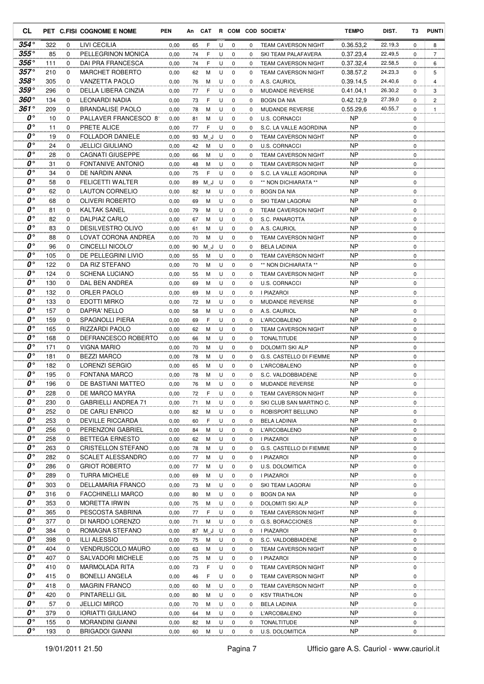| <b>CL</b>                           |            |                  | PET C.FISI COGNOME E NOME             | <b>PEN</b>   | An       | CAT         |        |                  |          | R COM COD SOCIETA'                                   | <b>TEMPO</b>           | DIST.   | T3               | <b>PUNTI</b>   |
|-------------------------------------|------------|------------------|---------------------------------------|--------------|----------|-------------|--------|------------------|----------|------------------------------------------------------|------------------------|---------|------------------|----------------|
| $354^{\circ}$                       | 322        | 0                | LIVI CECILIA                          | 0,00         | 65       | F           | U      | 0                | 0        | <b>TEAM CAVERSON NIGHT</b>                           | 0.36.53,2              | 22.19,3 | 0                | 8              |
| $355^{\circ}$                       | 85         | 0                | PELLEGRINON MONICA                    | 0,00         | 74       | F           | U      | $\mathbf 0$      | 0        | SKI TEAM PALAFAVERA                                  | 0.37.23,4              | 22.49,5 | 0                | $\overline{7}$ |
| $356^{\circ}$                       | 111        | 0                | DAI PRA FRANCESCA                     | 0,00         | 74       | F           | U      | 0                | $\Omega$ | <b>TEAM CAVERSON NIGHT</b>                           | 0.37.32,4              | 22.58,5 | 0                | 6              |
| $357^\circ$                         | 210        | 0                | <b>MARCHET ROBERTO</b>                | 0,00         | 62       | М           | U      | $\mathbf 0$      | 0        | <b>TEAM CAVERSON NIGHT</b>                           | 0.38.57,2              | 24.23,3 | 0                | 5              |
| $358^{\circ}$                       | 305        | 0                | VANZETTA PAOLO                        | 0,00         | 76       | М           | U      | 0                | 0        | A.S. CAURIOL                                         | 0.39.14,5              | 24.40,6 | 0                | 4              |
| 359°                                | 296        | $\Omega$         | DELLA LIBERA CINZIA                   | 0,00         | 77       | F           | U      | $\mathbf 0$      | 0        | MUDANDE REVERSE                                      | 0.41.04,1              | 26.30,2 | 0                | 3              |
| 360°                                | 134        | 0                | LEONARDI NADIA                        | 0,00         | 73       | F           | U      | 0                | 0        | <b>BOGN DA NIA</b>                                   | 0.42.12.9              | 27.39,0 | 0                | 2              |
| 361°<br>0°                          | 209        | $\mathbf 0$      | <b>BRANDALISE PAOLO</b>               | 0,00         | 78       | M           | U      | $\mathbf 0$      | 0        | <b>MUDANDE REVERSE</b>                               | 0.55.29,6              | 40.55,7 | 0                | $\mathbf{1}$   |
| 0°                                  | 10         | 0                | PALLAVER FRANCESCO 81                 | 0,00         | 81       | M           | U      | $\mathbf 0$      | 0        | <b>U.S. CORNACCI</b>                                 | <b>NP</b>              |         | $\mathbf 0$      |                |
| O۰                                  | 11<br>19   | 0<br>0           | PRETE ALICE<br>FOLLADOR DANIELE       | 0,00<br>0,00 | 77<br>93 | F<br>M J    | U<br>U | 0<br>0           | 0<br>0   | S.C. LA VALLE AGORDINA<br><b>TEAM CAVERSON NIGHT</b> | <b>NP</b><br>NP        |         | 0<br>0           |                |
| O۰                                  | 24         | $\Omega$         | JELLICI GIULIANO                      | 0,00         | 42       | M           | U      | 0                | 0        | U.S. CORNACCI                                        | <b>NP</b>              |         | $\mathbf 0$      |                |
| O۰                                  | 28         | 0                | <b>CAGNATI GIUSEPPE</b>               | 0,00         | 66       | М           | U      | 0                | 0        | <b>TEAM CAVERSON NIGHT</b>                           | ΝP                     |         | 0                |                |
| O۰                                  | 31         | $\Omega$         | <b>FONTANIVE ANTONIO</b>              | 0,00         | 48       | M           | U      | $\mathbf 0$      | $\Omega$ | <b>TEAM CAVERSON NIGHT</b>                           | <b>NP</b>              |         | $\mathbf 0$      |                |
| ∩°                                  | 34         | $\Omega$         | DE NARDIN ANNA                        | 0,00         | 75       | F           | U      | $\mathbf 0$      | 0        | S.C. LA VALLE AGORDINA                               | <b>NP</b>              |         | $\mathbf 0$      |                |
| $\boldsymbol{0}$                    | 58         | $\mathbf 0$      | <b>FELICETTI WALTER</b>               | 0,00         | 89       | M J         | U      | $\mathbf 0$      | 0        | ** NON DICHIARATA **                                 | <b>NP</b>              |         | $\mathbf 0$      |                |
| $\boldsymbol{\theta}^{\circ}$       | 62         | 0                | <b>LAUTON CORNELIO</b>                | 0,00         | 82       | M           | U      | 0                | 0        | <b>BOGN DA NIA</b>                                   | <b>NP</b>              |         | $\mathbf 0$      |                |
| O۰                                  | 68         | 0                | <b>OLIVERI ROBERTO</b>                | 0,00         | 69       | M           | U      | $\mathbf 0$      | 0        | SKI TEAM LAGORAI                                     | <b>NP</b>              |         | $\mathbf 0$      |                |
| O۰                                  | 81         | 0                | KALTAK SANEL                          | 0,00         | 79       | M           | U      | $\mathbf 0$      | 0        | <b>TEAM CAVERSON NIGHT</b>                           | <b>NP</b>              |         | $\mathbf 0$      |                |
| O۰                                  | 82         | 0                | DALPIAZ CARLO                         | 0,00         | 67       | M           | U      | $\mathbf 0$      | $\Omega$ | S.C. PANAROTTA                                       | <b>NP</b>              |         | $\mathbf 0$      |                |
| O۰                                  | 83         | $\Omega$         | <b>DESILVESTRO OLIVO</b>              | 0,00         | 61       | M           | U      | $\mathbf 0$      | 0        | A.S. CAURIOL                                         | <b>NP</b>              |         | $\mathbf 0$      |                |
| O۰                                  | 88         | 0                | LOVAT CORONA ANDREA                   | 0,00         | 70       | M           | U      | 0                | 0        | <b>TEAM CAVERSON NIGHT</b>                           | <b>NP</b>              |         | 0                |                |
| O۰                                  | 96         | 0                | CINCELLI NICOLO'                      | 0,00         | 90       | M J         | U      | $\mathbf 0$      | 0        | <b>BELA LADINIA</b>                                  | <b>NP</b>              |         | $\mathbf 0$      |                |
| O۰                                  | 105        | 0                | DE PELLEGRINI LIVIO                   | 0,00         | 55       | М           | U      | 0                | 0        | <b>TEAM CAVERSON NIGHT</b>                           | <b>NP</b>              |         | $\mathbf 0$      |                |
| O۰                                  | 122        | $\mathbf 0$      | DA RIZ STEFANO                        | 0,00         | 70       | М           | U      | $\mathbf 0$      | 0        | ** NON DICHIARATA **                                 | <b>NP</b>              |         | $\mathbf 0$      |                |
| $\boldsymbol{0}$ °                  | 124        | 0                | <b>SCHENA LUCIANO</b>                 | 0,00         | 55       | М           | U      | 0                | 0        | <b>TEAM CAVERSON NIGHT</b>                           | <b>NP</b>              |         | 0                |                |
| O۰                                  | 130        | 0                | DAL BEN ANDREA                        | 0,00         | 69       | М           | U      | $\mathbf 0$      | $\Omega$ | <b>U.S. CORNACCI</b>                                 | <b>NP</b>              |         | $\mathbf 0$      |                |
| O۰                                  | 132        | 0                | ORLER PAOLO                           | 0,00         | 69       | M           | U      | 0                | 0        | I PIAZAROI                                           | <b>NP</b>              |         | $\mathbf 0$      |                |
| 0°<br>$\boldsymbol{\theta}^{\circ}$ | 133        | 0                | EDOTTI MIRKO                          | 0,00         | 72       | М           | U      | $\mathbf 0$      | $\Omega$ | MUDANDE REVERSE                                      | <b>NP</b>              |         | $\mathbf 0$      |                |
| O۰                                  | 157        | 0                | DAPRA' NELLO                          | 0,00         | 58       | М           | U      | $\mathbf 0$      | 0        | A.S. CAURIOL                                         | <b>NP</b>              |         | 0                |                |
| $\boldsymbol{\theta}^{\circ}$       | 159        | $\Omega$         | <b>SPAGNOLLI PIERA</b>                | 0,00         | 69       | F           | U      | $\mathbf 0$      | 0        | <b>L'ARCOBALENO</b>                                  | <b>NP</b><br><b>NP</b> |         | $\mathbf 0$      |                |
| O۰                                  | 165<br>168 | 0<br>$\mathbf 0$ | RIZZARDI PAOLO<br>DEFRANCESCO ROBERTO | 0,00<br>0,00 | 62<br>66 | M<br>М      | U<br>U | 0<br>$\mathbf 0$ | 0<br>0   | <b>TEAM CAVERSON NIGHT</b><br><b>TONALTITUDE</b>     | <b>NP</b>              |         | 0<br>$\mathbf 0$ |                |
| 0°                                  | 171        | 0                | VIGNA MARIO                           | 0,00         | 70       | М           | U      | $\mathbf 0$      | 0        | DOLOMITI SKI ALP                                     | <b>NP</b>              |         | 0                |                |
| 0°                                  | 181        | 0                | <b>BEZZI MARCO</b>                    | 0,00         | 78       | M           | U      | 0                | 0        | G.S. CASTELLO DI FIEMME                              | <b>NP</b>              |         | 0                |                |
| $\boldsymbol{\theta}^{\circ}$       | 182        | 0                | LORENZI SERGIO                        | 0,00         | 65       | M           | U      | $\mathbf 0$      | $\Omega$ | <b>L'ARCOBALENO</b>                                  | NP                     |         | 0                |                |
| 0°                                  | 195        | $\Omega$         | <b>FONTANA MARCO</b>                  | 0,00         | 78       | M           | U      | $\mathbf 0$      | $\Omega$ | S.C. VALDOBBIADENE                                   | <b>NP</b>              |         | $\mathbf 0$      |                |
| $\boldsymbol{0}$ °                  | 196        | $\Omega$         | DE BASTIANI MATTEO                    | 0,00         | 76       | M           | U      | $\Omega$         | $\Omega$ | MUDANDE REVERSE                                      | <b>NP</b>              |         | $\mathbf 0$      |                |
| 0°                                  | 228        | 0                | DE MARCO MAYRA                        | 0,00         | 72       | F           | U      | 0                | 0        | TEAM CAVERSON NIGHT                                  | <b>NP</b>              |         | 0                |                |
| O۰                                  | 230        | 0                | <b>GABRIELLI ANDREA 71</b>            | 0,00         | 71       | M           | U      | 0                | 0        | SKI CLUB SAN MARTINO C.                              | <b>NP</b>              |         | 0                |                |
| 0°                                  | 252        | 0                | DE CARLI ENRICO                       | 0,00         | 82       | M           | U      | 0                | 0        | ROBISPORT BELLUNO                                    | <b>NP</b>              |         | 0                |                |
| $\boldsymbol{0}$ °                  | 253        | 0                | <b>DEVILLE RICCARDA</b>               | 0,00         | 60       | F           | U      | 0                | 0        | <b>BELA LADINIA</b>                                  | <b>NP</b>              |         | 0                |                |
| 0°                                  | 256        | 0                | PERENZONI GABRIEL                     | 0,00         | 84       | M           | U      | 0                | 0        | L'ARCOBALENO                                         | <b>NP</b>              |         | 0                |                |
| 0°                                  | 258        | 0                | <b>BETTEGA ERNESTO</b>                | 0,00         | 62       | M           | U      | 0                | 0        | I PIAZAROI                                           | NP                     |         | 0                |                |
| 0°                                  | 263        | 0                | CRISTELLON STEFANO                    | 0,00         | 78       | M           | U      | 0                | 0        | G.S. CASTELLO DI FIEMME                              | NP                     |         | 0                |                |
| $\boldsymbol{0}$ °                  | 282        | 0                | SCALET ALESSANDRO                     | 0,00         | 77       | М           | U      | 0                | 0        | I PIAZAROI                                           | <b>NP</b>              |         | 0                |                |
| 0°                                  | 286        | 0                | <b>GRIOT ROBERTO</b>                  | 0,00         | 77       | M           | U      | 0                | 0        | U.S. DOLOMITICA                                      | NP                     |         | 0                |                |
| 0°                                  | 289        | 0                | <b>TURRA MICHELE</b>                  | 0,00         | 69       | M           | U      | 0                | 0        | <b>I PIAZAROI</b>                                    | <b>NP</b>              |         | 0                |                |
| 0°<br>0°                            | 303        | 0                | DELLAMARIA FRANCO                     | 0,00         | 73       | M           | U      | 0                | 0        | SKI TEAM LAGORAI                                     | <b>NP</b>              |         | 0                |                |
| 0°                                  | 316        | 0                | <b>FACCHINELLI MARCO</b>              | 0,00         | 80       | M           | U      | 0                | 0        | <b>BOGN DA NIA</b>                                   | NP                     |         | 0                |                |
| 0°                                  | 353<br>365 | 0<br>0           | MORETTA IRWIN<br>PESCOSTA SABRINA     | 0,00<br>0,00 | 75<br>77 | M<br>F      | U<br>U | 0<br>0           | 0<br>0   | DOLOMITI SKI ALP<br>TEAM CAVERSON NIGHT              | NP<br>NP               |         | 0<br>0           |                |
| 0°                                  | 377        |                  | DI NARDO LORENZO                      |              |          |             |        |                  |          |                                                      | <b>NP</b>              |         |                  |                |
| 0°                                  | 384        | 0<br>0           | ROMAGNA STEFANO                       | 0,00<br>0,00 | 71       | М<br>87 M_J | U<br>U | 0<br>0           | 0<br>0   | G.S. BORACCIONES<br><b>I PIAZAROI</b>                | NP                     |         | 0<br>0           |                |
| $\boldsymbol{0}$ °                  | 398        | 0                | <b>ILLI ALESSIO</b>                   | 0,00         | 75       | M           | U      | 0                | 0        | S.C. VALDOBBIADENE                                   | NP                     |         | 0                |                |
| 0°                                  | 404        | 0                | <b>VENDRUSCOLO MAURO</b>              | 0,00         | 63       | M           | U      | 0                | 0        | <b>TEAM CAVERSON NIGHT</b>                           | NP                     |         | 0                |                |
| 0°                                  | 407        | 0                | SALVADORI MICHELE                     | 0,00         | 75       | M           | U      | 0                | 0        | I PIAZAROI                                           | <b>NP</b>              |         | 0                |                |
| $\boldsymbol{o} \circ$              | 410        | 0                | MARMOLADA RITA                        | 0,00         | 73       | F           | U      | $\mathbf 0$      | 0        | TEAM CAVERSON NIGHT                                  | NP                     |         | 0                |                |
| 0°                                  | 415        | 0                | <b>BONELLI ANGELA</b>                 | 0,00         | 46       | F           | U      | 0                | 0        | TEAM CAVERSON NIGHT                                  | <b>NP</b>              |         | 0                |                |
| 0°                                  | 418        | 0                | <b>MAGRIN FRANCO</b>                  | 0,00         | 60       | M           | U      | 0                | 0        | TEAM CAVERSON NIGHT                                  | NP                     |         | 0                |                |
| $\boldsymbol{o} \circ$              | 420        | 0                | PINTARELLI GIL                        | 0,00         | 80       | M           | U      | 0                | 0        | <b>KSV TRIATHLON</b>                                 | <b>NP</b>              |         | 0                |                |
| 0°                                  | 57         | 0                | <b>JELLICI MIRCO</b>                  | 0,00         | 70       | M           | U      | 0                | 0        | <b>BELA LADINIA</b>                                  | NP                     |         | 0                |                |
| 0°                                  | 379        | 0                | IORIATTI GIULIANO                     | 0,00         | 64       | M           | U      | 0                | 0        | L'ARCOBALENO                                         | NP                     |         | 0                |                |
| $\boldsymbol{0}$ °                  | 155        | 0                | MORANDINI GIANNI                      | 0,00         | 82       | M           | U      | 0                | 0        | TONALTITUDE                                          | NP                     |         | 0                |                |
| 0°                                  | 193        | 0                | <b>BRIGADOI GIANNI</b>                | 0,00         | 60       | M           | U      | 0                | 0        | U.S. DOLOMITICA                                      | <b>NP</b>              |         | 0                |                |